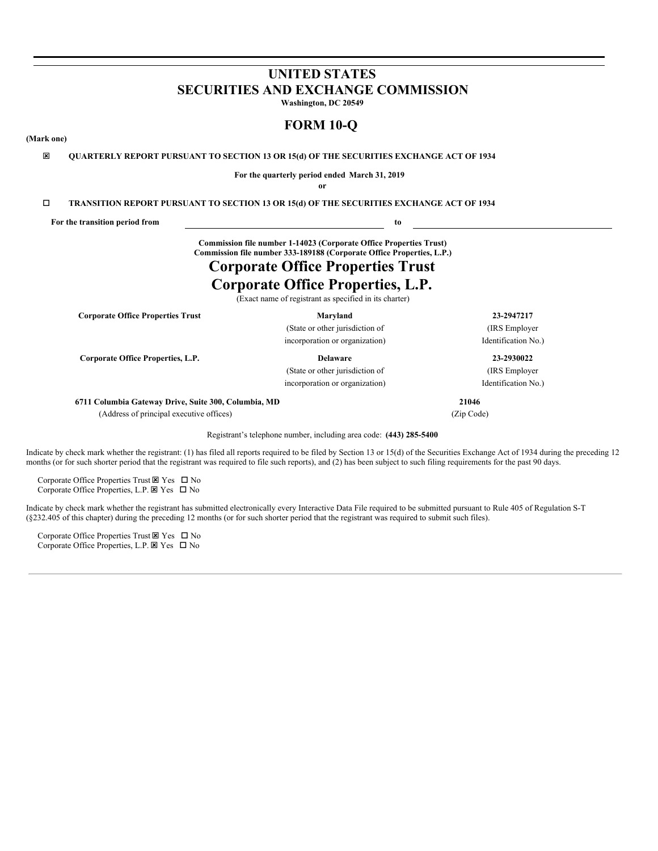## **UNITED STATES SECURITIES AND EXCHANGE COMMISSION Washington, DC 20549**

**FORM 10-Q**

## **(Mark one)**

ý **QUARTERLY REPORT PURSUANT TO SECTION 13 OR 15(d) OF THE SECURITIES EXCHANGE ACT OF 1934**

**For the quarterly period ended March 31, 2019 or**

o **TRANSITION REPORT PURSUANT TO SECTION 13 OR 15(d) OF THE SECURITIES EXCHANGE ACT OF 1934**

**For the transition period from to**

**Commission file number 1-14023 (Corporate Office Properties Trust) Commission file number 333-189188 (Corporate Office Properties, L.P.)**

# **Corporate Office Properties Trust**

## **Corporate Office Properties, L.P.**

(Exact name of registrant as specified in its charter)

**Corporate Office Properties Trust Maryland 23-2947217**

(State or other jurisdiction of (IRS Employer incorporation or organization) Identification No.

(State or other jurisdiction of (IRS Employer incorporation or organization) Identification No.

**6711 Columbia Gateway Drive, Suite 300, Columbia, MD 21046**

(Address of principal executive offices) (Zip Code)

Registrant's telephone number, including area code: **(443) 285-5400**

Indicate by check mark whether the registrant: (1) has filed all reports required to be filed by Section 13 or 15(d) of the Securities Exchange Act of 1934 during the preceding 12 months (or for such shorter period that the registrant was required to file such reports), and (2) has been subject to such filing requirements for the past 90 days.

Corporate Office Properties Trust $\boxtimes$  Yes  $\;\;\Box\;$  No Corporate Office Properties, L.P.  $\boxtimes$  Yes  $\Box$  No

Indicate by check mark whether the registrant has submitted electronically every Interactive Data File required to be submitted pursuant to Rule 405 of Regulation S-T (§232.405 of this chapter) during the preceding 12 months (or for such shorter period that the registrant was required to submit such files).

Corporate Office Properties Trust  $\boxtimes$  Yes  $\Box$  No Corporate Office Properties, L.P.  $\boxtimes$  Yes  $\Box$  No

**Corporate Office Properties, L.P. Delaware 23-2930022**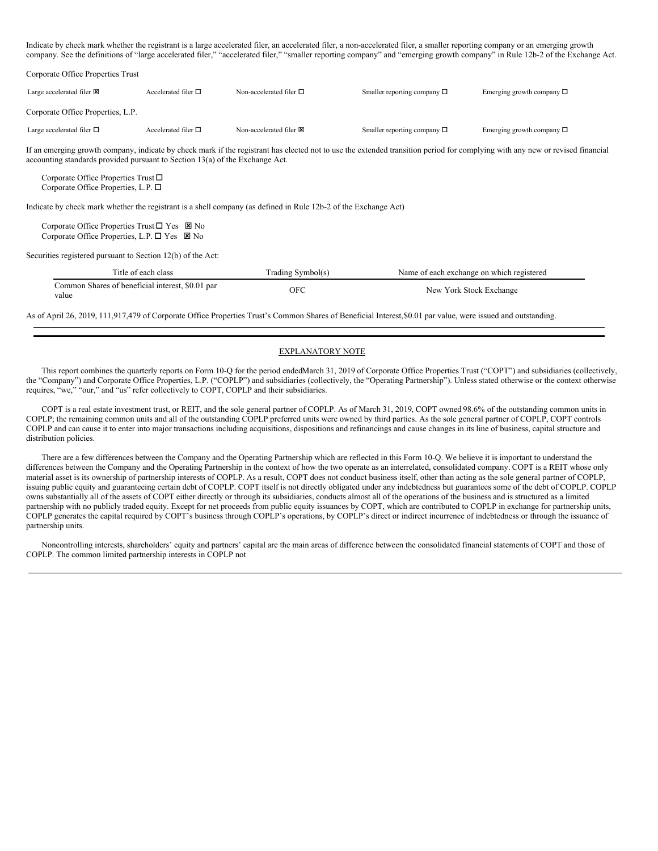Indicate by check mark whether the registrant is a large accelerated filer, an accelerated filer, a non-accelerated filer, a smaller reporting company or an emerging growth company. See the definitions of "large accelerated filer," "accelerated filer," "smaller reporting company" and "emerging growth company" in Rule 12b-2 of the Exchange Act.

| Corporate Office Properties Trust                                                                                              |                             |                                |                                  |                                                                                                                                                                               |
|--------------------------------------------------------------------------------------------------------------------------------|-----------------------------|--------------------------------|----------------------------------|-------------------------------------------------------------------------------------------------------------------------------------------------------------------------------|
| Large accelerated filer $\boxtimes$                                                                                            | Accelerated filer $\Box$    | Non-accelerated filer $\Box$   | Smaller reporting company $\Box$ | Emerging growth company $\Box$                                                                                                                                                |
| Corporate Office Properties, L.P.                                                                                              |                             |                                |                                  |                                                                                                                                                                               |
| Large accelerated filer $\Box$                                                                                                 | Accelerated filer $\square$ | Non-accelerated filer <b>X</b> | Smaller reporting company $\Box$ | Emerging growth company $\Box$                                                                                                                                                |
| accounting standards provided pursuant to Section 13(a) of the Exchange Act.                                                   |                             |                                |                                  | If an emerging growth company, indicate by check mark if the registrant has elected not to use the extended transition period for complying with any new or revised financial |
| Corporate Office Properties Trust $\square$<br>Corporate Office Properties, L.P. $\Box$                                        |                             |                                |                                  |                                                                                                                                                                               |
| Indicate by check mark whether the registrant is a shell company (as defined in Rule 12b-2 of the Exchange Act)                |                             |                                |                                  |                                                                                                                                                                               |
| Corporate Office Properties Trust $\square$ Yes $\square$ No<br>Corporate Office Properties, L.P. $\square$ Yes $\boxtimes$ No |                             |                                |                                  |                                                                                                                                                                               |
| Securities registered pursuant to Section 12(b) of the Act:                                                                    |                             |                                |                                  |                                                                                                                                                                               |
|                                                                                                                                | Title of each class         | Trading Symbol(s)              |                                  | Name of each exchange on which registered                                                                                                                                     |
| Common Shares of beneficial interest, \$0.01 par<br>value                                                                      |                             | <b>OFC</b>                     |                                  | New York Stock Exchange                                                                                                                                                       |

As of April 26, 2019, 111,917,479 of Corporate Office Properties Trust's Common Shares of Beneficial Interest,\$0.01 par value, were issued and outstanding.

## EXPLANATORY NOTE

This report combines the quarterly reports on Form 10-Q for the period endedMarch 31, 2019 of Corporate Office Properties Trust ("COPT") and subsidiaries (collectively, the "Company") and Corporate Office Properties, L.P. ("COPLP") and subsidiaries (collectively, the "Operating Partnership"). Unless stated otherwise or the context otherwise requires, "we," "our," and "us" refer collectively to COPT, COPLP and their subsidiaries.

COPT is a real estate investment trust, or REIT, and the sole general partner of COPLP. As of March 31, 2019, COPT owned 98.6% of the outstanding common units in COPLP; the remaining common units and all of the outstanding COPLP preferred units were owned by third parties. As the sole general partner of COPLP, COPT controls COPLP and can cause it to enter into major transactions including acquisitions, dispositions and refinancings and cause changes in its line of business, capital structure and distribution policies.

There are a few differences between the Company and the Operating Partnership which are reflected in this Form 10-Q. We believe it is important to understand the differences between the Company and the Operating Partnership in the context of how the two operate as an interrelated, consolidated company. COPT is a REIT whose only material asset is its ownership of partnership interests of COPLP. As a result, COPT does not conduct business itself, other than acting as the sole general partner of COPLP, issuing public equity and guaranteeing certain debt of COPLP. COPT itself is not directly obligated under any indebtedness but guarantees some of the debt of COPLP. COPLP owns substantially all of the assets of COPT either directly or through its subsidiaries, conducts almost all of the operations of the business and is structured as a limited partnership with no publicly traded equity. Except for net proceeds from public equity issuances by COPT, which are contributed to COPLP in exchange for partnership units, COPLP generates the capital required by COPT's business through COPLP's operations, by COPLP's direct or indirect incurrence of indebtedness or through the issuance of partnership units.

Noncontrolling interests, shareholders' equity and partners' capital are the main areas of difference between the consolidated financial statements of COPT and those of COPLP. The common limited partnership interests in COPLP not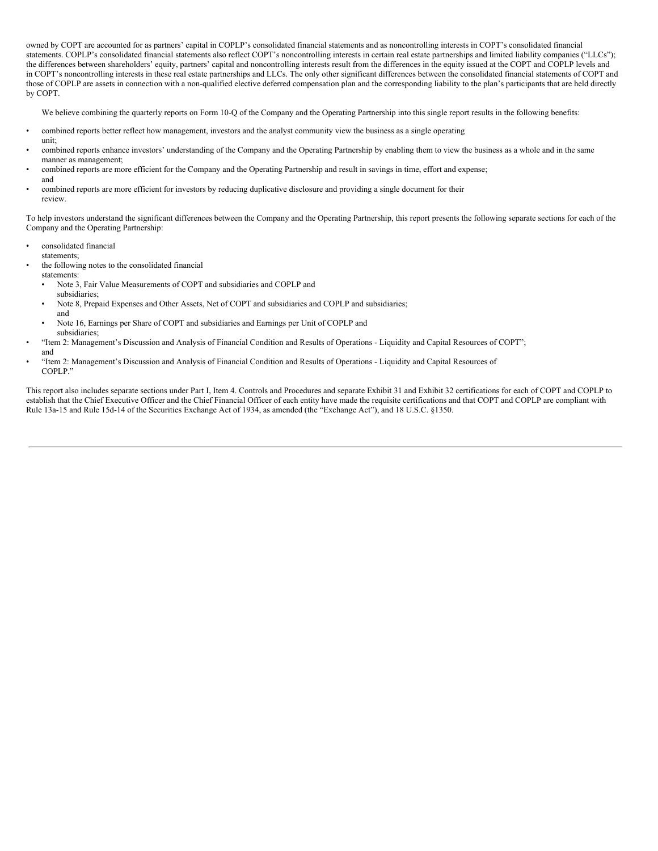owned by COPT are accounted for as partners' capital in COPLP's consolidated financial statements and as noncontrolling interests in COPT's consolidated financial statements. COPLP's consolidated financial statements also reflect COPT's noncontrolling interests in certain real estate partnerships and limited liability companies ("LLCs"); the differences between shareholders' equity, partners' capital and noncontrolling interests result from the differences in the equity issued at the COPT and COPLP levels and in COPT's noncontrolling interests in these real estate partnerships and LLCs. The only other significant differences between the consolidated financial statements of COPT and those of COPLP are assets in connection with a non-qualified elective deferred compensation plan and the corresponding liability to the plan's participants that are held directly by COPT.

We believe combining the quarterly reports on Form 10-Q of the Company and the Operating Partnership into this single report results in the following benefits:

- combined reports better reflect how management, investors and the analyst community view the business as a single operating
- combined reports enhance investors' understanding of the Company and the Operating Partnership by enabling them to view the business as a whole and in the same manner as management;
- combined reports are more efficient for the Company and the Operating Partnership and result in savings in time, effort and expense; and
- combined reports are more efficient for investors by reducing duplicative disclosure and providing a single document for their review.

To help investors understand the significant differences between the Company and the Operating Partnership, this report presents the following separate sections for each of the Company and the Operating Partnership:

• consolidated financial

unit;

- statements; the following notes to the consolidated financial
	- statements: • Note 3, Fair Value Measurements of COPT and subsidiaries and COPLP and
	- subsidiaries;
	- Note 8, Prepaid Expenses and Other Assets, Net of COPT and subsidiaries and COPLP and subsidiaries; and
	- Note 16, Earnings per Share of COPT and subsidiaries and Earnings per Unit of COPLP and subsidiaries;
- "Item 2: Management's Discussion and Analysis of Financial Condition and Results of Operations Liquidity and Capital Resources of COPT"; and
- "Item 2: Management's Discussion and Analysis of Financial Condition and Results of Operations Liquidity and Capital Resources of COPLP."

This report also includes separate sections under Part I, Item 4. Controls and Procedures and separate Exhibit 31 and Exhibit 32 certifications for each of COPT and COPLP to establish that the Chief Executive Officer and the Chief Financial Officer of each entity have made the requisite certifications and that COPT and COPLP are compliant with Rule 13a-15 and Rule 15d-14 of the Securities Exchange Act of 1934, as amended (the "Exchange Act"), and 18 U.S.C. §1350.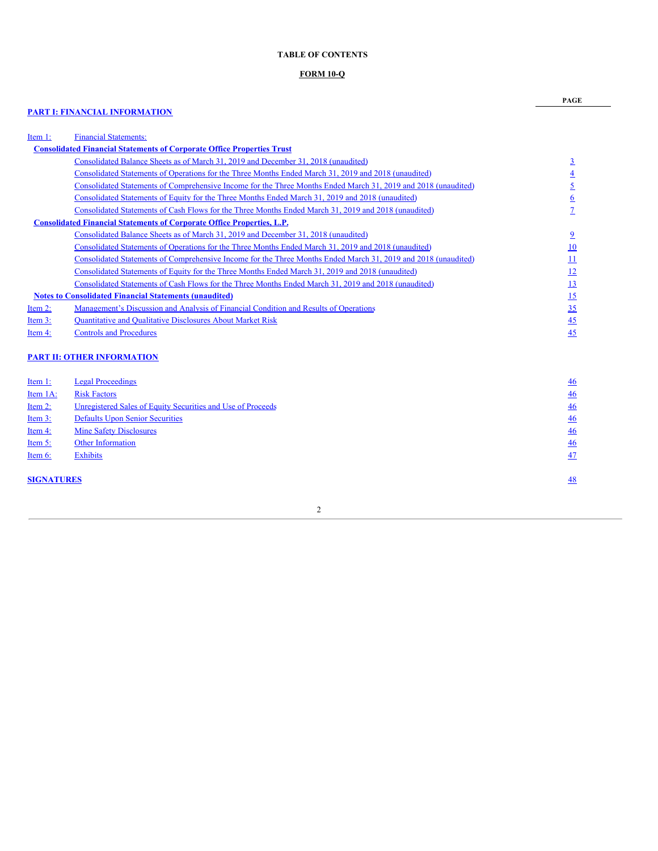## **TABLE OF CONTENTS**

## **FORM 10-Q**

## **PART I: FINANCIAL [INFORMATION](#page-4-0)**

**PAGE**

| Item 1:        | <b>Financial Statements:</b>                                                                                   |                  |
|----------------|----------------------------------------------------------------------------------------------------------------|------------------|
|                | <b>Consolidated Financial Statements of Corporate Office Properties Trust</b>                                  |                  |
|                | Consolidated Balance Sheets as of March 31, 2019 and December 31, 2018 (unaudited)                             | $\overline{3}$   |
|                | Consolidated Statements of Operations for the Three Months Ended March 31, 2019 and 2018 (unaudited)           | $\overline{4}$   |
|                | Consolidated Statements of Comprehensive Income for the Three Months Ended March 31, 2019 and 2018 (unaudited) | <u>5</u>         |
|                | Consolidated Statements of Equity for the Three Months Ended March 31, 2019 and 2018 (unaudited)               | $\underline{6}$  |
|                | Consolidated Statements of Cash Flows for the Three Months Ended March 31, 2019 and 2018 (unaudited)           | <u>7</u>         |
|                | <b>Consolidated Financial Statements of Corporate Office Properties, L.P.</b>                                  |                  |
|                | Consolidated Balance Sheets as of March 31, 2019 and December 31, 2018 (unaudited)                             | $\overline{2}$   |
|                | Consolidated Statements of Operations for the Three Months Ended March 31, 2019 and 2018 (unaudited)           | 10               |
|                | Consolidated Statements of Comprehensive Income for the Three Months Ended March 31, 2019 and 2018 (unaudited) | $\overline{11}$  |
|                | Consolidated Statements of Equity for the Three Months Ended March 31, 2019 and 2018 (unaudited)               | $\underline{12}$ |
|                | Consolidated Statements of Cash Flows for the Three Months Ended March 31, 2019 and 2018 (unaudited)           | <u>13</u>        |
|                | <b>Notes to Consolidated Financial Statements (unaudited)</b>                                                  | 15               |
| Item $2$ :     | Management's Discussion and Analysis of Financial Condition and Results of Operations                          | 35               |
| Item $3$ :     | Quantitative and Qualitative Disclosures About Market Risk                                                     | $\overline{45}$  |
| <u>Item 4:</u> | <b>Controls and Procedures</b>                                                                                 | 45               |
|                | <b>PART II: OTHER INFORMATION</b>                                                                              |                  |
|                |                                                                                                                |                  |
| Item 1:        | <b>Legal Proceedings</b>                                                                                       | 46               |

| ------ - -        | -- <del>---</del> ------------                              |                 |
|-------------------|-------------------------------------------------------------|-----------------|
| Item 1A:          | <b>Risk Factors</b>                                         | $\overline{46}$ |
| Item $2$ :        | Unregistered Sales of Equity Securities and Use of Proceeds | $\frac{46}{5}$  |
| Item $3$ :        | <b>Defaults Upon Senior Securities</b>                      | $\frac{46}{5}$  |
| Item 4:           | <b>Mine Safety Disclosures</b>                              | $\overline{46}$ |
| Item $5$ :        | Other Information                                           | $\frac{46}{5}$  |
| Item $6$ :        | <b>Exhibits</b>                                             | 47              |
|                   |                                                             |                 |
| <b>SIGNATURES</b> |                                                             | 48              |
|                   |                                                             |                 |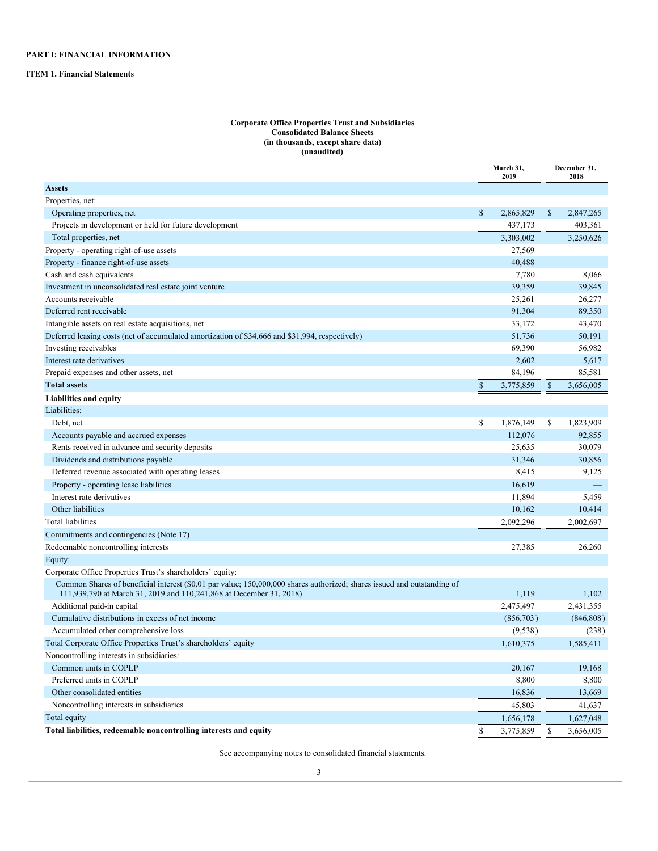<span id="page-4-3"></span><span id="page-4-2"></span><span id="page-4-1"></span><span id="page-4-0"></span>**ITEM 1. Financial Statements**

#### **Corporate Office Properties Trust and Subsidiaries Consolidated Balance Sheets (in thousands, except share data) (unaudited)**

|                                                                                                                                                                                                |               |           | March 31,<br>December 31,<br>2019 |            |
|------------------------------------------------------------------------------------------------------------------------------------------------------------------------------------------------|---------------|-----------|-----------------------------------|------------|
| <b>Assets</b>                                                                                                                                                                                  |               |           |                                   |            |
| Properties, net:                                                                                                                                                                               |               |           |                                   |            |
| Operating properties, net                                                                                                                                                                      | \$            | 2,865,829 | \$                                | 2,847,265  |
| Projects in development or held for future development                                                                                                                                         |               | 437,173   |                                   | 403,361    |
| Total properties, net                                                                                                                                                                          |               | 3,303,002 |                                   | 3,250,626  |
| Property - operating right-of-use assets                                                                                                                                                       |               | 27,569    |                                   |            |
| Property - finance right-of-use assets                                                                                                                                                         |               | 40,488    |                                   |            |
| Cash and cash equivalents                                                                                                                                                                      |               | 7,780     |                                   | 8,066      |
| Investment in unconsolidated real estate joint venture                                                                                                                                         |               | 39,359    |                                   | 39,845     |
| Accounts receivable                                                                                                                                                                            |               | 25,261    |                                   | 26,277     |
| Deferred rent receivable                                                                                                                                                                       |               | 91,304    |                                   | 89,350     |
| Intangible assets on real estate acquisitions, net                                                                                                                                             |               | 33,172    |                                   | 43,470     |
| Deferred leasing costs (net of accumulated amortization of \$34,666 and \$31,994, respectively)                                                                                                |               | 51,736    |                                   | 50,191     |
| Investing receivables                                                                                                                                                                          |               | 69,390    |                                   | 56,982     |
| Interest rate derivatives                                                                                                                                                                      |               | 2,602     |                                   | 5,617      |
| Prepaid expenses and other assets, net                                                                                                                                                         |               | 84,196    |                                   | 85,581     |
| <b>Total assets</b>                                                                                                                                                                            | $\mathbb{S}$  | 3,775,859 | $\mathbb S$                       | 3,656,005  |
| Liabilities and equity                                                                                                                                                                         |               |           |                                   |            |
| Liabilities:                                                                                                                                                                                   |               |           |                                   |            |
| Debt, net                                                                                                                                                                                      | \$            | 1,876,149 | \$                                | 1,823,909  |
| Accounts payable and accrued expenses                                                                                                                                                          |               | 112,076   |                                   | 92,855     |
| Rents received in advance and security deposits                                                                                                                                                |               | 25,635    |                                   | 30,079     |
| Dividends and distributions payable                                                                                                                                                            |               | 31,346    |                                   | 30,856     |
| Deferred revenue associated with operating leases                                                                                                                                              |               | 8,415     |                                   | 9,125      |
| Property - operating lease liabilities                                                                                                                                                         |               | 16,619    |                                   |            |
| Interest rate derivatives                                                                                                                                                                      |               | 11,894    |                                   | 5,459      |
| Other liabilities                                                                                                                                                                              |               | 10,162    |                                   | 10,414     |
| <b>Total liabilities</b>                                                                                                                                                                       |               | 2,092,296 |                                   | 2,002,697  |
| Commitments and contingencies (Note 17)                                                                                                                                                        |               |           |                                   |            |
| Redeemable noncontrolling interests                                                                                                                                                            |               | 27,385    |                                   | 26,260     |
| Equity:                                                                                                                                                                                        |               |           |                                   |            |
| Corporate Office Properties Trust's shareholders' equity:                                                                                                                                      |               |           |                                   |            |
| Common Shares of beneficial interest (\$0.01 par value; 150,000,000 shares authorized; shares issued and outstanding of<br>111,939,790 at March 31, 2019 and 110,241,868 at December 31, 2018) |               | 1,119     |                                   | 1,102      |
| Additional paid-in capital                                                                                                                                                                     |               | 2,475,497 |                                   | 2,431,355  |
| Cumulative distributions in excess of net income                                                                                                                                               |               | (856,703) |                                   | (846, 808) |
| Accumulated other comprehensive loss                                                                                                                                                           |               | (9, 538)  |                                   | (238)      |
| Total Corporate Office Properties Trust's shareholders' equity                                                                                                                                 |               | 1,610,375 |                                   | 1,585,411  |
| Noncontrolling interests in subsidiaries:                                                                                                                                                      |               |           |                                   |            |
| Common units in COPLP                                                                                                                                                                          |               | 20,167    |                                   | 19,168     |
| Preferred units in COPLP                                                                                                                                                                       |               | 8,800     |                                   | 8,800      |
| Other consolidated entities                                                                                                                                                                    |               | 16,836    |                                   | 13,669     |
| Noncontrolling interests in subsidiaries                                                                                                                                                       |               | 45,803    |                                   | 41,637     |
| Total equity                                                                                                                                                                                   |               | 1,656,178 |                                   | 1,627,048  |
| Total liabilities, redeemable noncontrolling interests and equity                                                                                                                              | ${\mathbb S}$ | 3,775,859 | \$                                | 3,656,005  |

See accompanying notes to consolidated financial statements.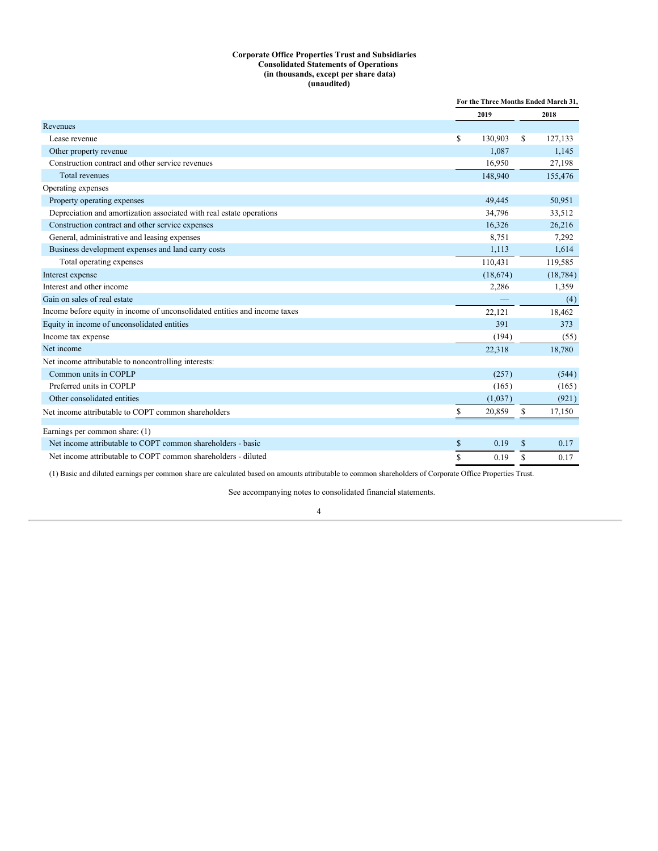#### **Corporate Office Properties Trust and Subsidiaries Consolidated Statements of Operations (in thousands, except per share data) (unaudited)**

<span id="page-5-0"></span>

|                                                                            |               | For the Three Months Ended March 31, |
|----------------------------------------------------------------------------|---------------|--------------------------------------|
|                                                                            | 2019          | 2018                                 |
| Revenues                                                                   |               |                                      |
| Lease revenue                                                              | \$<br>130,903 | 127,133<br><sup>\$</sup>             |
| Other property revenue                                                     | 1,087         | 1,145                                |
| Construction contract and other service revenues                           | 16,950        | 27,198                               |
| <b>Total revenues</b>                                                      | 148,940       | 155,476                              |
| Operating expenses                                                         |               |                                      |
| Property operating expenses                                                | 49,445        | 50,951                               |
| Depreciation and amortization associated with real estate operations       | 34,796        | 33,512                               |
| Construction contract and other service expenses                           | 16,326        | 26,216                               |
| General, administrative and leasing expenses                               | 8,751         | 7,292                                |
| Business development expenses and land carry costs                         | 1,113         | 1,614                                |
| Total operating expenses                                                   | 110,431       | 119,585                              |
| Interest expense                                                           | (18,674)      | (18, 784)                            |
| Interest and other income                                                  | 2,286         | 1,359                                |
| Gain on sales of real estate                                               |               | (4)                                  |
| Income before equity in income of unconsolidated entities and income taxes | 22,121        | 18,462                               |
| Equity in income of unconsolidated entities                                | 391           | 373                                  |
| Income tax expense                                                         | (194)         | (55)                                 |
| Net income                                                                 | 22,318        | 18,780                               |
| Net income attributable to noncontrolling interests:                       |               |                                      |
| Common units in COPLP                                                      | (257)         | (544)                                |
| Preferred units in COPLP                                                   | (165)         | (165)                                |
| Other consolidated entities                                                | (1,037)       | (921)                                |
| Net income attributable to COPT common shareholders                        | 20,859<br>\$  | \$<br>17,150                         |
| Earnings per common share: (1)                                             |               |                                      |
| Net income attributable to COPT common shareholders - basic                | \$<br>0.19    | <sup>\$</sup><br>0.17                |
| Net income attributable to COPT common shareholders - diluted              | \$<br>0.19    | \$<br>0.17                           |
|                                                                            |               |                                      |

(1) Basic and diluted earnings per common share are calculated based on amounts attributable to common shareholders of Corporate Office Properties Trust.

See accompanying notes to consolidated financial statements.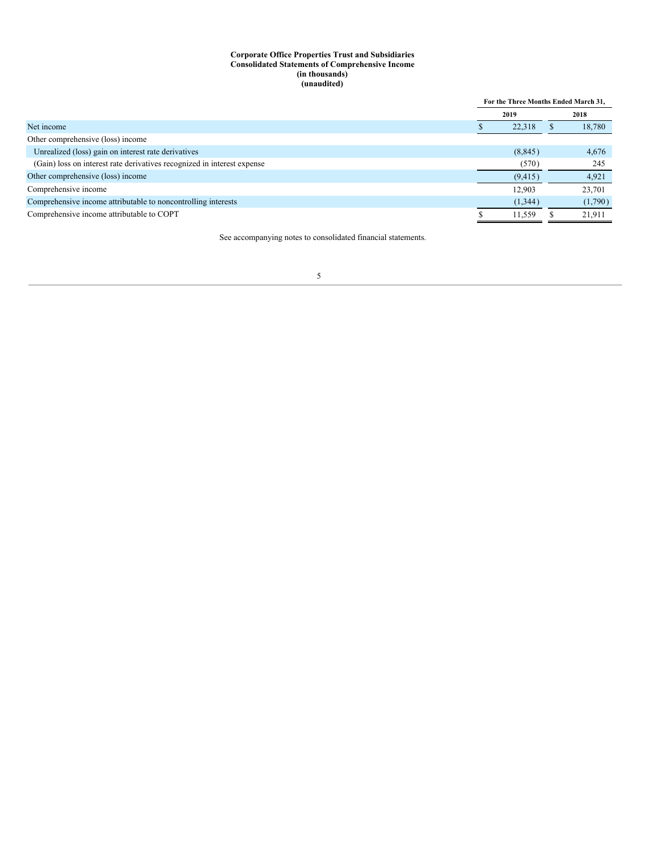### **Corporate Office Properties Trust and Subsidiaries Consolidated Statements of Comprehensive Income (in thousands) (unaudited)**

<span id="page-6-0"></span>

|                                                                         |          | For the Three Months Ended March 31. |         |  |  |
|-------------------------------------------------------------------------|----------|--------------------------------------|---------|--|--|
|                                                                         | 2019     |                                      | 2018    |  |  |
| Net income                                                              | 22,318   |                                      | 18,780  |  |  |
| Other comprehensive (loss) income                                       |          |                                      |         |  |  |
| Unrealized (loss) gain on interest rate derivatives                     | (8, 845) |                                      | 4,676   |  |  |
| (Gain) loss on interest rate derivatives recognized in interest expense | (570)    |                                      | 245     |  |  |
| Other comprehensive (loss) income                                       | (9, 415) |                                      | 4,921   |  |  |
| Comprehensive income                                                    | 12.903   |                                      | 23,701  |  |  |
| Comprehensive income attributable to noncontrolling interests           | (1,344)  |                                      | (1,790) |  |  |
| Comprehensive income attributable to COPT                               | 11,559   |                                      | 21.911  |  |  |
|                                                                         |          |                                      |         |  |  |

See accompanying notes to consolidated financial statements.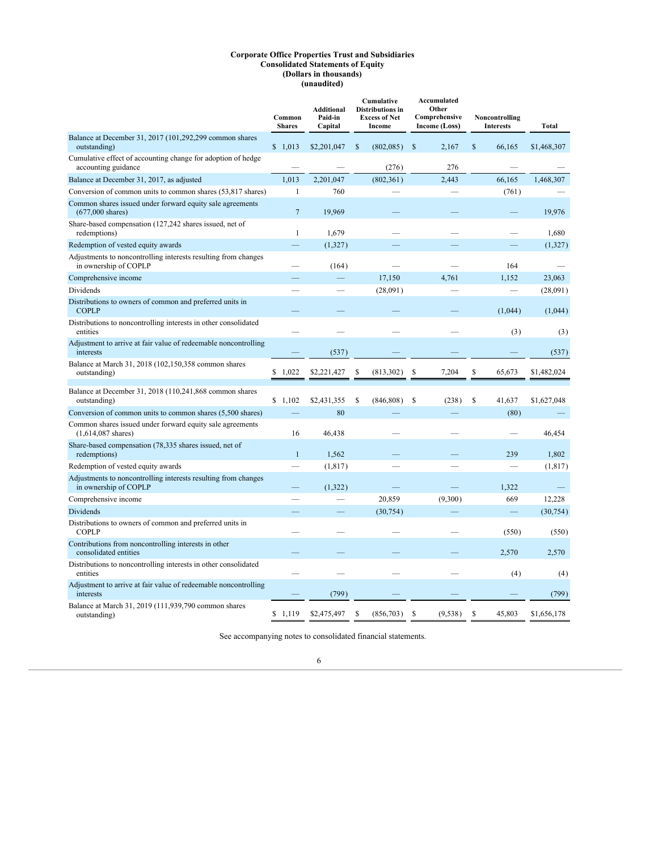#### **Corporate Office Properties Trust and Subsidiaries Consolidated Statements of Equity (Dollars in thousands) (unaudited)**

<span id="page-7-0"></span>

|                                                                                           | Common<br><b>Shares</b> | <b>Additional</b><br>Paid-in<br>Capital |    | Cumulative<br><b>Distributions</b> in<br><b>Excess of Net</b><br>Income | Accumulated<br>Other<br>Comprehensive<br>Income (Loss) |          |              |             | Noncontrolling<br><b>Interests</b> | Total |
|-------------------------------------------------------------------------------------------|-------------------------|-----------------------------------------|----|-------------------------------------------------------------------------|--------------------------------------------------------|----------|--------------|-------------|------------------------------------|-------|
| Balance at December 31, 2017 (101,292,299 common shares<br>outstanding)                   | \$1,013                 | \$2,201,047                             | S  | (802,085)                                                               | $\mathcal{S}$                                          | 2,167    | \$<br>66,165 | \$1,468,307 |                                    |       |
| Cumulative effect of accounting change for adoption of hedge<br>accounting guidance       |                         |                                         |    | (276)                                                                   |                                                        | 276      |              |             |                                    |       |
| Balance at December 31, 2017, as adjusted                                                 | 1.013                   | 2,201,047                               |    | (802, 361)                                                              |                                                        | 2.443    | 66,165       | 1,468,307   |                                    |       |
| Conversion of common units to common shares (53,817 shares)                               | $\mathbf{1}$            | 760                                     |    |                                                                         |                                                        |          | (761)        |             |                                    |       |
| Common shares issued under forward equity sale agreements<br>$(677,000 \text{ shares})$   | $\tau$                  | 19,969                                  |    |                                                                         |                                                        |          |              | 19,976      |                                    |       |
| Share-based compensation (127,242 shares issued, net of<br>redemptions)                   | $\mathbf{1}$            | 1,679                                   |    |                                                                         |                                                        |          |              | 1,680       |                                    |       |
| Redemption of vested equity awards                                                        |                         | (1, 327)                                |    |                                                                         |                                                        |          |              | (1,327)     |                                    |       |
| Adjustments to noncontrolling interests resulting from changes<br>in ownership of COPLP   |                         | (164)                                   |    |                                                                         |                                                        |          | 164          |             |                                    |       |
| Comprehensive income                                                                      |                         |                                         |    | 17,150                                                                  |                                                        | 4,761    | 1,152        | 23,063      |                                    |       |
| Dividends                                                                                 |                         |                                         |    | (28,091)                                                                |                                                        |          |              | (28,091)    |                                    |       |
| Distributions to owners of common and preferred units in<br><b>COPLP</b>                  |                         |                                         |    |                                                                         |                                                        |          | (1,044)      | (1,044)     |                                    |       |
| Distributions to noncontrolling interests in other consolidated<br>entities               |                         |                                         |    |                                                                         |                                                        |          | (3)          | (3)         |                                    |       |
| Adjustment to arrive at fair value of redeemable noncontrolling<br>interests              |                         | (537)                                   |    |                                                                         |                                                        |          |              | (537)       |                                    |       |
| Balance at March 31, 2018 (102,150,358 common shares<br>outstanding)                      | 1,022<br>\$.            | \$2,221,427                             | S  | (813,302)                                                               | \$                                                     | 7,204    | \$<br>65,673 | \$1,482,024 |                                    |       |
| Balance at December 31, 2018 (110,241,868 common shares                                   |                         |                                         |    |                                                                         |                                                        |          |              |             |                                    |       |
| outstanding)                                                                              | \$1,102                 | \$2,431,355                             | \$ | (846, 808)                                                              | \$                                                     | (238)    | \$<br>41,637 | \$1,627,048 |                                    |       |
| Conversion of common units to common shares (5,500 shares)                                |                         | 80                                      |    |                                                                         |                                                        |          | (80)         |             |                                    |       |
| Common shares issued under forward equity sale agreements<br>$(1,614,087 \text{ shares})$ | 16                      | 46,438                                  |    |                                                                         |                                                        |          |              | 46,454      |                                    |       |
| Share-based compensation (78,335 shares issued, net of<br>redemptions)                    | $\mathbf{1}$            | 1,562                                   |    |                                                                         |                                                        |          | 239          | 1,802       |                                    |       |
| Redemption of vested equity awards                                                        |                         | (1, 817)                                |    |                                                                         |                                                        |          |              | (1,817)     |                                    |       |
| Adjustments to noncontrolling interests resulting from changes<br>in ownership of COPLP   |                         | (1,322)                                 |    |                                                                         |                                                        |          | 1,322        |             |                                    |       |
| Comprehensive income                                                                      |                         |                                         |    | 20,859                                                                  |                                                        | (9,300)  | 669          | 12,228      |                                    |       |
| Dividends                                                                                 |                         |                                         |    | (30, 754)                                                               |                                                        |          |              | (30, 754)   |                                    |       |
| Distributions to owners of common and preferred units in<br><b>COPLP</b>                  |                         |                                         |    |                                                                         |                                                        |          | (550)        | (550)       |                                    |       |
| Contributions from noncontrolling interests in other<br>consolidated entities             |                         |                                         |    |                                                                         |                                                        |          | 2,570        | 2,570       |                                    |       |
| Distributions to noncontrolling interests in other consolidated<br>entities               |                         |                                         |    |                                                                         |                                                        |          | (4)          | (4)         |                                    |       |
| Adjustment to arrive at fair value of redeemable noncontrolling<br>interests              |                         | (799)                                   |    |                                                                         |                                                        |          |              | (799)       |                                    |       |
| Balance at March 31, 2019 (111,939,790 common shares<br>outstanding)                      | \$1,119                 | \$2,475,497                             | \$ | (856, 703)                                                              | \$                                                     | (9, 538) | \$<br>45,803 | \$1,656,178 |                                    |       |

See accompanying notes to consolidated financial statements.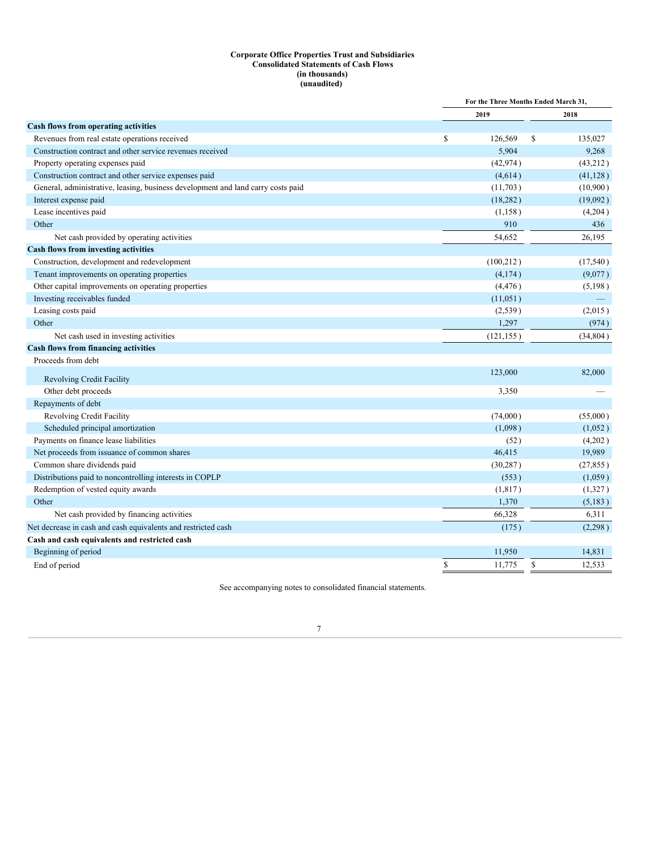### **Corporate Office Properties Trust and Subsidiaries Consolidated Statements of Cash Flows (in thousands) (unaudited)**

<span id="page-8-0"></span>

|                                                                                  | For the Three Months Ended March 31, |    |           |  |  |
|----------------------------------------------------------------------------------|--------------------------------------|----|-----------|--|--|
|                                                                                  | 2019                                 |    | 2018      |  |  |
| Cash flows from operating activities                                             |                                      |    |           |  |  |
| Revenues from real estate operations received                                    | \$<br>126,569                        | S  | 135,027   |  |  |
| Construction contract and other service revenues received                        | 5,904                                |    | 9,268     |  |  |
| Property operating expenses paid                                                 | (42, 974)                            |    | (43,212)  |  |  |
| Construction contract and other service expenses paid                            | (4,614)                              |    | (41, 128) |  |  |
| General, administrative, leasing, business development and land carry costs paid | (11,703)                             |    | (10,900)  |  |  |
| Interest expense paid                                                            | (18, 282)                            |    | (19,092)  |  |  |
| Lease incentives paid                                                            | (1,158)                              |    | (4,204)   |  |  |
| Other                                                                            | 910                                  |    | 436       |  |  |
| Net cash provided by operating activities                                        | 54,652                               |    | 26,195    |  |  |
| Cash flows from investing activities                                             |                                      |    |           |  |  |
| Construction, development and redevelopment                                      | (100, 212)                           |    | (17, 540) |  |  |
| Tenant improvements on operating properties                                      | (4,174)                              |    | (9,077)   |  |  |
| Other capital improvements on operating properties                               | (4, 476)                             |    | (5,198)   |  |  |
| Investing receivables funded                                                     | (11,051)                             |    |           |  |  |
| Leasing costs paid                                                               | (2, 539)                             |    | (2,015)   |  |  |
| Other                                                                            | 1,297                                |    | (974)     |  |  |
| Net cash used in investing activities                                            | (121, 155)                           |    | (34, 804) |  |  |
| <b>Cash flows from financing activities</b>                                      |                                      |    |           |  |  |
| Proceeds from debt                                                               |                                      |    |           |  |  |
| <b>Revolving Credit Facility</b>                                                 | 123,000                              |    | 82,000    |  |  |
| Other debt proceeds                                                              | 3,350                                |    |           |  |  |
| Repayments of debt                                                               |                                      |    |           |  |  |
| <b>Revolving Credit Facility</b>                                                 | (74,000)                             |    | (55,000)  |  |  |
| Scheduled principal amortization                                                 | (1,098)                              |    | (1,052)   |  |  |
| Payments on finance lease liabilities                                            | (52)                                 |    | (4,202)   |  |  |
| Net proceeds from issuance of common shares                                      | 46,415                               |    | 19,989    |  |  |
| Common share dividends paid                                                      | (30, 287)                            |    | (27, 855) |  |  |
| Distributions paid to noncontrolling interests in COPLP                          | (553)                                |    | (1,059)   |  |  |
| Redemption of vested equity awards                                               | (1,817)                              |    | (1,327)   |  |  |
| Other                                                                            | 1,370                                |    | (5,183)   |  |  |
| Net cash provided by financing activities                                        | 66,328                               |    | 6,311     |  |  |
| Net decrease in cash and cash equivalents and restricted cash                    | (175)                                |    | (2,298)   |  |  |
| Cash and cash equivalents and restricted cash                                    |                                      |    |           |  |  |
| Beginning of period                                                              | 11,950                               |    | 14,831    |  |  |
| End of period                                                                    | \$<br>11,775                         | \$ | 12,533    |  |  |
|                                                                                  |                                      |    |           |  |  |

See accompanying notes to consolidated financial statements.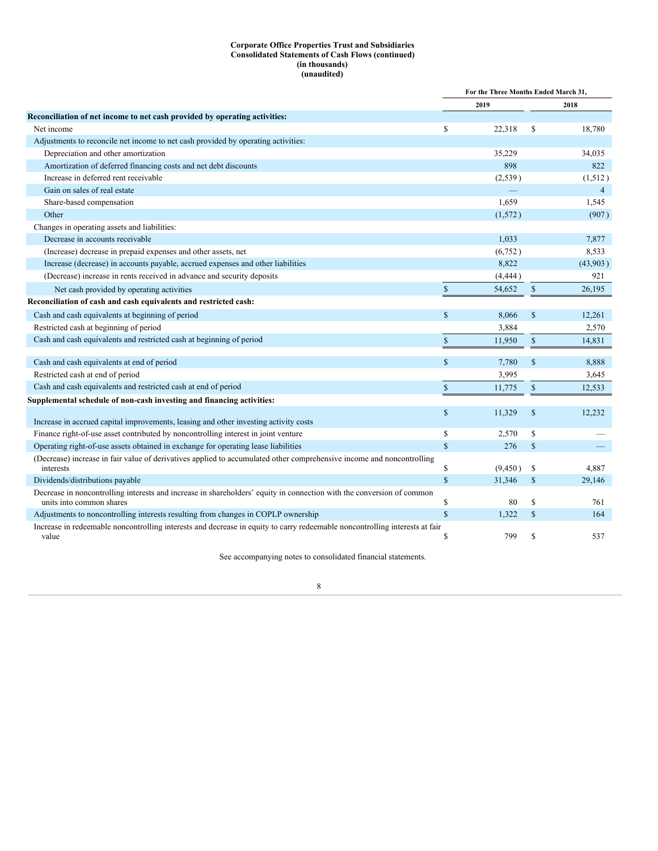## **Corporate Office Properties Trust and Subsidiaries Consolidated Statements of Cash Flows (continued) (in thousands) (unaudited)**

|                                                                                                                                                   | For the Three Months Ended March 31, |          |              |                |
|---------------------------------------------------------------------------------------------------------------------------------------------------|--------------------------------------|----------|--------------|----------------|
|                                                                                                                                                   |                                      | 2019     |              | 2018           |
| Reconciliation of net income to net cash provided by operating activities:                                                                        |                                      |          |              |                |
| Net income                                                                                                                                        | \$                                   | 22,318   | S            | 18,780         |
| Adjustments to reconcile net income to net cash provided by operating activities:                                                                 |                                      |          |              |                |
| Depreciation and other amortization                                                                                                               |                                      | 35,229   |              | 34,035         |
| Amortization of deferred financing costs and net debt discounts                                                                                   |                                      | 898      |              | 822            |
| Increase in deferred rent receivable                                                                                                              |                                      | (2,539)  |              | (1,512)        |
| Gain on sales of real estate                                                                                                                      |                                      |          |              | $\overline{4}$ |
| Share-based compensation                                                                                                                          |                                      | 1,659    |              | 1,545          |
| Other                                                                                                                                             |                                      | (1,572)  |              | (907)          |
| Changes in operating assets and liabilities:                                                                                                      |                                      |          |              |                |
| Decrease in accounts receivable                                                                                                                   |                                      | 1.033    |              | 7,877          |
| (Increase) decrease in prepaid expenses and other assets, net                                                                                     |                                      | (6,752)  |              | 8,533          |
| Increase (decrease) in accounts payable, accrued expenses and other liabilities                                                                   |                                      | 8,822    |              | (43,903)       |
| (Decrease) increase in rents received in advance and security deposits                                                                            |                                      | (4, 444) |              | 921            |
| Net cash provided by operating activities                                                                                                         | $\mathbf S$                          | 54,652   | $\mathbb{S}$ | 26,195         |
| Reconciliation of cash and cash equivalents and restricted cash:                                                                                  |                                      |          |              |                |
| Cash and cash equivalents at beginning of period                                                                                                  | $\mathcal{S}$                        | 8.066    | $\mathbf S$  | 12,261         |
| Restricted cash at beginning of period                                                                                                            |                                      | 3,884    |              | 2,570          |
| Cash and cash equivalents and restricted cash at beginning of period                                                                              | $\mathsf{\$}$                        | 11,950   | $\mathbb S$  | 14,831         |
|                                                                                                                                                   |                                      |          |              |                |
| Cash and cash equivalents at end of period                                                                                                        | <sup>\$</sup>                        | 7.780    | $\mathbf S$  | 8,888          |
| Restricted cash at end of period                                                                                                                  |                                      | 3,995    |              | 3,645          |
| Cash and cash equivalents and restricted cash at end of period                                                                                    | $\mathsf{\$}$                        | 11,775   | $\mathbb{S}$ | 12,533         |
| Supplemental schedule of non-cash investing and financing activities:                                                                             |                                      |          |              |                |
|                                                                                                                                                   | \$                                   | 11,329   | \$           | 12,232         |
| Increase in accrued capital improvements, leasing and other investing activity costs                                                              |                                      |          |              |                |
| Finance right-of-use asset contributed by noncontrolling interest in joint venture                                                                | \$                                   | 2,570    | \$           |                |
| Operating right-of-use assets obtained in exchange for operating lease liabilities                                                                | $\mathbf S$                          | 276      | $\mathbf S$  |                |
| (Decrease) increase in fair value of derivatives applied to accumulated other comprehensive income and noncontrolling<br>interests                | \$                                   | (9, 450) | S            | 4,887          |
| Dividends/distributions payable                                                                                                                   | $\mathbf S$                          | 31,346   | $\mathbb{S}$ | 29,146         |
| Decrease in noncontrolling interests and increase in shareholders' equity in connection with the conversion of common<br>units into common shares | \$                                   | 80       | \$           | 761            |
| Adjustments to noncontrolling interests resulting from changes in COPLP ownership                                                                 | $\mathsf{\$}$                        | 1,322    | $\mathbb{S}$ | 164            |
| Increase in redeemable noncontrolling interests and decrease in equity to carry redeemable noncontrolling interests at fair<br>value              | \$                                   | 799      | \$           | 537            |

See accompanying notes to consolidated financial statements.

|  | ٦ |  |
|--|---|--|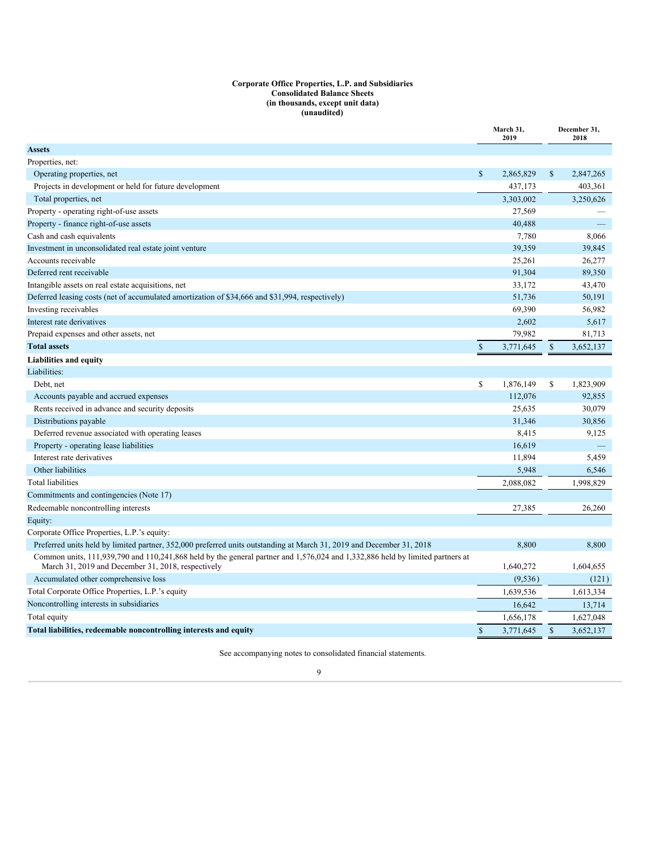#### **Corporate Office Properties, L.P. and Subsidiaries Consolidated Balance Sheets (in thousands, except unit data) (unaudited)**

<span id="page-10-1"></span><span id="page-10-0"></span>

|                                                                                                                                                                                     |              | March 31,<br>2019 | December 31,<br>2018 |           |  |
|-------------------------------------------------------------------------------------------------------------------------------------------------------------------------------------|--------------|-------------------|----------------------|-----------|--|
| <b>Assets</b>                                                                                                                                                                       |              |                   |                      |           |  |
| Properties, net:                                                                                                                                                                    |              |                   |                      |           |  |
| Operating properties, net                                                                                                                                                           | $\mathbb{S}$ | 2,865,829         | $\mathbb{S}$         | 2,847,265 |  |
| Projects in development or held for future development                                                                                                                              |              | 437,173           |                      | 403,361   |  |
| Total properties, net                                                                                                                                                               |              | 3,303,002         |                      | 3,250,626 |  |
| Property - operating right-of-use assets                                                                                                                                            |              | 27,569            |                      |           |  |
| Property - finance right-of-use assets                                                                                                                                              |              | 40,488            |                      |           |  |
| Cash and cash equivalents                                                                                                                                                           |              | 7,780             |                      | 8,066     |  |
| Investment in unconsolidated real estate joint venture                                                                                                                              |              | 39,359            |                      | 39,845    |  |
| Accounts receivable                                                                                                                                                                 |              | 25,261            |                      | 26,277    |  |
| Deferred rent receivable                                                                                                                                                            |              | 91,304            |                      | 89,350    |  |
| Intangible assets on real estate acquisitions, net                                                                                                                                  |              | 33,172            |                      | 43,470    |  |
| Deferred leasing costs (net of accumulated amortization of \$34,666 and \$31,994, respectively)                                                                                     |              | 51,736            |                      | 50,191    |  |
| Investing receivables                                                                                                                                                               |              | 69,390            |                      | 56,982    |  |
| Interest rate derivatives                                                                                                                                                           |              | 2,602             |                      | 5,617     |  |
| Prepaid expenses and other assets, net                                                                                                                                              |              | 79,982            |                      | 81,713    |  |
| <b>Total assets</b>                                                                                                                                                                 | $\mathbb{S}$ | 3,771,645         | $\mathbb{S}$         | 3,652,137 |  |
| <b>Liabilities and equity</b>                                                                                                                                                       |              |                   |                      |           |  |
| Liabilities:                                                                                                                                                                        |              |                   |                      |           |  |
| Debt, net                                                                                                                                                                           | $\mathbb{S}$ | 1,876,149         | S                    | 1,823,909 |  |
| Accounts payable and accrued expenses                                                                                                                                               |              | 112,076           |                      | 92,855    |  |
| Rents received in advance and security deposits                                                                                                                                     |              | 25,635            |                      | 30,079    |  |
| Distributions payable                                                                                                                                                               |              | 31,346            |                      | 30,856    |  |
| Deferred revenue associated with operating leases                                                                                                                                   |              | 8,415             |                      | 9,125     |  |
| Property - operating lease liabilities                                                                                                                                              |              | 16,619            |                      |           |  |
| Interest rate derivatives                                                                                                                                                           |              | 11,894            |                      | 5,459     |  |
| Other liabilities                                                                                                                                                                   |              | 5,948             |                      | 6,546     |  |
| Total liabilities                                                                                                                                                                   |              | 2,088,082         |                      | 1,998,829 |  |
| Commitments and contingencies (Note 17)                                                                                                                                             |              |                   |                      |           |  |
| Redeemable noncontrolling interests                                                                                                                                                 |              | 27,385            |                      | 26,260    |  |
| Equity:                                                                                                                                                                             |              |                   |                      |           |  |
| Corporate Office Properties, L.P.'s equity:                                                                                                                                         |              |                   |                      |           |  |
| Preferred units held by limited partner, 352,000 preferred units outstanding at March 31, 2019 and December 31, 2018                                                                |              | 8,800             |                      | 8,800     |  |
| Common units, 111,939,790 and 110,241,868 held by the general partner and 1,576,024 and 1,332,886 held by limited partners at<br>March 31, 2019 and December 31, 2018, respectively |              | 1,640,272         |                      | 1,604,655 |  |
| Accumulated other comprehensive loss                                                                                                                                                |              | (9, 536)          |                      | (121)     |  |
| Total Corporate Office Properties, L.P.'s equity                                                                                                                                    |              | 1,639,536         |                      | 1,613,334 |  |
| Noncontrolling interests in subsidiaries                                                                                                                                            |              | 16,642            |                      | 13,714    |  |
| Total equity                                                                                                                                                                        |              | 1,656,178         |                      | 1,627,048 |  |
| Total liabilities, redeemable noncontrolling interests and equity                                                                                                                   | $\mathbb{S}$ | 3,771,645         | $\mathbb{S}$         | 3,652,137 |  |
|                                                                                                                                                                                     |              |                   |                      |           |  |

See accompanying notes to consolidated financial statements.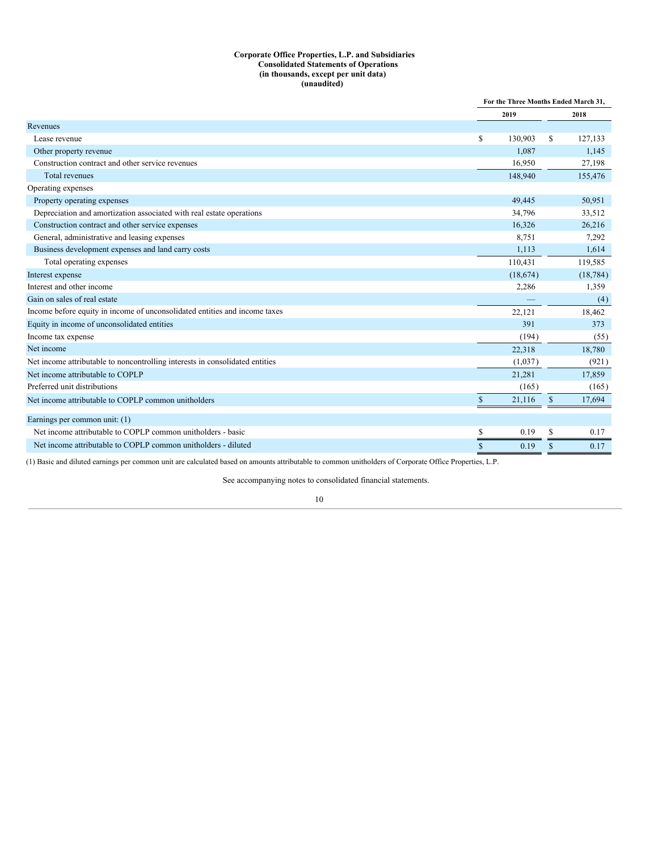## **Corporate Office Properties, L.P. and Subsidiaries Consolidated Statements of Operations (in thousands, except per unit data) (unaudited)**

<span id="page-11-0"></span>

|                                                                              |              | For the Three Months Ended March 31, |    |           |
|------------------------------------------------------------------------------|--------------|--------------------------------------|----|-----------|
|                                                                              |              | 2019                                 |    | 2018      |
| Revenues                                                                     |              |                                      |    |           |
| Lease revenue                                                                | \$           | 130,903                              | S  | 127,133   |
| Other property revenue                                                       |              | 1,087                                |    | 1,145     |
| Construction contract and other service revenues                             |              | 16,950                               |    | 27,198    |
| <b>Total revenues</b>                                                        |              | 148,940                              |    | 155,476   |
| Operating expenses                                                           |              |                                      |    |           |
| Property operating expenses                                                  |              | 49,445                               |    | 50,951    |
| Depreciation and amortization associated with real estate operations         |              | 34,796                               |    | 33,512    |
| Construction contract and other service expenses                             |              | 16,326                               |    | 26,216    |
| General, administrative and leasing expenses                                 |              | 8.751                                |    | 7,292     |
| Business development expenses and land carry costs                           |              | 1.113                                |    | 1,614     |
| Total operating expenses                                                     |              | 110,431                              |    | 119,585   |
| Interest expense                                                             |              | (18,674)                             |    | (18, 784) |
| Interest and other income                                                    |              | 2,286                                |    | 1,359     |
| Gain on sales of real estate                                                 |              |                                      |    | (4)       |
| Income before equity in income of unconsolidated entities and income taxes   |              | 22,121                               |    | 18,462    |
| Equity in income of unconsolidated entities                                  |              | 391                                  |    | 373       |
| Income tax expense                                                           |              | (194)                                |    | (55)      |
| Net income                                                                   |              | 22,318                               |    | 18,780    |
| Net income attributable to noncontrolling interests in consolidated entities |              | (1,037)                              |    | (921)     |
| Net income attributable to COPLP                                             |              | 21,281                               |    | 17,859    |
| Preferred unit distributions                                                 |              | (165)                                |    | (165)     |
| Net income attributable to COPLP common unitholders                          | $\mathbb{S}$ | 21,116                               | \$ | 17,694    |
| Earnings per common unit: (1)                                                |              |                                      |    |           |
| Net income attributable to COPLP common unitholders - basic                  | \$           | 0.19                                 | \$ | 0.17      |
| Net income attributable to COPLP common unitholders - diluted                | \$           | 0.19                                 | \$ | 0.17      |

(1) Basic and diluted earnings per common unit are calculated based on amounts attributable to common unitholders of Corporate Office Properties, L.P.

See accompanying notes to consolidated financial statements.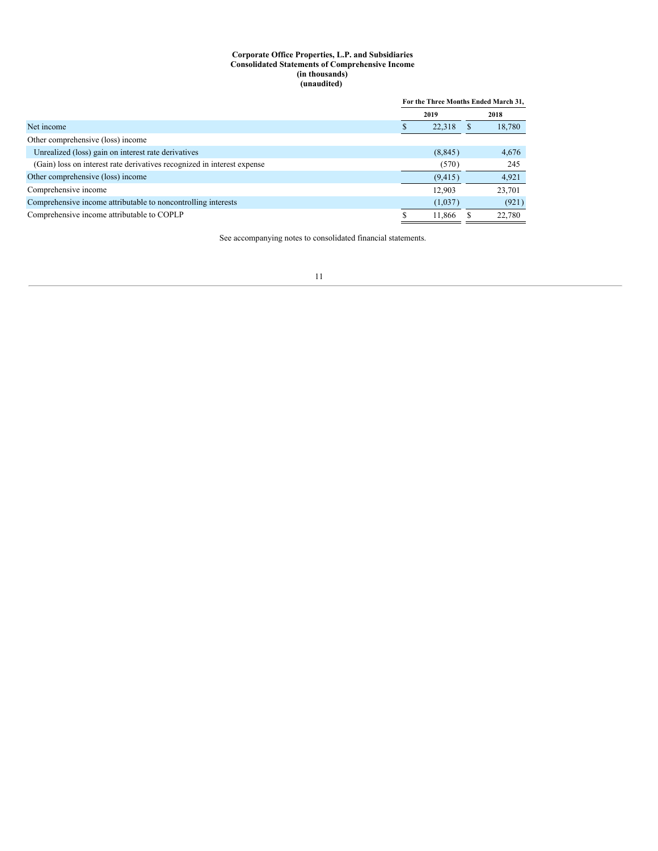#### **Corporate Office Properties, L.P. and Subsidiaries Consolidated Statements of Comprehensive Income (in thousands) (unaudited)**

<span id="page-12-0"></span>

| For the Three Months Ended March 31. |          |  |        |
|--------------------------------------|----------|--|--------|
|                                      | 2019     |  | 2018   |
|                                      | 22.318   |  | 18,780 |
|                                      |          |  |        |
|                                      | (8, 845) |  | 4,676  |
|                                      | (570)    |  | 245    |
|                                      | (9, 415) |  | 4,921  |
|                                      | 12.903   |  | 23,701 |
|                                      | (1,037)  |  | (921)  |
|                                      | 11,866   |  | 22,780 |
|                                      |          |  |        |

See accompanying notes to consolidated financial statements.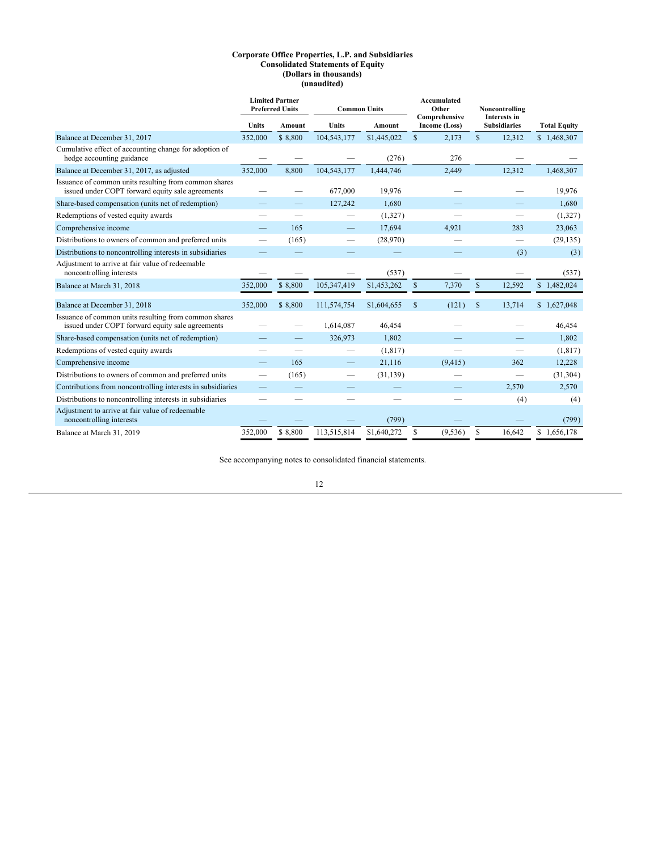#### **Corporate Office Properties, L.P. and Subsidiaries Consolidated Statements of Equity (Dollars in thousands) (unaudited)**

<span id="page-13-0"></span>

|                                                                                                           |                          | <b>Limited Partner</b><br><b>Preferred Units</b> | <b>Common Units</b>            |             | Accumulated<br>Other  | Noncontrolling<br>Comprehensive<br><b>Interests in</b> |                          |                     |  |
|-----------------------------------------------------------------------------------------------------------|--------------------------|--------------------------------------------------|--------------------------------|-------------|-----------------------|--------------------------------------------------------|--------------------------|---------------------|--|
|                                                                                                           | Units                    | Amount                                           | Units                          | Amount      | Income (Loss)         |                                                        | <b>Subsidiaries</b>      | <b>Total Equity</b> |  |
| Balance at December 31, 2017                                                                              | 352,000                  | \$8,800                                          | 104,543,177                    | \$1,445,022 | $\mathbb{S}$<br>2,173 | $\mathbb{S}$                                           | 12,312                   | \$1,468,307         |  |
| Cumulative effect of accounting change for adoption of<br>hedge accounting guidance                       |                          |                                                  |                                | (276)       | 276                   |                                                        |                          |                     |  |
| Balance at December 31, 2017, as adjusted                                                                 | 352,000                  | 8,800                                            | 104,543,177                    | 1,444,746   | 2,449                 |                                                        | 12,312                   | 1,468,307           |  |
| Issuance of common units resulting from common shares<br>issued under COPT forward equity sale agreements |                          |                                                  | 677,000                        | 19,976      |                       |                                                        |                          | 19,976              |  |
| Share-based compensation (units net of redemption)                                                        |                          |                                                  | 127,242                        | 1,680       |                       |                                                        |                          | 1,680               |  |
| Redemptions of vested equity awards                                                                       |                          |                                                  |                                | (1,327)     |                       |                                                        |                          | (1,327)             |  |
| Comprehensive income                                                                                      | —                        | 165                                              | $\qquad \qquad \longleftarrow$ | 17,694      | 4.921                 |                                                        | 283                      | 23,063              |  |
| Distributions to owners of common and preferred units                                                     |                          | (165)                                            |                                | (28,970)    |                       |                                                        |                          | (29, 135)           |  |
| Distributions to noncontrolling interests in subsidiaries                                                 |                          |                                                  |                                |             |                       |                                                        | (3)                      | (3)                 |  |
| Adjustment to arrive at fair value of redeemable<br>noncontrolling interests                              |                          |                                                  |                                | (537)       |                       |                                                        |                          | (537)               |  |
| Balance at March 31, 2018                                                                                 | 352,000                  | \$8,800                                          | 105,347,419                    | \$1,453,262 | \$<br>7,370           | $\mathbb{S}$                                           | 12,592                   | \$1,482,024         |  |
| Balance at December 31, 2018                                                                              | 352,000                  | \$8,800                                          | 111,574,754                    | \$1,604,655 | $\mathbb{S}$<br>(121) | $\mathbb{S}$                                           | 13,714                   | \$1,627,048         |  |
| Issuance of common units resulting from common shares<br>issued under COPT forward equity sale agreements |                          |                                                  | 1,614,087                      | 46,454      |                       |                                                        |                          | 46,454              |  |
| Share-based compensation (units net of redemption)                                                        |                          |                                                  | 326,973                        | 1,802       |                       |                                                        |                          | 1,802               |  |
| Redemptions of vested equity awards                                                                       |                          |                                                  |                                | (1,817)     |                       |                                                        |                          | (1, 817)            |  |
| Comprehensive income                                                                                      |                          | 165                                              |                                | 21,116      | (9, 415)              |                                                        | 362                      | 12,228              |  |
| Distributions to owners of common and preferred units                                                     | $\overline{\phantom{0}}$ | (165)                                            |                                | (31, 139)   |                       |                                                        | $\overline{\phantom{0}}$ | (31, 304)           |  |
| Contributions from noncontrolling interests in subsidiaries                                               |                          |                                                  |                                |             |                       |                                                        | 2,570                    | 2,570               |  |
| Distributions to noncontrolling interests in subsidiaries                                                 |                          |                                                  |                                |             |                       |                                                        | (4)                      | (4)                 |  |
| Adjustment to arrive at fair value of redeemable<br>noncontrolling interests                              |                          |                                                  |                                | (799)       |                       |                                                        |                          | (799)               |  |
| Balance at March 31, 2019                                                                                 | 352,000                  | \$8,800                                          | 113,515,814                    | \$1,640,272 | S<br>(9, 536)         | S                                                      | 16,642                   | \$1,656,178         |  |

See accompanying notes to consolidated financial statements.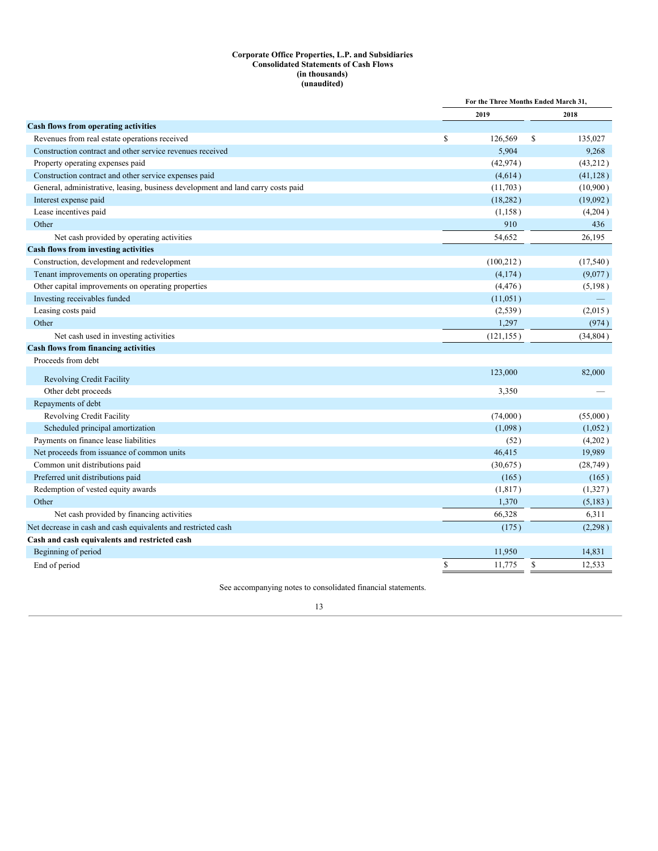#### **Corporate Office Properties, L.P. and Subsidiaries Consolidated Statements of Cash Flows (in thousands) (unaudited)**

<span id="page-14-0"></span>

| 2019<br>2018<br>Cash flows from operating activities<br>Revenues from real estate operations received<br>\$<br>126,569<br>\$<br>135,027<br>Construction contract and other service revenues received<br>5,904<br>9,268<br>Property operating expenses paid<br>(42, 974)<br>(43,212)<br>Construction contract and other service expenses paid<br>(4,614)<br>(41, 128)<br>General, administrative, leasing, business development and land carry costs paid<br>(11,703)<br>(10,900)<br>Interest expense paid<br>(18, 282)<br>(19,092)<br>Lease incentives paid<br>(1,158)<br>(4,204)<br>Other<br>910<br>436<br>Net cash provided by operating activities<br>26,195<br>54,652<br>Cash flows from investing activities<br>Construction, development and redevelopment<br>(100, 212)<br>(17, 540)<br>Tenant improvements on operating properties<br>(4,174)<br>(9,077)<br>Other capital improvements on operating properties<br>(4, 476)<br>(5,198)<br>Investing receivables funded<br>(11,051)<br>Leasing costs paid<br>(2, 539)<br>(2,015)<br>Other<br>1,297<br>(974)<br>Net cash used in investing activities<br>(34, 804)<br>(121, 155)<br><b>Cash flows from financing activities</b><br>Proceeds from debt<br>123,000<br>82,000<br><b>Revolving Credit Facility</b><br>Other debt proceeds<br>3,350<br>Repayments of debt<br>Revolving Credit Facility<br>(74,000)<br>(55,000)<br>Scheduled principal amortization<br>(1,098)<br>(1,052)<br>Payments on finance lease liabilities<br>(52)<br>(4,202)<br>Net proceeds from issuance of common units<br>46,415<br>19,989<br>Common unit distributions paid<br>(30,675)<br>(28, 749)<br>Preferred unit distributions paid<br>(165)<br>(165)<br>Redemption of vested equity awards<br>(1,817)<br>(1,327)<br>Other<br>1,370<br>(5,183)<br>Net cash provided by financing activities<br>66,328<br>6,311<br>Net decrease in cash and cash equivalents and restricted cash<br>(175)<br>(2,298)<br>Cash and cash equivalents and restricted cash<br>Beginning of period<br>11,950<br>14,831<br>\$<br>11,775<br>\$<br>12,533<br>End of period |  | For the Three Months Ended March 31, |  |  |
|-------------------------------------------------------------------------------------------------------------------------------------------------------------------------------------------------------------------------------------------------------------------------------------------------------------------------------------------------------------------------------------------------------------------------------------------------------------------------------------------------------------------------------------------------------------------------------------------------------------------------------------------------------------------------------------------------------------------------------------------------------------------------------------------------------------------------------------------------------------------------------------------------------------------------------------------------------------------------------------------------------------------------------------------------------------------------------------------------------------------------------------------------------------------------------------------------------------------------------------------------------------------------------------------------------------------------------------------------------------------------------------------------------------------------------------------------------------------------------------------------------------------------------------------------------------------------------------------------------------------------------------------------------------------------------------------------------------------------------------------------------------------------------------------------------------------------------------------------------------------------------------------------------------------------------------------------------------------------------------------------------------------------------------------------------------------------------------|--|--------------------------------------|--|--|
|                                                                                                                                                                                                                                                                                                                                                                                                                                                                                                                                                                                                                                                                                                                                                                                                                                                                                                                                                                                                                                                                                                                                                                                                                                                                                                                                                                                                                                                                                                                                                                                                                                                                                                                                                                                                                                                                                                                                                                                                                                                                                     |  |                                      |  |  |
|                                                                                                                                                                                                                                                                                                                                                                                                                                                                                                                                                                                                                                                                                                                                                                                                                                                                                                                                                                                                                                                                                                                                                                                                                                                                                                                                                                                                                                                                                                                                                                                                                                                                                                                                                                                                                                                                                                                                                                                                                                                                                     |  |                                      |  |  |
|                                                                                                                                                                                                                                                                                                                                                                                                                                                                                                                                                                                                                                                                                                                                                                                                                                                                                                                                                                                                                                                                                                                                                                                                                                                                                                                                                                                                                                                                                                                                                                                                                                                                                                                                                                                                                                                                                                                                                                                                                                                                                     |  |                                      |  |  |
|                                                                                                                                                                                                                                                                                                                                                                                                                                                                                                                                                                                                                                                                                                                                                                                                                                                                                                                                                                                                                                                                                                                                                                                                                                                                                                                                                                                                                                                                                                                                                                                                                                                                                                                                                                                                                                                                                                                                                                                                                                                                                     |  |                                      |  |  |
|                                                                                                                                                                                                                                                                                                                                                                                                                                                                                                                                                                                                                                                                                                                                                                                                                                                                                                                                                                                                                                                                                                                                                                                                                                                                                                                                                                                                                                                                                                                                                                                                                                                                                                                                                                                                                                                                                                                                                                                                                                                                                     |  |                                      |  |  |
|                                                                                                                                                                                                                                                                                                                                                                                                                                                                                                                                                                                                                                                                                                                                                                                                                                                                                                                                                                                                                                                                                                                                                                                                                                                                                                                                                                                                                                                                                                                                                                                                                                                                                                                                                                                                                                                                                                                                                                                                                                                                                     |  |                                      |  |  |
|                                                                                                                                                                                                                                                                                                                                                                                                                                                                                                                                                                                                                                                                                                                                                                                                                                                                                                                                                                                                                                                                                                                                                                                                                                                                                                                                                                                                                                                                                                                                                                                                                                                                                                                                                                                                                                                                                                                                                                                                                                                                                     |  |                                      |  |  |
|                                                                                                                                                                                                                                                                                                                                                                                                                                                                                                                                                                                                                                                                                                                                                                                                                                                                                                                                                                                                                                                                                                                                                                                                                                                                                                                                                                                                                                                                                                                                                                                                                                                                                                                                                                                                                                                                                                                                                                                                                                                                                     |  |                                      |  |  |
|                                                                                                                                                                                                                                                                                                                                                                                                                                                                                                                                                                                                                                                                                                                                                                                                                                                                                                                                                                                                                                                                                                                                                                                                                                                                                                                                                                                                                                                                                                                                                                                                                                                                                                                                                                                                                                                                                                                                                                                                                                                                                     |  |                                      |  |  |
|                                                                                                                                                                                                                                                                                                                                                                                                                                                                                                                                                                                                                                                                                                                                                                                                                                                                                                                                                                                                                                                                                                                                                                                                                                                                                                                                                                                                                                                                                                                                                                                                                                                                                                                                                                                                                                                                                                                                                                                                                                                                                     |  |                                      |  |  |
|                                                                                                                                                                                                                                                                                                                                                                                                                                                                                                                                                                                                                                                                                                                                                                                                                                                                                                                                                                                                                                                                                                                                                                                                                                                                                                                                                                                                                                                                                                                                                                                                                                                                                                                                                                                                                                                                                                                                                                                                                                                                                     |  |                                      |  |  |
|                                                                                                                                                                                                                                                                                                                                                                                                                                                                                                                                                                                                                                                                                                                                                                                                                                                                                                                                                                                                                                                                                                                                                                                                                                                                                                                                                                                                                                                                                                                                                                                                                                                                                                                                                                                                                                                                                                                                                                                                                                                                                     |  |                                      |  |  |
|                                                                                                                                                                                                                                                                                                                                                                                                                                                                                                                                                                                                                                                                                                                                                                                                                                                                                                                                                                                                                                                                                                                                                                                                                                                                                                                                                                                                                                                                                                                                                                                                                                                                                                                                                                                                                                                                                                                                                                                                                                                                                     |  |                                      |  |  |
|                                                                                                                                                                                                                                                                                                                                                                                                                                                                                                                                                                                                                                                                                                                                                                                                                                                                                                                                                                                                                                                                                                                                                                                                                                                                                                                                                                                                                                                                                                                                                                                                                                                                                                                                                                                                                                                                                                                                                                                                                                                                                     |  |                                      |  |  |
|                                                                                                                                                                                                                                                                                                                                                                                                                                                                                                                                                                                                                                                                                                                                                                                                                                                                                                                                                                                                                                                                                                                                                                                                                                                                                                                                                                                                                                                                                                                                                                                                                                                                                                                                                                                                                                                                                                                                                                                                                                                                                     |  |                                      |  |  |
|                                                                                                                                                                                                                                                                                                                                                                                                                                                                                                                                                                                                                                                                                                                                                                                                                                                                                                                                                                                                                                                                                                                                                                                                                                                                                                                                                                                                                                                                                                                                                                                                                                                                                                                                                                                                                                                                                                                                                                                                                                                                                     |  |                                      |  |  |
|                                                                                                                                                                                                                                                                                                                                                                                                                                                                                                                                                                                                                                                                                                                                                                                                                                                                                                                                                                                                                                                                                                                                                                                                                                                                                                                                                                                                                                                                                                                                                                                                                                                                                                                                                                                                                                                                                                                                                                                                                                                                                     |  |                                      |  |  |
|                                                                                                                                                                                                                                                                                                                                                                                                                                                                                                                                                                                                                                                                                                                                                                                                                                                                                                                                                                                                                                                                                                                                                                                                                                                                                                                                                                                                                                                                                                                                                                                                                                                                                                                                                                                                                                                                                                                                                                                                                                                                                     |  |                                      |  |  |
|                                                                                                                                                                                                                                                                                                                                                                                                                                                                                                                                                                                                                                                                                                                                                                                                                                                                                                                                                                                                                                                                                                                                                                                                                                                                                                                                                                                                                                                                                                                                                                                                                                                                                                                                                                                                                                                                                                                                                                                                                                                                                     |  |                                      |  |  |
|                                                                                                                                                                                                                                                                                                                                                                                                                                                                                                                                                                                                                                                                                                                                                                                                                                                                                                                                                                                                                                                                                                                                                                                                                                                                                                                                                                                                                                                                                                                                                                                                                                                                                                                                                                                                                                                                                                                                                                                                                                                                                     |  |                                      |  |  |
|                                                                                                                                                                                                                                                                                                                                                                                                                                                                                                                                                                                                                                                                                                                                                                                                                                                                                                                                                                                                                                                                                                                                                                                                                                                                                                                                                                                                                                                                                                                                                                                                                                                                                                                                                                                                                                                                                                                                                                                                                                                                                     |  |                                      |  |  |
|                                                                                                                                                                                                                                                                                                                                                                                                                                                                                                                                                                                                                                                                                                                                                                                                                                                                                                                                                                                                                                                                                                                                                                                                                                                                                                                                                                                                                                                                                                                                                                                                                                                                                                                                                                                                                                                                                                                                                                                                                                                                                     |  |                                      |  |  |
|                                                                                                                                                                                                                                                                                                                                                                                                                                                                                                                                                                                                                                                                                                                                                                                                                                                                                                                                                                                                                                                                                                                                                                                                                                                                                                                                                                                                                                                                                                                                                                                                                                                                                                                                                                                                                                                                                                                                                                                                                                                                                     |  |                                      |  |  |
|                                                                                                                                                                                                                                                                                                                                                                                                                                                                                                                                                                                                                                                                                                                                                                                                                                                                                                                                                                                                                                                                                                                                                                                                                                                                                                                                                                                                                                                                                                                                                                                                                                                                                                                                                                                                                                                                                                                                                                                                                                                                                     |  |                                      |  |  |
|                                                                                                                                                                                                                                                                                                                                                                                                                                                                                                                                                                                                                                                                                                                                                                                                                                                                                                                                                                                                                                                                                                                                                                                                                                                                                                                                                                                                                                                                                                                                                                                                                                                                                                                                                                                                                                                                                                                                                                                                                                                                                     |  |                                      |  |  |
|                                                                                                                                                                                                                                                                                                                                                                                                                                                                                                                                                                                                                                                                                                                                                                                                                                                                                                                                                                                                                                                                                                                                                                                                                                                                                                                                                                                                                                                                                                                                                                                                                                                                                                                                                                                                                                                                                                                                                                                                                                                                                     |  |                                      |  |  |
|                                                                                                                                                                                                                                                                                                                                                                                                                                                                                                                                                                                                                                                                                                                                                                                                                                                                                                                                                                                                                                                                                                                                                                                                                                                                                                                                                                                                                                                                                                                                                                                                                                                                                                                                                                                                                                                                                                                                                                                                                                                                                     |  |                                      |  |  |
|                                                                                                                                                                                                                                                                                                                                                                                                                                                                                                                                                                                                                                                                                                                                                                                                                                                                                                                                                                                                                                                                                                                                                                                                                                                                                                                                                                                                                                                                                                                                                                                                                                                                                                                                                                                                                                                                                                                                                                                                                                                                                     |  |                                      |  |  |
|                                                                                                                                                                                                                                                                                                                                                                                                                                                                                                                                                                                                                                                                                                                                                                                                                                                                                                                                                                                                                                                                                                                                                                                                                                                                                                                                                                                                                                                                                                                                                                                                                                                                                                                                                                                                                                                                                                                                                                                                                                                                                     |  |                                      |  |  |
|                                                                                                                                                                                                                                                                                                                                                                                                                                                                                                                                                                                                                                                                                                                                                                                                                                                                                                                                                                                                                                                                                                                                                                                                                                                                                                                                                                                                                                                                                                                                                                                                                                                                                                                                                                                                                                                                                                                                                                                                                                                                                     |  |                                      |  |  |
|                                                                                                                                                                                                                                                                                                                                                                                                                                                                                                                                                                                                                                                                                                                                                                                                                                                                                                                                                                                                                                                                                                                                                                                                                                                                                                                                                                                                                                                                                                                                                                                                                                                                                                                                                                                                                                                                                                                                                                                                                                                                                     |  |                                      |  |  |
|                                                                                                                                                                                                                                                                                                                                                                                                                                                                                                                                                                                                                                                                                                                                                                                                                                                                                                                                                                                                                                                                                                                                                                                                                                                                                                                                                                                                                                                                                                                                                                                                                                                                                                                                                                                                                                                                                                                                                                                                                                                                                     |  |                                      |  |  |
|                                                                                                                                                                                                                                                                                                                                                                                                                                                                                                                                                                                                                                                                                                                                                                                                                                                                                                                                                                                                                                                                                                                                                                                                                                                                                                                                                                                                                                                                                                                                                                                                                                                                                                                                                                                                                                                                                                                                                                                                                                                                                     |  |                                      |  |  |
|                                                                                                                                                                                                                                                                                                                                                                                                                                                                                                                                                                                                                                                                                                                                                                                                                                                                                                                                                                                                                                                                                                                                                                                                                                                                                                                                                                                                                                                                                                                                                                                                                                                                                                                                                                                                                                                                                                                                                                                                                                                                                     |  |                                      |  |  |
|                                                                                                                                                                                                                                                                                                                                                                                                                                                                                                                                                                                                                                                                                                                                                                                                                                                                                                                                                                                                                                                                                                                                                                                                                                                                                                                                                                                                                                                                                                                                                                                                                                                                                                                                                                                                                                                                                                                                                                                                                                                                                     |  |                                      |  |  |
|                                                                                                                                                                                                                                                                                                                                                                                                                                                                                                                                                                                                                                                                                                                                                                                                                                                                                                                                                                                                                                                                                                                                                                                                                                                                                                                                                                                                                                                                                                                                                                                                                                                                                                                                                                                                                                                                                                                                                                                                                                                                                     |  |                                      |  |  |
|                                                                                                                                                                                                                                                                                                                                                                                                                                                                                                                                                                                                                                                                                                                                                                                                                                                                                                                                                                                                                                                                                                                                                                                                                                                                                                                                                                                                                                                                                                                                                                                                                                                                                                                                                                                                                                                                                                                                                                                                                                                                                     |  |                                      |  |  |

See accompanying notes to consolidated financial statements.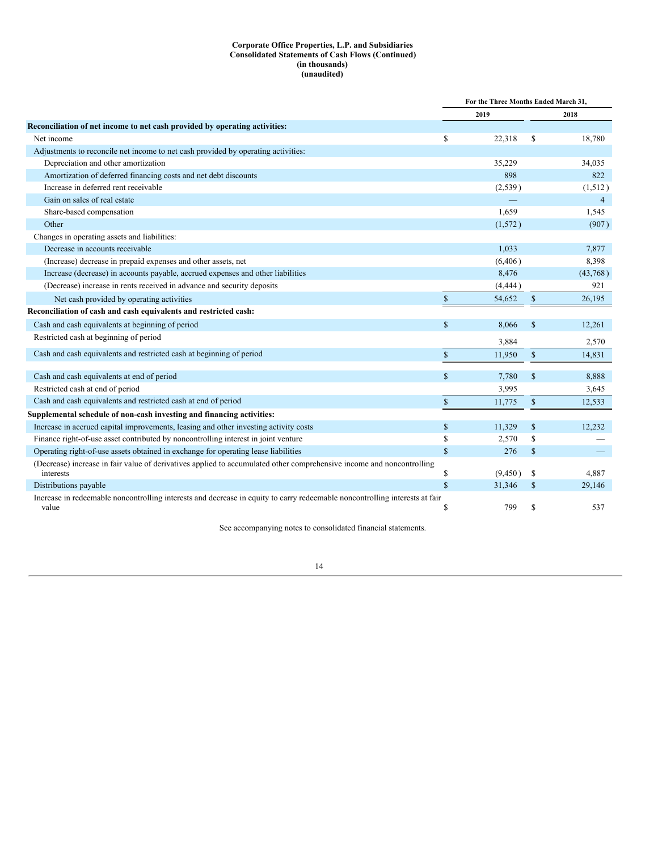## **Corporate Office Properties, L.P. and Subsidiaries Consolidated Statements of Cash Flows (Continued) (in thousands) (unaudited)**

|                                                                                                                                      | For the Three Months Ended March 31, |          |              |                |
|--------------------------------------------------------------------------------------------------------------------------------------|--------------------------------------|----------|--------------|----------------|
|                                                                                                                                      |                                      | 2019     |              | 2018           |
| Reconciliation of net income to net cash provided by operating activities:                                                           |                                      |          |              |                |
| Net income                                                                                                                           | \$                                   | 22,318   | S            | 18,780         |
| Adjustments to reconcile net income to net cash provided by operating activities:                                                    |                                      |          |              |                |
| Depreciation and other amortization                                                                                                  |                                      | 35,229   |              | 34,035         |
| Amortization of deferred financing costs and net debt discounts                                                                      |                                      | 898      |              | 822            |
| Increase in deferred rent receivable                                                                                                 |                                      | (2,539)  |              | (1,512)        |
| Gain on sales of real estate                                                                                                         |                                      |          |              | $\overline{4}$ |
| Share-based compensation                                                                                                             |                                      | 1,659    |              | 1,545          |
| Other                                                                                                                                |                                      | (1,572)  |              | (907)          |
| Changes in operating assets and liabilities:                                                                                         |                                      |          |              |                |
| Decrease in accounts receivable                                                                                                      |                                      | 1,033    |              | 7,877          |
| (Increase) decrease in prepaid expenses and other assets, net                                                                        |                                      | (6, 406) |              | 8,398          |
| Increase (decrease) in accounts payable, accrued expenses and other liabilities                                                      |                                      | 8,476    |              | (43,768)       |
| (Decrease) increase in rents received in advance and security deposits                                                               |                                      | (4, 444) |              | 921            |
| Net cash provided by operating activities                                                                                            | \$                                   | 54,652   | $\mathbb S$  | 26,195         |
| Reconciliation of cash and cash equivalents and restricted cash:                                                                     |                                      |          |              |                |
| Cash and cash equivalents at beginning of period                                                                                     | $\mathbb{S}$                         | 8,066    | $\mathbb{S}$ | 12,261         |
| Restricted cash at beginning of period                                                                                               |                                      | 3,884    |              | 2,570          |
| Cash and cash equivalents and restricted cash at beginning of period                                                                 | $\mathbb{S}$                         | 11,950   | $\mathbb{S}$ | 14,831         |
| Cash and cash equivalents at end of period                                                                                           | $\mathbb{S}$                         | 7,780    | $\mathbf S$  | 8,888          |
| Restricted cash at end of period                                                                                                     |                                      | 3,995    |              | 3,645          |
| Cash and cash equivalents and restricted cash at end of period                                                                       | $\mathbb{S}$                         | 11,775   | $\mathbb{S}$ | 12,533         |
| Supplemental schedule of non-cash investing and financing activities:                                                                |                                      |          |              |                |
| Increase in accrued capital improvements, leasing and other investing activity costs                                                 | $\mathbb{S}$                         | 11,329   | $\mathbb{S}$ | 12,232         |
| Finance right-of-use asset contributed by noncontrolling interest in joint venture                                                   | \$                                   | 2,570    | \$           |                |
| Operating right-of-use assets obtained in exchange for operating lease liabilities                                                   | $\mathbb{S}$                         | 276      | $\mathbb{S}$ |                |
| (Decrease) increase in fair value of derivatives applied to accumulated other comprehensive income and noncontrolling<br>interests   | \$                                   | (9, 450) | <b>S</b>     | 4,887          |
| Distributions payable                                                                                                                | $\mathbf S$                          | 31,346   | $\mathbb{S}$ | 29,146         |
| Increase in redeemable noncontrolling interests and decrease in equity to carry redeemable noncontrolling interests at fair<br>value | \$                                   | 799      | S            | 537            |

See accompanying notes to consolidated financial statements.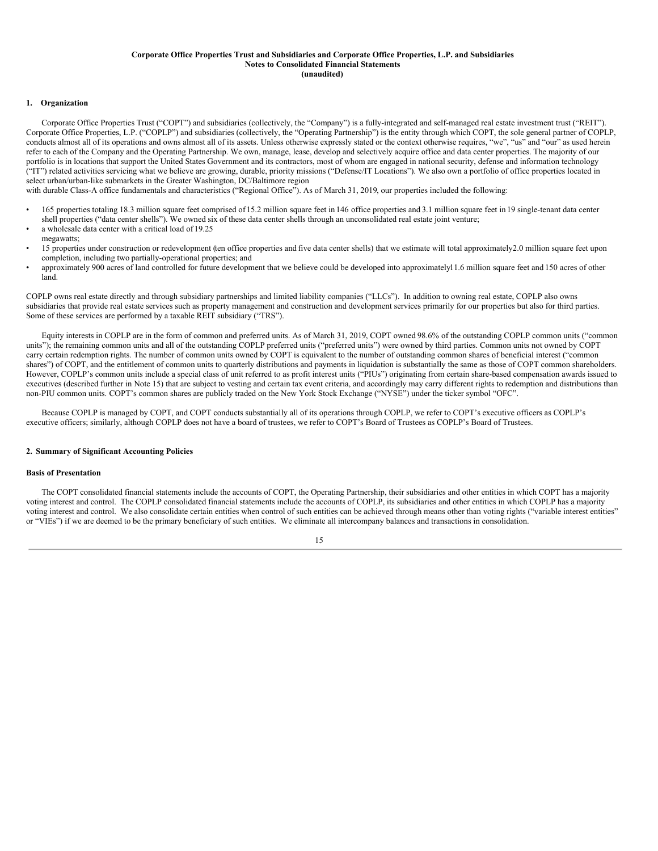#### **Corporate Office Properties Trust and Subsidiaries and Corporate Office Properties, L.P. and Subsidiaries Notes to Consolidated Financial Statements (unaudited)**

### <span id="page-16-0"></span>**1. Organization**

Corporate Office Properties Trust ("COPT") and subsidiaries (collectively, the "Company") is a fully-integrated and self-managed real estate investment trust ("REIT"). Corporate Office Properties, L.P. ("COPLP") and subsidiaries (collectively, the "Operating Partnership") is the entity through which COPT, the sole general partner of COPLP, conducts almost all of its operations and owns almost all of its assets. Unless otherwise expressly stated or the context otherwise requires, "we", "us" and "our" as used herein refer to each of the Company and the Operating Partnership. We own, manage, lease, develop and selectively acquire office and data center properties. The majority of our portfolio is in locations that support the United States Government and its contractors, most of whom are engaged in national security, defense and information technology ("IT") related activities servicing what we believe are growing, durable, priority missions ("Defense/IT Locations"). We also own a portfolio of office properties located in select urban/urban-like submarkets in the Greater Washington, DC/Baltimore region

with durable Class-A office fundamentals and characteristics ("Regional Office"). As of March 31, 2019, our properties included the following:

- 165 properties totaling 18.3 million square feet comprised of 15.2 million square feet in 146 office properties and 3.1 million square feet in 19 single-tenant data center shell properties ("data center shells"). We owned six of these data center shells through an unconsolidated real estate joint venture;
- a wholesale data center with a critical load of 19.25 megawatts;
- 15 properties under construction or redevelopment (ten office properties and five data center shells) that we estimate will total approximately2.0 million square feet upon completion, including two partially-operational properties; and
- approximately 900 acres of land controlled for future development that we believe could be developed into approximately11.6 million square feet and 150 acres of other land.

COPLP owns real estate directly and through subsidiary partnerships and limited liability companies ("LLCs"). In addition to owning real estate, COPLP also owns subsidiaries that provide real estate services such as property management and construction and development services primarily for our properties but also for third parties. Some of these services are performed by a taxable REIT subsidiary ("TRS").

Equity interests in COPLP are in the form of common and preferred units. As of March 31, 2019, COPT owned 98.6% of the outstanding COPLP common units ("common units"); the remaining common units and all of the outstanding COPLP preferred units ("preferred units") were owned by third parties. Common units not owned by COPT carry certain redemption rights. The number of common units owned by COPT is equivalent to the number of outstanding common shares of beneficial interest ("common shares") of COPT, and the entitlement of common units to quarterly distributions and payments in liquidation is substantially the same as those of COPT common shareholders. However, COPLP's common units include a special class of unit referred to as profit interest units ("PIUs") originating from certain share-based compensation awards issued to executives (described further in Note 15) that are subject to vesting and certain tax event criteria, and accordingly may carry different rights to redemption and distributions than non-PIU common units. COPT's common shares are publicly traded on the New York Stock Exchange ("NYSE") under the ticker symbol "OFC".

Because COPLP is managed by COPT, and COPT conducts substantially all of its operations through COPLP, we refer to COPT's executive officers as COPLP's executive officers; similarly, although COPLP does not have a board of trustees, we refer to COPT's Board of Trustees as COPLP's Board of Trustees.

## **2. Summary of Significant Accounting Policies**

#### **Basis of Presentation**

The COPT consolidated financial statements include the accounts of COPT, the Operating Partnership, their subsidiaries and other entities in which COPT has a majority voting interest and control. The COPLP consolidated financial statements include the accounts of COPLP, its subsidiaries and other entities in which COPLP has a majority voting interest and control. We also consolidate certain entities when control of such entities can be achieved through means other than voting rights ("variable interest entities" or "VIEs") if we are deemed to be the primary beneficiary of such entities. We eliminate all intercompany balances and transactions in consolidation.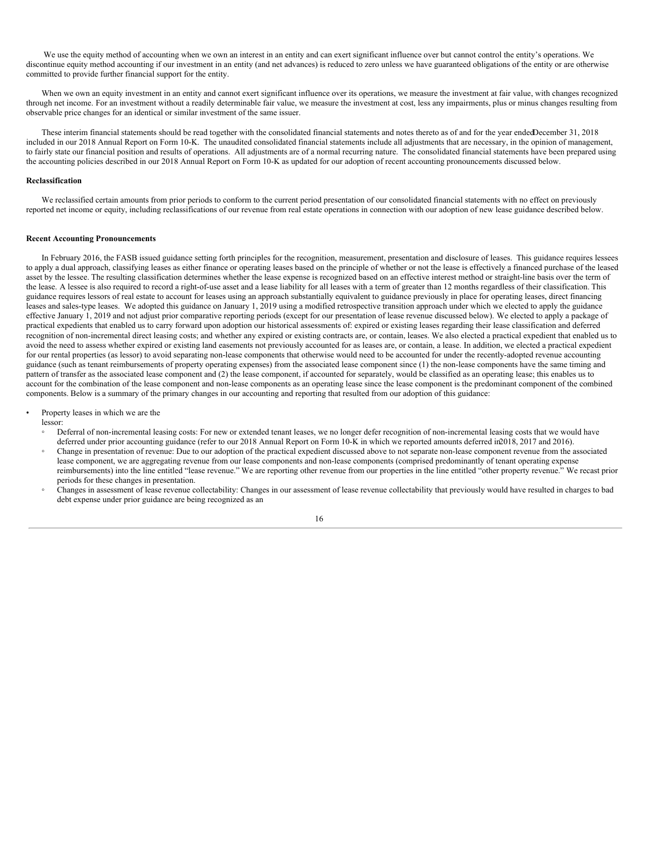We use the equity method of accounting when we own an interest in an entity and can exert significant influence over but cannot control the entity's operations. We discontinue equity method accounting if our investment in an entity (and net advances) is reduced to zero unless we have guaranteed obligations of the entity or are otherwise committed to provide further financial support for the entity.

When we own an equity investment in an entity and cannot exert significant influence over its operations, we measure the investment at fair value, with changes recognized through net income. For an investment without a readily determinable fair value, we measure the investment at cost, less any impairments, plus or minus changes resulting from observable price changes for an identical or similar investment of the same issuer.

These interim financial statements should be read together with the consolidated financial statements and notes thereto as of and for the year endedDecember 31, 2018 included in our 2018 Annual Report on Form 10-K. The unaudited consolidated financial statements include all adjustments that are necessary, in the opinion of management, to fairly state our financial position and results of operations. All adjustments are of a normal recurring nature. The consolidated financial statements have been prepared using the accounting policies described in our 2018 Annual Report on Form 10-K as updated for our adoption of recent accounting pronouncements discussed below.

### **Reclassification**

We reclassified certain amounts from prior periods to conform to the current period presentation of our consolidated financial statements with no effect on previously reported net income or equity, including reclassifications of our revenue from real estate operations in connection with our adoption of new lease guidance described below.

## **Recent Accounting Pronouncements**

In February 2016, the FASB issued guidance setting forth principles for the recognition, measurement, presentation and disclosure of leases. This guidance requires lessees to apply a dual approach, classifying leases as either finance or operating leases based on the principle of whether or not the lease is effectively a financed purchase of the leased asset by the lessee. The resulting classification determines whether the lease expense is recognized based on an effective interest method or straight-line basis over the term of the lease. A lessee is also required to record a right-of-use asset and a lease liability for all leases with a term of greater than 12 months regardless of their classification. This guidance requires lessors of real estate to account for leases using an approach substantially equivalent to guidance previously in place for operating leases, direct financing leases and sales-type leases. We adopted this guidance on January 1, 2019 using a modified retrospective transition approach under which we elected to apply the guidance effective January 1, 2019 and not adjust prior comparative reporting periods (except for our presentation of lease revenue discussed below). We elected to apply a package of practical expedients that enabled us to carry forward upon adoption our historical assessments of: expired or existing leases regarding their lease classification and deferred recognition of non-incremental direct leasing costs; and whether any expired or existing contracts are, or contain, leases. We also elected a practical expedient that enabled us to avoid the need to assess whether expired or existing land easements not previously accounted for as leases are, or contain, a lease. In addition, we elected a practical expedient for our rental properties (as lessor) to avoid separating non-lease components that otherwise would need to be accounted for under the recently-adopted revenue accounting guidance (such as tenant reimbursements of property operating expenses) from the associated lease component since (1) the non-lease components have the same timing and pattern of transfer as the associated lease component and (2) the lease component, if accounted for separately, would be classified as an operating lease; this enables us to account for the combination of the lease component and non-lease components as an operating lease since the lease component is the predominant component of the combined components. Below is a summary of the primary changes in our accounting and reporting that resulted from our adoption of this guidance:

- Property leases in which we are the
	- lessor:
	- Deferral of non-incremental leasing costs: For new or extended tenant leases, we no longer defer recognition of non-incremental leasing costs that we would have deferred under prior accounting guidance (refer to our 2018 Annual Report on Form 10-K in which we reported amounts deferred in2018, 2017 and 2016).
	- Change in presentation of revenue: Due to our adoption of the practical expedient discussed above to not separate non-lease component revenue from the associated lease component, we are aggregating revenue from our lease components and non-lease components (comprised predominantly of tenant operating expense reimbursements) into the line entitled "lease revenue." We are reporting other revenue from our properties in the line entitled "other property revenue." We recast prior periods for these changes in presentation.
	- Changes in assessment of lease revenue collectability: Changes in our assessment of lease revenue collectability that previously would have resulted in charges to bad debt expense under prior guidance are being recognized as an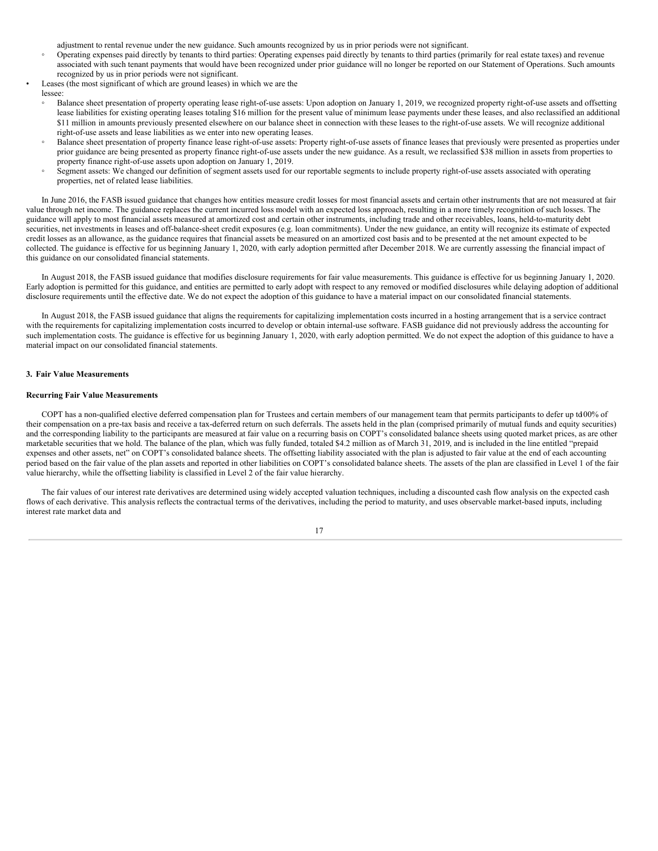adjustment to rental revenue under the new guidance. Such amounts recognized by us in prior periods were not significant.

- Operating expenses paid directly by tenants to third parties: Operating expenses paid directly by tenants to third parties (primarily for real estate taxes) and revenue associated with such tenant payments that would have been recognized under prior guidance will no longer be reported on our Statement of Operations. Such amounts recognized by us in prior periods were not significant.
- Leases (the most significant of which are ground leases) in which we are the lessee:
	- Balance sheet presentation of property operating lease right-of-use assets: Upon adoption on January 1, 2019, we recognized property right-of-use assets and offsetting lease liabilities for existing operating leases totaling \$16 million for the present value of minimum lease payments under these leases, and also reclassified an additional \$11 million in amounts previously presented elsewhere on our balance sheet in connection with these leases to the right-of-use assets. We will recognize additional right-of-use assets and lease liabilities as we enter into new operating leases.
	- Balance sheet presentation of property finance lease right-of-use assets: Property right-of-use assets of finance leases that previously were presented as properties under prior guidance are being presented as property finance right-of-use assets under the new guidance. As a result, we reclassified \$38 million in assets from properties to property finance right-of-use assets upon adoption on January 1, 2019.
	- Segment assets: We changed our definition of segment assets used for our reportable segments to include property right-of-use assets associated with operating properties, net of related lease liabilities.

In June 2016, the FASB issued guidance that changes how entities measure credit losses for most financial assets and certain other instruments that are not measured at fair value through net income. The guidance replaces the current incurred loss model with an expected loss approach, resulting in a more timely recognition of such losses. The guidance will apply to most financial assets measured at amortized cost and certain other instruments, including trade and other receivables, loans, held-to-maturity debt securities, net investments in leases and off-balance-sheet credit exposures (e.g. loan commitments). Under the new guidance, an entity will recognize its estimate of expected credit losses as an allowance, as the guidance requires that financial assets be measured on an amortized cost basis and to be presented at the net amount expected to be collected. The guidance is effective for us beginning January 1, 2020, with early adoption permitted after December 2018. We are currently assessing the financial impact of this guidance on our consolidated financial statements.

In August 2018, the FASB issued guidance that modifies disclosure requirements for fair value measurements. This guidance is effective for us beginning January 1, 2020. Early adoption is permitted for this guidance, and entities are permitted to early adopt with respect to any removed or modified disclosures while delaying adoption of additional disclosure requirements until the effective date. We do not expect the adoption of this guidance to have a material impact on our consolidated financial statements.

In August 2018, the FASB issued guidance that aligns the requirements for capitalizing implementation costs incurred in a hosting arrangement that is a service contract with the requirements for capitalizing implementation costs incurred to develop or obtain internal-use software. FASB guidance did not previously address the accounting for such implementation costs. The guidance is effective for us beginning January 1, 2020, with early adoption permitted. We do not expect the adoption of this guidance to have a material impact on our consolidated financial statements.

### **3. Fair Value Measurements**

## **Recurring Fair Value Measurements**

COPT has a non-qualified elective deferred compensation plan for Trustees and certain members of our management team that permits participants to defer up to100% of their compensation on a pre-tax basis and receive a tax-deferred return on such deferrals. The assets held in the plan (comprised primarily of mutual funds and equity securities) and the corresponding liability to the participants are measured at fair value on a recurring basis on COPT's consolidated balance sheets using quoted market prices, as are other marketable securities that we hold. The balance of the plan, which was fully funded, totaled \$4.2 million as of March 31, 2019, and is included in the line entitled "prepaid expenses and other assets, net" on COPT's consolidated balance sheets. The offsetting liability associated with the plan is adjusted to fair value at the end of each accounting period based on the fair value of the plan assets and reported in other liabilities on COPT's consolidated balance sheets. The assets of the plan are classified in Level 1 of the fair value hierarchy, while the offsetting liability is classified in Level 2 of the fair value hierarchy.

The fair values of our interest rate derivatives are determined using widely accepted valuation techniques, including a discounted cash flow analysis on the expected cash flows of each derivative. This analysis reflects the contractual terms of the derivatives, including the period to maturity, and uses observable market-based inputs, including interest rate market data and

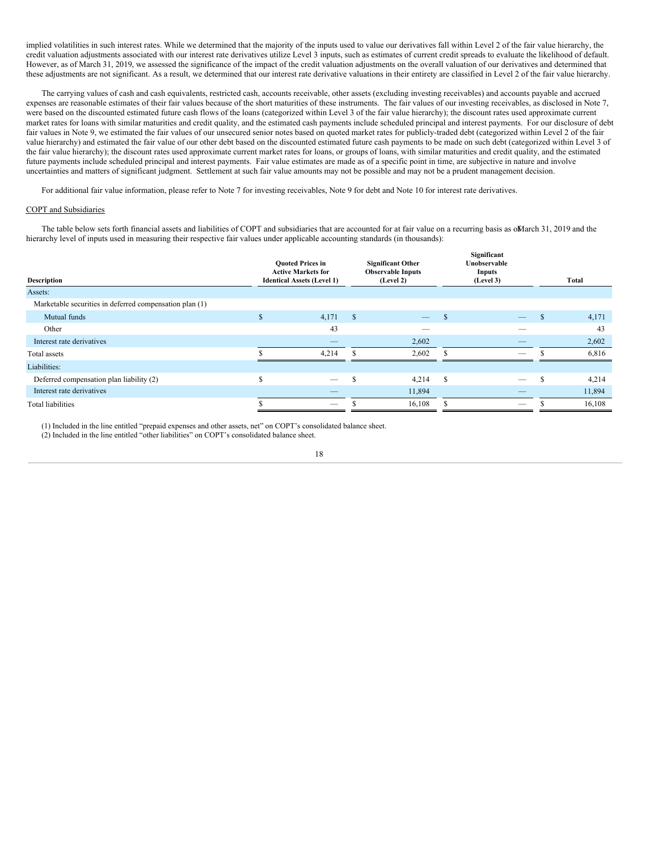implied volatilities in such interest rates. While we determined that the majority of the inputs used to value our derivatives fall within Level 2 of the fair value hierarchy, the credit valuation adjustments associated with our interest rate derivatives utilize Level 3 inputs, such as estimates of current credit spreads to evaluate the likelihood of default. However, as of March 31, 2019, we assessed the significance of the impact of the credit valuation adjustments on the overall valuation of our derivatives and determined that these adjustments are not significant. As a result, we determined that our interest rate derivative valuations in their entirety are classified in Level 2 of the fair value hierarchy.

The carrying values of cash and cash equivalents, restricted cash, accounts receivable, other assets (excluding investing receivables) and accounts payable and accrued expenses are reasonable estimates of their fair values because of the short maturities of these instruments. The fair values of our investing receivables, as disclosed in Note 7, were based on the discounted estimated future cash flows of the loans (categorized within Level 3 of the fair value hierarchy); the discount rates used approximate current market rates for loans with similar maturities and credit quality, and the estimated cash payments include scheduled principal and interest payments. For our disclosure of debt fair values in Note 9, we estimated the fair values of our unsecured senior notes based on quoted market rates for publicly-traded debt (categorized within Level 2 of the fair value hierarchy) and estimated the fair value of our other debt based on the discounted estimated future cash payments to be made on such debt (categorized within Level 3 of the fair value hierarchy); the discount rates used approximate current market rates for loans, or groups of loans, with similar maturities and credit quality, and the estimated future payments include scheduled principal and interest payments. Fair value estimates are made as of a specific point in time, are subjective in nature and involve uncertainties and matters of significant judgment. Settlement at such fair value amounts may not be possible and may not be a prudent management decision.

For additional fair value information, please refer to Note 7 for investing receivables, Note 9 for debt and Note 10 for interest rate derivatives.

#### COPT and Subsidiaries

The table below sets forth financial assets and liabilities of COPT and subsidiaries that are accounted for at fair value on a recurring basis as oMarch 31, 2019 and the hierarchy level of inputs used in measuring their respective fair values under applicable accounting standards (in thousands):

| <b>Description</b>                                      |   | <b>Ouoted Prices in</b><br><b>Active Markets for</b><br><b>Identical Assets (Level 1)</b> |              | Significant<br>Unobservable<br><b>Significant Other</b><br><b>Observable Inputs</b><br><b>Inputs</b><br>(Level 2)<br>(Level 3) |               |                          | Total |        |
|---------------------------------------------------------|---|-------------------------------------------------------------------------------------------|--------------|--------------------------------------------------------------------------------------------------------------------------------|---------------|--------------------------|-------|--------|
| Assets:                                                 |   |                                                                                           |              |                                                                                                                                |               |                          |       |        |
| Marketable securities in deferred compensation plan (1) |   |                                                                                           |              |                                                                                                                                |               |                          |       |        |
| Mutual funds                                            |   | 4,171                                                                                     | $\mathbb{S}$ | $\overline{\phantom{m}}$                                                                                                       | $\mathbf{s}$  | $\overline{\phantom{0}}$ | S     | 4,171  |
| Other                                                   |   | 43                                                                                        |              |                                                                                                                                |               |                          |       | 43     |
| Interest rate derivatives                               |   | $\overline{\phantom{a}}$                                                                  |              | 2,602                                                                                                                          |               |                          |       | 2,602  |
| Total assets                                            |   | 4,214                                                                                     |              | 2,602                                                                                                                          |               |                          |       | 6,816  |
| Liabilities:                                            |   |                                                                                           |              |                                                                                                                                |               |                          |       |        |
| Deferred compensation plan liability (2)                | Ф |                                                                                           |              | 4,214                                                                                                                          | <sup>\$</sup> |                          | ъ     | 4,214  |
| Interest rate derivatives                               |   |                                                                                           |              | 11,894                                                                                                                         |               | —                        |       | 11,894 |
| Total liabilities                                       |   |                                                                                           |              | 16,108                                                                                                                         | S             |                          |       | 16,108 |

(1) Included in the line entitled "prepaid expenses and other assets, net" on COPT's consolidated balance sheet. (2) Included in the line entitled "other liabilities" on COPT's consolidated balance sheet.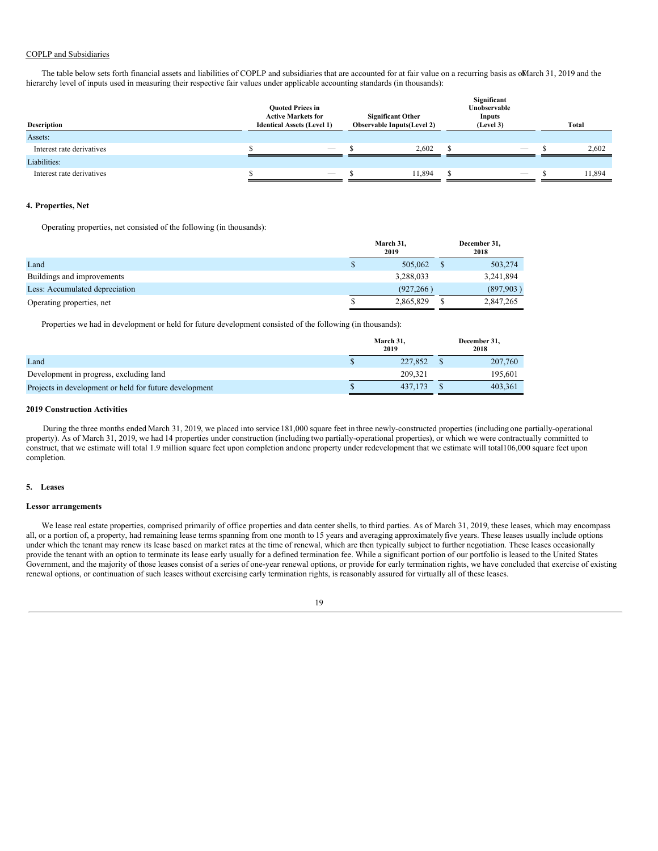## COPLP and Subsidiaries

The table below sets forth financial assets and liabilities of COPLP and subsidiaries that are accounted for at fair value on a recurring basis as oMarch 31, 2019 and the hierarchy level of inputs used in measuring their respective fair values under applicable accounting standards (in thousands):

| Description               | <b>Ouoted Prices in</b><br><b>Active Markets for</b><br><b>Significant Other</b><br><b>Observable Inputs(Level 2)</b><br><b>Identical Assets (Level 1)</b> |                          | Significant<br>Unobservable<br>Inputs<br>(Level 3) |  |  | Total                    |  |        |
|---------------------------|------------------------------------------------------------------------------------------------------------------------------------------------------------|--------------------------|----------------------------------------------------|--|--|--------------------------|--|--------|
| Assets:                   |                                                                                                                                                            |                          |                                                    |  |  |                          |  |        |
| Interest rate derivatives |                                                                                                                                                            | $\overline{\phantom{a}}$ | 2.602                                              |  |  | $\overline{\phantom{a}}$ |  | 2,602  |
| Liabilities:              |                                                                                                                                                            |                          |                                                    |  |  |                          |  |        |
| Interest rate derivatives |                                                                                                                                                            | $\overline{\phantom{a}}$ | 11.894                                             |  |  | $\overline{\phantom{m}}$ |  | 11,894 |
|                           |                                                                                                                                                            |                          |                                                    |  |  |                          |  |        |

## **4. Properties, Net**

Operating properties, net consisted of the following (in thousands):

|                                |  | March 31,<br>2019 | December 31,<br>2018 |
|--------------------------------|--|-------------------|----------------------|
| Land                           |  | 505,062           | 503,274              |
| Buildings and improvements     |  | 3,288,033         | 3,241,894            |
| Less: Accumulated depreciation |  | (927.266)         | (897,903)            |
| Operating properties, net      |  | 2,865,829         | 2,847,265            |

Properties we had in development or held for future development consisted of the following (in thousands):

|                                                        | March 31.<br>2019 | December 31,<br>2018 |
|--------------------------------------------------------|-------------------|----------------------|
| Land                                                   | 227,852           | 207,760              |
| Development in progress, excluding land                | 209.321           | 195.601              |
| Projects in development or held for future development | 437.173           | 403.361              |

## **2019 Construction Activities**

During the three months ended March 31, 2019, we placed into service 181,000 square feet in three newly-constructed properties (including one partially-operational property). As of March 31, 2019, we had 14 properties under construction (including two partially-operational properties), or which we were contractually committed to construct, that we estimate will total 1.9 million square feet upon completion andone property under redevelopment that we estimate will total106,000 square feet upon completion.

#### **5. Leases**

## **Lessor arrangements**

We lease real estate properties, comprised primarily of office properties and data center shells, to third parties. As of March 31, 2019, these leases, which may encompass all, or a portion of, a property, had remaining lease terms spanning from one month to 15 years and averaging approximatelyfive years. These leases usually include options under which the tenant may renew its lease based on market rates at the time of renewal, which are then typically subject to further negotiation. These leases occasionally provide the tenant with an option to terminate its lease early usually for a defined termination fee. While a significant portion of our portfolio is leased to the United States Government, and the majority of those leases consist of a series of one-year renewal options, or provide for early termination rights, we have concluded that exercise of existing renewal options, or continuation of such leases without exercising early termination rights, is reasonably assured for virtually all of these leases.

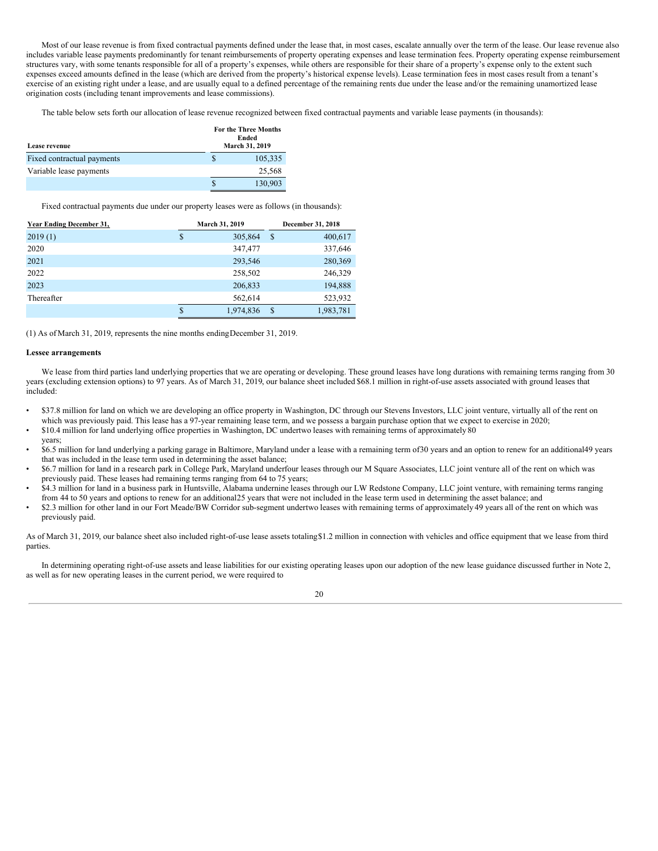Most of our lease revenue is from fixed contractual payments defined under the lease that, in most cases, escalate annually over the term of the lease. Our lease revenue also includes variable lease payments predominantly for tenant reimbursements of property operating expenses and lease termination fees. Property operating expense reimbursement structures vary, with some tenants responsible for all of a property's expenses, while others are responsible for their share of a property's expense only to the extent such expenses exceed amounts defined in the lease (which are derived from the property's historical expense levels). Lease termination fees in most cases result from a tenant's exercise of an existing right under a lease, and are usually equal to a defined percentage of the remaining rents due under the lease and/or the remaining unamortized lease origination costs (including tenant improvements and lease commissions).

The table below sets forth our allocation of lease revenue recognized between fixed contractual payments and variable lease payments (in thousands):

| Lease revenue              | <b>For the Three Months</b><br>Ended<br>March 31, 2019 |  |  |  |  |
|----------------------------|--------------------------------------------------------|--|--|--|--|
| Fixed contractual payments | 105,335                                                |  |  |  |  |
| Variable lease payments    | 25,568                                                 |  |  |  |  |
|                            | 130,903                                                |  |  |  |  |

Fixed contractual payments due under our property leases were as follows (in thousands):

| Year Ending December 31, |               | <b>March 31, 2019</b> |    | December 31, 2018 |
|--------------------------|---------------|-----------------------|----|-------------------|
| 2019(1)                  | \$            | 305,864               | \$ | 400,617           |
| 2020                     |               | 347,477               |    | 337,646           |
| 2021                     |               | 293,546               |    | 280,369           |
| 2022                     |               | 258,502               |    | 246,329           |
| 2023                     |               | 206,833               |    | 194,888           |
| Thereafter               |               | 562,614               |    | 523,932           |
|                          | <sup>\$</sup> | 1,974,836             | S  | 1,983,781         |

(1) As of March 31, 2019, represents the nine months endingDecember 31, 2019.

## **Lessee arrangements**

We lease from third parties land underlying properties that we are operating or developing. These ground leases have long durations with remaining terms ranging from 30 years (excluding extension options) to 97 years. As of March 31, 2019, our balance sheet included \$68.1 million in right-of-use assets associated with ground leases that included:

- \$37.8 million for land on which we are developing an office property in Washington, DC through our Stevens Investors, LLC joint venture, virtually all of the rent on which was previously paid. This lease has a 97-year remaining lease term, and we possess a bargain purchase option that we expect to exercise in 2020;
- \$10.4 million for land underlying office properties in Washington, DC undertwo leases with remaining terms of approximately 80
- years; • \$6.5 million for land underlying a parking garage in Baltimore, Maryland under a lease with a remaining term of30 years and an option to renew for an additional49 years that was included in the lease term used in determining the asset balance;
- \$6.7 million for land in a research park in College Park, Maryland underfour leases through our M Square Associates, LLC joint venture all of the rent on which was previously paid. These leases had remaining terms ranging from 64 to 75 years;
- \$4.3 million for land in a business park in Huntsville, Alabama undernine leases through our LW Redstone Company, LLC joint venture, with remaining terms ranging
- from 44 to 50 years and options to renew for an additional25 years that were not included in the lease term used in determining the asset balance; and • \$2.3 million for other land in our Fort Meade/BW Corridor sub-segment undertwo leases with remaining terms of approximately 49 years all of the rent on which was previously paid.

As of March 31, 2019, our balance sheet also included right-of-use lease assets totaling\$1.2 million in connection with vehicles and office equipment that we lease from third parties.

In determining operating right-of-use assets and lease liabilities for our existing operating leases upon our adoption of the new lease guidance discussed further in Note 2, as well as for new operating leases in the current period, we were required to

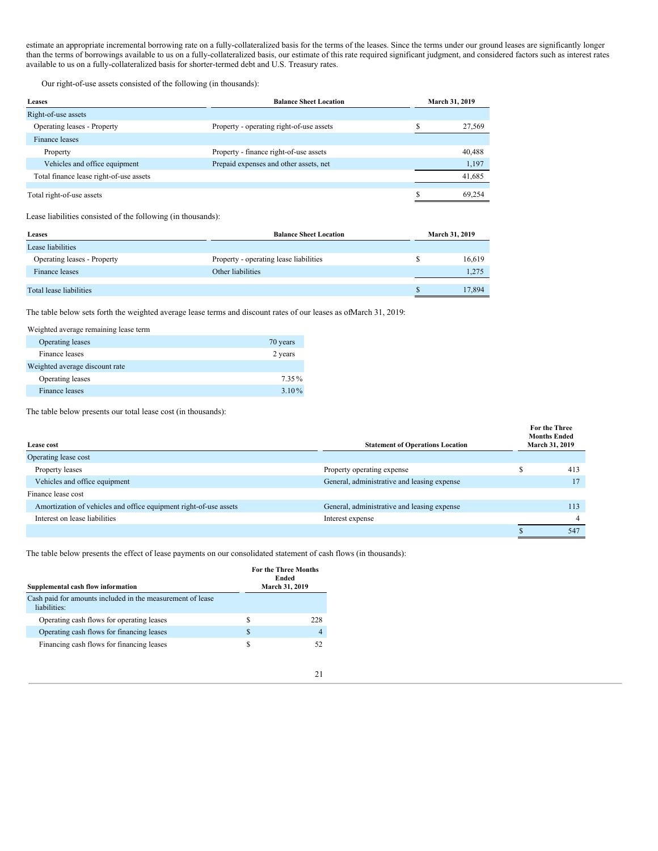estimate an appropriate incremental borrowing rate on a fully-collateralized basis for the terms of the leases. Since the terms under our ground leases are significantly longer than the terms of borrowings available to us on a fully-collateralized basis, our estimate of this rate required significant judgment, and considered factors such as interest rates available to us on a fully-collateralized basis for shorter-termed debt and U.S. Treasury rates.

Our right-of-use assets consisted of the following (in thousands):

| Leases                                  | <b>Balance Sheet Location</b>            | March 31, 2019 |
|-----------------------------------------|------------------------------------------|----------------|
| Right-of-use assets                     |                                          |                |
| Operating leases - Property             | Property - operating right-of-use assets | 27,569         |
| Finance leases                          |                                          |                |
| Property                                | Property - finance right-of-use assets   | 40.488         |
| Vehicles and office equipment           | Prepaid expenses and other assets, net   | 1,197          |
| Total finance lease right-of-use assets |                                          | 41,685         |
|                                         |                                          |                |
| Total right-of-use assets               |                                          | 69.254         |

Lease liabilities consisted of the following (in thousands):

| <b>Leases</b>               | <b>Balance Sheet Location</b>          | <b>March 31, 2019</b> |
|-----------------------------|----------------------------------------|-----------------------|
| Lease liabilities           |                                        |                       |
| Operating leases - Property | Property - operating lease liabilities | 16,619                |
| Finance leases              | Other liabilities                      | 1,275                 |
|                             |                                        |                       |
| Total lease liabilities     |                                        | 17,894                |

The table below sets forth the weighted average lease terms and discount rates of our leases as ofMarch 31, 2019:

| Weighted average remaining lease term |          |
|---------------------------------------|----------|
| <b>Operating leases</b>               | 70 years |
| Finance leases                        | 2 years  |
| Weighted average discount rate        |          |
| Operating leases                      | 7.35%    |
| Finance leases                        | $3.10\%$ |

The table below presents our total lease cost (in thousands):

| Lease cost                                                        | <b>Statement of Operations Location</b>     | For the Three<br><b>Months Ended</b><br>March 31, 2019 |
|-------------------------------------------------------------------|---------------------------------------------|--------------------------------------------------------|
| Operating lease cost                                              |                                             |                                                        |
| Property leases                                                   | Property operating expense                  | 413                                                    |
| Vehicles and office equipment                                     | General, administrative and leasing expense |                                                        |
| Finance lease cost                                                |                                             |                                                        |
| Amortization of vehicles and office equipment right-of-use assets | General, administrative and leasing expense |                                                        |
| Interest on lease liabilities                                     | Interest expense                            | 4                                                      |
|                                                                   |                                             | 547                                                    |

The table below presents the effect of lease payments on our consolidated statement of cash flows (in thousands):

| Supplemental cash flow information                                         |   | <b>For the Three Months</b><br>Ended<br>March 31, 2019 |
|----------------------------------------------------------------------------|---|--------------------------------------------------------|
| Cash paid for amounts included in the measurement of lease<br>liabilities: |   |                                                        |
| Operating cash flows for operating leases                                  | S | 228                                                    |
| Operating cash flows for financing leases                                  | S |                                                        |
| Financing cash flows for financing leases                                  | S | 52                                                     |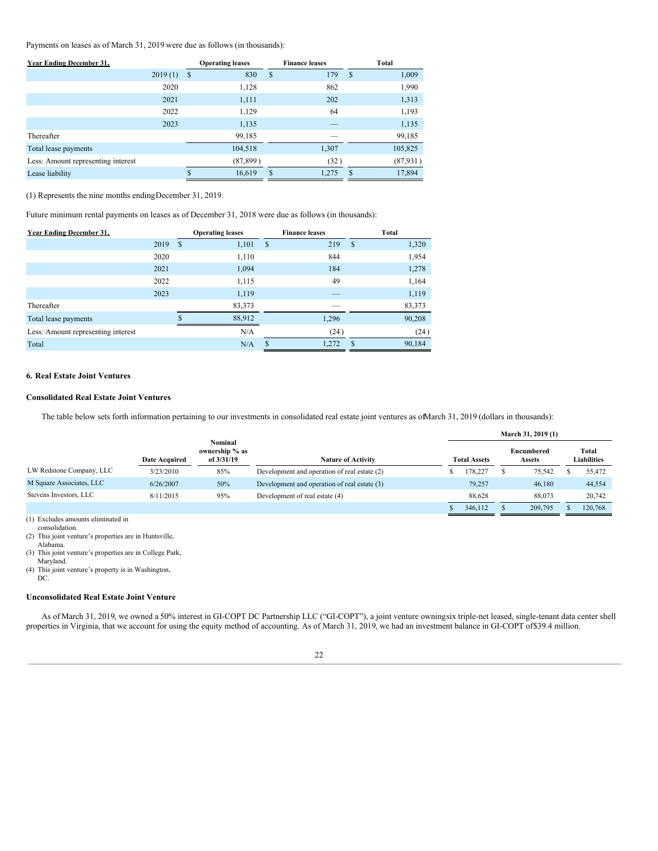Payments on leases as of March 31, 2019 were due as follows (in thousands):

| Year Ending December 31,           |         |               | <b>Operating leases</b> | <b>Finance leases</b> |   | Total     |
|------------------------------------|---------|---------------|-------------------------|-----------------------|---|-----------|
|                                    | 2019(1) | <sup>\$</sup> | 830                     | \$<br>179             | S | 1,009     |
|                                    | 2020    |               | 1,128                   | 862                   |   | 1,990     |
|                                    | 2021    |               | 1,111                   | 202                   |   | 1,313     |
|                                    | 2022    |               | 1,129                   | 64                    |   | 1,193     |
|                                    | 2023    |               | 1,135                   |                       |   | 1,135     |
| Thereafter                         |         |               | 99,185                  |                       |   | 99,185    |
| Total lease payments               |         |               | 104,518                 | 1,307                 |   | 105,825   |
| Less: Amount representing interest |         |               | (87, 899)               | (32)                  |   | (87, 931) |
| Lease liability                    |         | \$            | 16,619                  | \$<br>1,275           | S | 17,894    |

(1) Represents the nine months endingDecember 31, 2019.

Future minimum rental payments on leases as of December 31, 2018 were due as follows (in thousands):

| Year Ending December 31,           |      |     | <b>Operating leases</b> |    | <b>Finance leases</b> | Total         |        |  |
|------------------------------------|------|-----|-------------------------|----|-----------------------|---------------|--------|--|
|                                    | 2019 | S   | 1,101                   | \$ | 219                   | <sup>\$</sup> | 1,320  |  |
|                                    | 2020 |     | 1,110                   |    | 844                   |               | 1,954  |  |
|                                    | 2021 |     | 1,094                   |    | 184                   |               | 1,278  |  |
|                                    | 2022 |     | 1,115                   |    | 49                    |               | 1,164  |  |
|                                    | 2023 |     | 1,119                   |    |                       |               | 1,119  |  |
| Thereafter                         |      |     | 83,373                  |    |                       |               | 83,373 |  |
| Total lease payments               |      | \$. | 88,912                  |    | 1,296                 |               | 90,208 |  |
| Less: Amount representing interest |      |     | N/A                     |    | (24)                  |               | (24)   |  |
| Total                              |      |     | N/A                     | S  | 1,272                 | \$            | 90,184 |  |

## **6. Real Estate Joint Ventures**

## **Consolidated Real Estate Joint Ventures**

The table below sets forth information pertaining to our investments in consolidated real estate joint ventures as ofMarch 31, 2019 (dollars in thousands):

|                          |               |                                           |                                              |                     |         | March 31, 2019 (1)          |                      |
|--------------------------|---------------|-------------------------------------------|----------------------------------------------|---------------------|---------|-----------------------------|----------------------|
|                          | Date Acquired | Nominal<br>ownership % as<br>of $3/31/19$ | <b>Nature of Activity</b>                    | <b>Total Assets</b> |         | Encumbered<br><b>Assets</b> | Total<br>Liabilities |
| LW Redstone Company, LLC | 3/23/2010     | 85%                                       | Development and operation of real estate (2) |                     | 78.227  | 75,542                      | 55,472               |
| M Square Associates, LLC | 6/26/2007     | 50%                                       | Development and operation of real estate (3) |                     | 79,257  | 46,180                      | 44,554               |
| Stevens Investors, LLC   | 8/11/2015     | 95%                                       | Development of real estate (4)               |                     | 88.628  | 88,073                      | 20,742               |
|                          |               |                                           |                                              |                     | 346,112 | 209,795                     | 120,768              |

(1) Excludes amounts eliminated in

consolidation.

(2) This joint venture's properties are in Huntsville, Alabama.

(3) This joint venture's properties are in College Park,

Maryland.

(4) This joint venture's property is in Washington,

DC.

## **Unconsolidated Real Estate Joint Venture**

As of March 31, 2019, we owned a 50% interest in GI-COPT DC Partnership LLC ("GI-COPT"), a joint venture owningsix triple-net leased, single-tenant data center shell properties in Virginia, that we account for using the equity method of accounting. As of March 31, 2019, we had an investment balance in GI-COPT of \$39.4 million.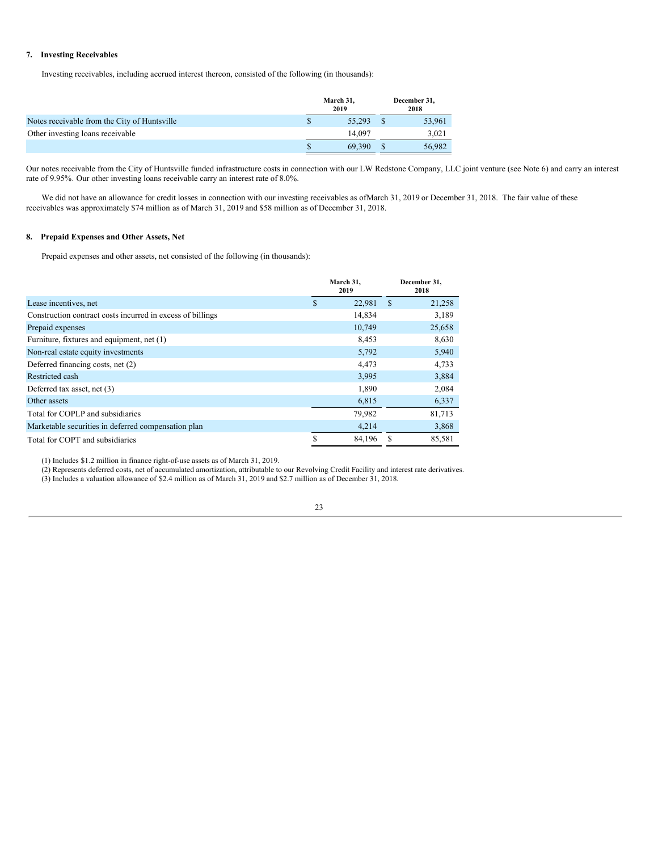## **7. Investing Receivables**

Investing receivables, including accrued interest thereon, consisted of the following (in thousands):

|                                              |   | March 31.<br>2019 | December 31,<br>2018 |
|----------------------------------------------|---|-------------------|----------------------|
| Notes receivable from the City of Huntsville |   | 55.293            | 53.961               |
| Other investing loans receivable             |   | 14.097            | 3.021                |
|                                              | S | 69.390            | 56.982               |

Our notes receivable from the City of Huntsville funded infrastructure costs in connection with our LW Redstone Company, LLC joint venture (see Note 6) and carry an interest rate of 9.95%. Our other investing loans receivable carry an interest rate of 8.0%.

We did not have an allowance for credit losses in connection with our investing receivables as of March 31, 2019 or December 31, 2018. The fair value of these receivables was approximately \$74 million as of March 31, 2019 and \$58 million as of December 31, 2018.

## **8. Prepaid Expenses and Other Assets, Net**

Prepaid expenses and other assets, net consisted of the following (in thousands):

|                                                            |    | March 31.<br>2019 |               | December 31,<br>2018 |
|------------------------------------------------------------|----|-------------------|---------------|----------------------|
| Lease incentives, net                                      | \$ | 22,981            | <sup>\$</sup> | 21,258               |
| Construction contract costs incurred in excess of billings |    | 14.834            |               | 3,189                |
| Prepaid expenses                                           |    | 10,749            |               | 25,658               |
| Furniture, fixtures and equipment, net (1)                 |    | 8,453             |               | 8,630                |
| Non-real estate equity investments                         |    | 5,792             |               | 5,940                |
| Deferred financing costs, net (2)                          |    | 4,473             |               | 4,733                |
| Restricted cash                                            |    | 3,995             |               | 3,884                |
| Deferred tax asset, net (3)                                |    | 1,890             |               | 2,084                |
| Other assets                                               |    | 6,815             |               | 6,337                |
| Total for COPLP and subsidiaries                           |    | 79,982            |               | 81,713               |
| Marketable securities in deferred compensation plan        |    | 4,214             |               | 3,868                |
| Total for COPT and subsidiaries                            | S  | 84,196            |               | 85,581               |

(1) Includes \$1.2 million in finance right-of-use assets as of March 31, 2019.

(2) Represents deferred costs, net of accumulated amortization, attributable to our Revolving Credit Facility and interest rate derivatives.

(3) Includes a valuation allowance of \$2.4 million as of March 31, 2019 and \$2.7 million as of December 31, 2018.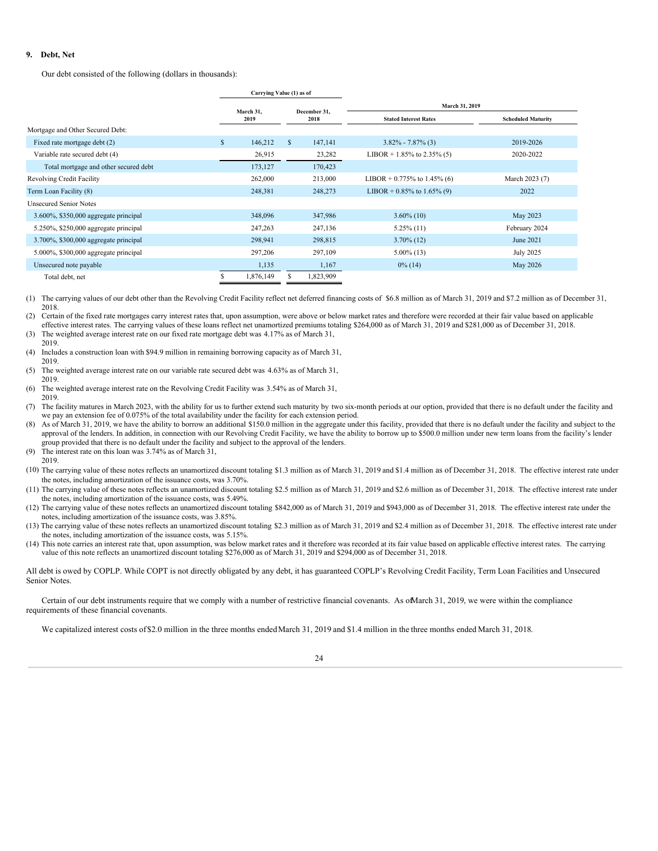### **9. Debt, Net**

Our debt consisted of the following (dollars in thousands):

|                                           |              | Carrying Value (1) as of |               |              |                                |                           |
|-------------------------------------------|--------------|--------------------------|---------------|--------------|--------------------------------|---------------------------|
|                                           |              | March 31,                |               | December 31, | March 31, 2019                 |                           |
|                                           |              | 2019                     |               | 2018         | <b>Stated Interest Rates</b>   | <b>Scheduled Maturity</b> |
| Mortgage and Other Secured Debt:          |              |                          |               |              |                                |                           |
| Fixed rate mortgage debt (2)              | $\mathbf{s}$ | 146,212                  | $\mathcal{S}$ | 147,141      | $3.82\% - 7.87\%$ (3)          | 2019-2026                 |
| Variable rate secured debt (4)            |              | 26,915                   |               | 23,282       | LIBOR + 1.85% to 2.35% (5)     | 2020-2022                 |
| Total mortgage and other secured debt     |              | 173,127                  |               | 170,423      |                                |                           |
| <b>Revolving Credit Facility</b>          |              | 262,000                  |               | 213,000      | LIBOR + $0.775\%$ to 1.45% (6) | March 2023 (7)            |
| Term Loan Facility (8)                    |              | 248,381                  |               | 248,273      | LIBOR + 0.85% to 1.65% (9)     | 2022                      |
| <b>Unsecured Senior Notes</b>             |              |                          |               |              |                                |                           |
| $3.600\%$ , \$350,000 aggregate principal |              | 348,096                  |               | 347,986      | $3.60\%$ (10)                  | May 2023                  |
| $5.250\%$ , \$250,000 aggregate principal |              | 247,263                  |               | 247,136      | $5.25\%$ (11)                  | February 2024             |
| 3.700%, \$300,000 aggregate principal     |              | 298,941                  |               | 298,815      | $3.70\%$ (12)                  | June 2021                 |
| $5.000\%$ , \$300,000 aggregate principal |              | 297,206                  |               | 297,109      | $5.00\%$ (13)                  | July 2025                 |
| Unsecured note payable                    |              | 1,135                    |               | 1,167        | $0\%$ (14)                     | May 2026                  |
| Total debt, net                           |              | 1,876,149                |               | 1,823,909    |                                |                           |

(1) The carrying values of our debt other than the Revolving Credit Facility reflect net deferred financing costs of \$6.8 million as of March 31, 2019 and \$7.2 million as of December 31, 2018.

(2) Certain of the fixed rate mortgages carry interest rates that, upon assumption, were above or below market rates and therefore were recorded at their fair value based on applicable effective interest rates. The carrying values of these loans reflect net unamortized premiums totaling \$264,000 as of March 31, 2019 and \$281,000 as of December 31, 2018. (3) The weighted average interest rate on our fixed rate mortgage debt was 4.17% as of March 31,

2019. (4) Includes a construction loan with \$94.9 million in remaining borrowing capacity as of March 31,

2019. (5) The weighted average interest rate on our variable rate secured debt was 4.63% as of March 31, 2019.

(6) The weighted average interest rate on the Revolving Credit Facility was 3.54% as of March 31, 2019.

(7) The facility matures in March 2023, with the ability for us to further extend such maturity by two six-month periods at our option, provided that there is no default under the facility and we pay an extension fee of 0.075% of the total availability under the facility for each extension period.

(8) As of March 31, 2019, we have the ability to borrow an additional \$150.0 million in the aggregate under this facility, provided that there is no default under the facility and subject to the approval of the lenders. In addition, in connection with our Revolving Credit Facility, we have the ability to borrow up to \$500.0 million under new term loans from the facility's lender group provided that there is no default under the facility and subject to the approval of the lenders.

(9) The interest rate on this loan was 3.74% as of March 31,

2019.

(10) The carrying value of these notes reflects an unamortized discount totaling \$1.3 million as of March 31, 2019 and \$1.4 million as of December 31, 2018. The effective interest rate under the notes, including amortization of the issuance costs, was 3.70%.

(11) The carrying value of these notes reflects an unamortized discount totaling \$2.5 million as of March 31, 2019 and \$2.6 million as of December 31, 2018. The effective interest rate under the notes, including amortization of the issuance costs, was 5.49%.

(12) The carrying value of these notes reflects an unamortized discount totaling \$842,000 as of March 31, 2019 and \$943,000 as of December 31, 2018. The effective interest rate under the notes, including amortization of the issuance costs, was 3.85%.

(13) The carrying value of these notes reflects an unamortized discount totaling \$2.3 million as of March 31, 2019 and \$2.4 million as of December 31, 2018. The effective interest rate under the notes, including amortization of the issuance costs, was 5.15%.

(14) This note carries an interest rate that, upon assumption, was below market rates and it therefore was recorded at its fair value based on applicable effective interest rates. The carrying value of this note reflects an unamortized discount totaling \$276,000 as of March 31, 2019 and \$294,000 as of December 31, 2018.

All debt is owed by COPLP. While COPT is not directly obligated by any debt, it has guaranteed COPLP's Revolving Credit Facility, Term Loan Facilities and Unsecured Senior Notes.

Certain of our debt instruments require that we comply with a number of restrictive financial covenants. As ofMarch 31, 2019, we were within the compliance requirements of these financial covenants.

We capitalized interest costs of \$2.0 million in the three months ended March 31, 2019 and \$1.4 million in the three months ended March 31, 2018.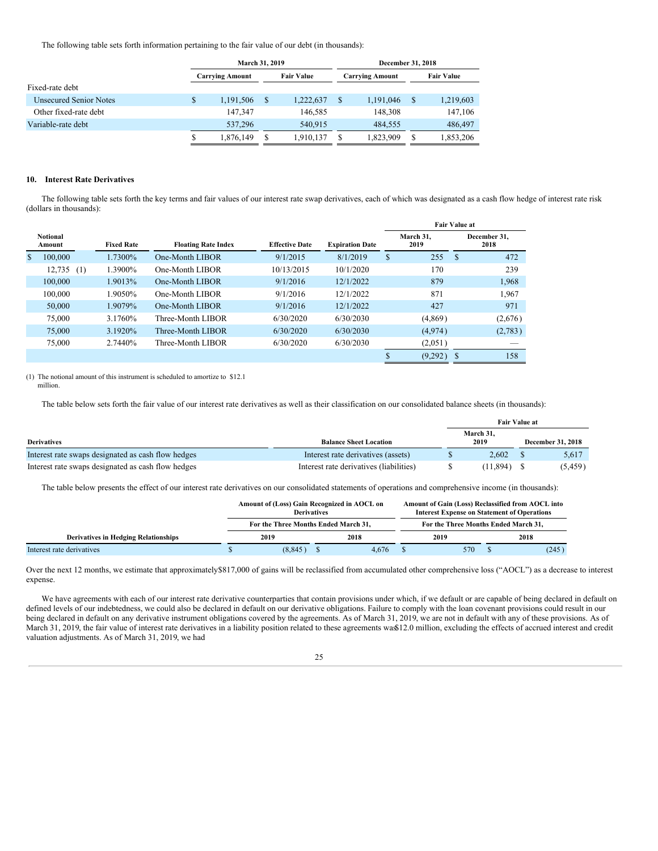The following table sets forth information pertaining to the fair value of our debt (in thousands):

|                               |                        | <b>March 31, 2019</b> |                   |           |                        | December 31, 2018 |   |                   |  |
|-------------------------------|------------------------|-----------------------|-------------------|-----------|------------------------|-------------------|---|-------------------|--|
|                               | <b>Carrying Amount</b> |                       | <b>Fair Value</b> |           | <b>Carrying Amount</b> |                   |   | <b>Fair Value</b> |  |
| Fixed-rate debt               |                        |                       |                   |           |                        |                   |   |                   |  |
| <b>Unsecured Senior Notes</b> | \$                     | 1,191,506             | -S                | 1,222,637 | S                      | 1,191,046         | S | 1,219,603         |  |
| Other fixed-rate debt         |                        | 147.347               |                   | 146.585   |                        | 148,308           |   | 147,106           |  |
| Variable-rate debt            |                        | 537,296               |                   | 540.915   |                        | 484.555           |   | 486,497           |  |
|                               | S                      | 1,876,149             | S                 | 1,910,137 | \$                     | 1,823,909         | S | 1,853,206         |  |

## **10. Interest Rate Derivatives**

The following table sets forth the key terms and fair values of our interest rate swap derivatives, each of which was designated as a cash flow hedge of interest rate risk (dollars in thousands):

|   |                           |                   |                            |                       |                        | <b>Fair Value at</b> |      |                      |
|---|---------------------------|-------------------|----------------------------|-----------------------|------------------------|----------------------|------|----------------------|
|   | <b>Notional</b><br>Amount | <b>Fixed Rate</b> | <b>Floating Rate Index</b> | <b>Effective Date</b> | <b>Expiration Date</b> | March 31,<br>2019    |      | December 31,<br>2018 |
| S | 100,000                   | 1.7300%           | One-Month LIBOR            | 9/1/2015              | 8/1/2019               | \$<br>255            | - \$ | 472                  |
|   | 12,735<br>(1)             | 1.3900%           | One-Month LIBOR            | 10/13/2015            | 10/1/2020              | 170                  |      | 239                  |
|   | 100,000                   | 1.9013%           | One-Month LIBOR            | 9/1/2016              | 12/1/2022              | 879                  |      | 1,968                |
|   | 100,000                   | 1.9050%           | One-Month LIBOR            | 9/1/2016              | 12/1/2022              | 871                  |      | 1,967                |
|   | 50,000                    | 1.9079%           | One-Month LIBOR            | 9/1/2016              | 12/1/2022              | 427                  |      | 971                  |
|   | 75,000                    | 3.1760\%          | Three-Month LIBOR          | 6/30/2020             | 6/30/2030              | (4,869)              |      | (2,676)              |
|   | 75,000                    | 3.1920%           | Three-Month LIBOR          | 6/30/2020             | 6/30/2030              | (4,974)              |      | (2,783)              |
|   | 75,000                    | 2.7440%           | Three-Month LIBOR          | 6/30/2020             | 6/30/2030              | (2,051)              |      |                      |
|   |                           |                   |                            |                       |                        | \$<br>(9,292)        |      | 158                  |

(1) The notional amount of this instrument is scheduled to amortize to \$12.1

million.

The table below sets forth the fair value of our interest rate derivatives as well as their classification on our consolidated balance sheets (in thousands):

|                                                    |                                         |                   | <b>Fair Value at</b> |                   |
|----------------------------------------------------|-----------------------------------------|-------------------|----------------------|-------------------|
| <b>Derivatives</b>                                 | <b>Balance Sheet Location</b>           | March 31,<br>2019 |                      | December 31, 2018 |
| Interest rate swaps designated as cash flow hedges | Interest rate derivatives (assets)      | 2.602             |                      | 5.617             |
| Interest rate swaps designated as cash flow hedges | Interest rate derivatives (liabilities) | (11.894)          |                      | (5, 459)          |

The table below presents the effect of our interest rate derivatives on our consolidated statements of operations and comprehensive income (in thousands):

|                                             |                                      | Amount of Gain (Loss) Reclassified from AOCL into<br>Amount of (Loss) Gain Recognized in AOCL on<br><b>Interest Expense on Statement of Operations</b><br><b>Derivatives</b> |  |       |                                      |      |  |       |  |
|---------------------------------------------|--------------------------------------|------------------------------------------------------------------------------------------------------------------------------------------------------------------------------|--|-------|--------------------------------------|------|--|-------|--|
|                                             | For the Three Months Ended March 31. |                                                                                                                                                                              |  |       | For the Three Months Ended March 31, |      |  |       |  |
| <b>Derivatives in Hedging Relationships</b> |                                      | 2019                                                                                                                                                                         |  | 2018  |                                      | 2019 |  | 2018  |  |
| Interest rate derivatives                   |                                      | (8.845)                                                                                                                                                                      |  | 4.676 |                                      | 570  |  | (245) |  |

Over the next 12 months, we estimate that approximately\$817,000 of gains will be reclassified from accumulated other comprehensive loss ("AOCL") as a decrease to interest expense.

We have agreements with each of our interest rate derivative counterparties that contain provisions under which, if we default or are capable of being declared in default on defined levels of our indebtedness, we could also be declared in default on our derivative obligations. Failure to comply with the loan covenant provisions could result in our being declared in default on any derivative instrument obligations covered by the agreements. As of March 31, 2019, we are not in default with any of these provisions. As of March 31, 2019, the fair value of interest rate derivatives in a liability position related to these agreements was 12.0 million, excluding the effects of accrued interest and credit valuation adjustments. As of March 31, 2019, we had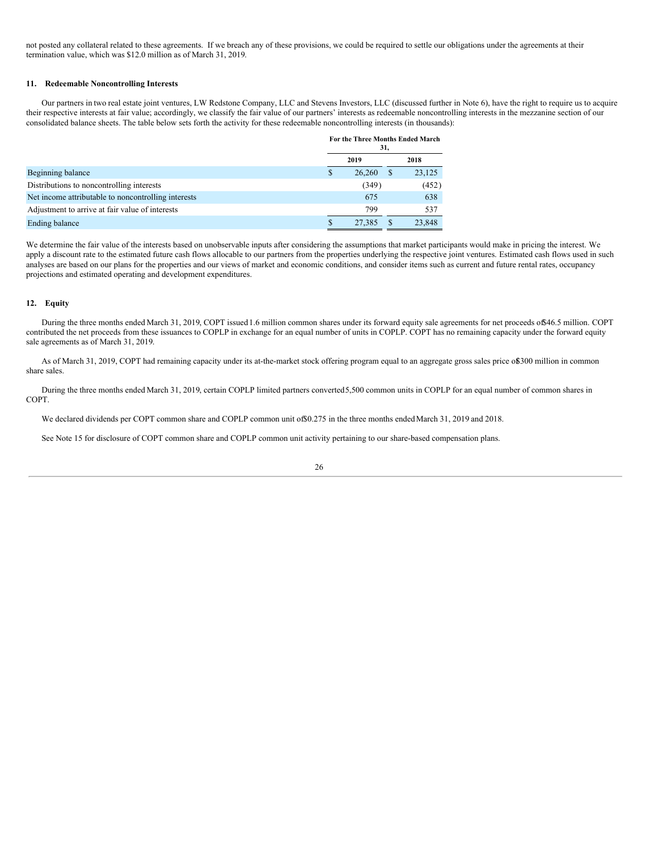not posted any collateral related to these agreements. If we breach any of these provisions, we could be required to settle our obligations under the agreements at their termination value, which was \$12.0 million as of March 31, 2019.

## **11. Redeemable Noncontrolling Interests**

Our partners in two real estate joint ventures, LW Redstone Company, LLC and Stevens Investors, LLC (discussed further in Note 6), have the right to require us to acquire their respective interests at fair value; accordingly, we classify the fair value of our partners' interests as redeemable noncontrolling interests in the mezzanine section of our consolidated balance sheets. The table below sets forth the activity for these redeemable noncontrolling interests (in thousands):

|                                                     |   | For the Three Months Ended March | 31, |        |  |
|-----------------------------------------------------|---|----------------------------------|-----|--------|--|
|                                                     |   | 2019                             |     | 2018   |  |
| Beginning balance                                   | S | 26,260                           |     | 23,125 |  |
| Distributions to noncontrolling interests           |   | (349)                            |     | (452)  |  |
| Net income attributable to noncontrolling interests |   | 675                              |     | 638    |  |
| Adjustment to arrive at fair value of interests     |   | 799                              |     | 537    |  |
| Ending balance                                      | S | 27.385                           |     | 23,848 |  |

We determine the fair value of the interests based on unobservable inputs after considering the assumptions that market participants would make in pricing the interest. We apply a discount rate to the estimated future cash flows allocable to our partners from the properties underlying the respective joint ventures. Estimated cash flows used in such analyses are based on our plans for the properties and our views of market and economic conditions, and consider items such as current and future rental rates, occupancy projections and estimated operating and development expenditures.

## **12. Equity**

During the three months ended March 31, 2019, COPT issued 1.6 million common shares under its forward equity sale agreements for net proceeds of\$46.5 million. COPT contributed the net proceeds from these issuances to COPLP in exchange for an equal number of units in COPLP. COPT has no remaining capacity under the forward equity sale agreements as of March 31, 2019.

As of March 31, 2019, COPT had remaining capacity under its at-the-market stock offering program equal to an aggregate gross sales price of 300 million in common share sales.

During the three months ended March 31, 2019, certain COPLP limited partners converted5,500 common units in COPLP for an equal number of common shares in COPT.

We declared dividends per COPT common share and COPLP common unit of\$0.275 in the three months endedMarch 31, 2019 and 2018.

See Note 15 for disclosure of COPT common share and COPLP common unit activity pertaining to our share-based compensation plans.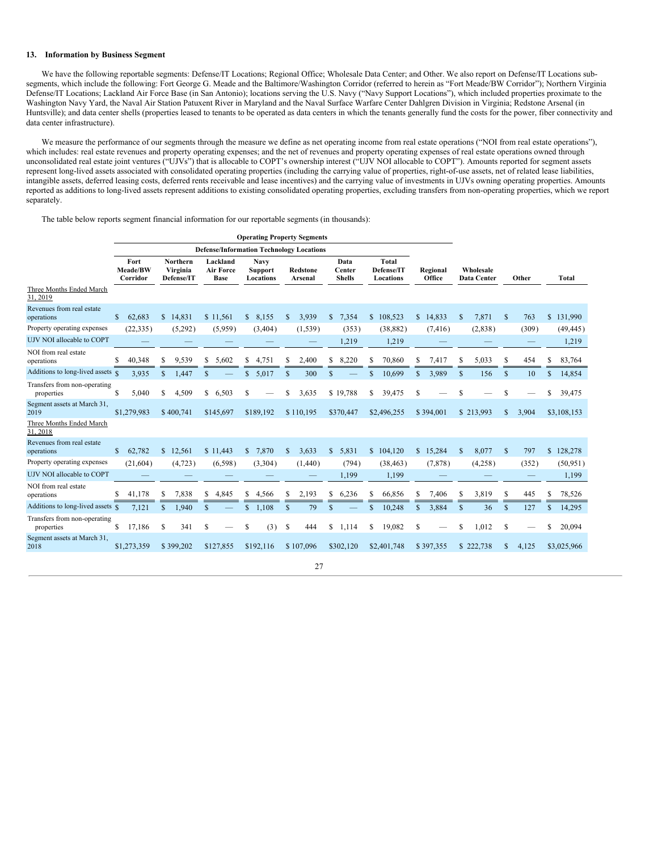#### **13. Information by Business Segment**

We have the following reportable segments: Defense/IT Locations; Regional Office; Wholesale Data Center; and Other. We also report on Defense/IT Locations subsegments, which include the following: Fort George G. Meade and the Baltimore/Washington Corridor (referred to herein as "Fort Meade/BW Corridor"); Northern Virginia Defense/IT Locations; Lackland Air Force Base (in San Antonio); locations serving the U.S. Navy ("Navy Support Locations"), which included properties proximate to the Washington Navy Yard, the Naval Air Station Patuxent River in Maryland and the Naval Surface Warfare Center Dahlgren Division in Virginia; Redstone Arsenal (in Huntsville); and data center shells (properties leased to tenants to be operated as data centers in which the tenants generally fund the costs for the power, fiber connectivity and data center infrastructure).

We measure the performance of our segments through the measure we define as net operating income from real estate operations ("NOI from real estate operations"), which includes: real estate revenues and property operating expenses; and the net of revenues and property operating expenses of real estate operations owned through unconsolidated real estate joint ventures ("UJVs") that is allocable to COPT's ownership interest ("UJV NOI allocable to COPT"). Amounts reported for segment assets represent long-lived assets associated with consolidated operating properties (including the carrying value of properties, right-of-use assets, net of related lease liabilities, intangible assets, deferred leasing costs, deferred rents receivable and lease incentives) and the carrying value of investments in UJVs owning operating properties. Amounts reported as additions to long-lived assets represent additions to existing consolidated operating properties, excluding transfers from non-operating properties, which we report separately.

The table below reports segment financial information for our reportable segments (in thousands):

|                                            |              |                              |              |                                           |    |                                      |              |                                            |              | <b>Operating Property Segments</b>              |              |                                 |    |                                         |              |                    |               |                                 |               |       |              |             |
|--------------------------------------------|--------------|------------------------------|--------------|-------------------------------------------|----|--------------------------------------|--------------|--------------------------------------------|--------------|-------------------------------------------------|--------------|---------------------------------|----|-----------------------------------------|--------------|--------------------|---------------|---------------------------------|---------------|-------|--------------|-------------|
|                                            |              |                              |              |                                           |    |                                      |              |                                            |              | <b>Defense/Information Technology Locations</b> |              |                                 |    |                                         |              |                    |               |                                 |               |       |              |             |
|                                            |              | Fort<br>Meade/BW<br>Corridor |              | <b>Northern</b><br>Virginia<br>Defense/IT |    | Lackland<br><b>Air Force</b><br>Base |              | <b>Navy</b><br><b>Support</b><br>Locations |              | <b>Redstone</b><br>Arsenal                      |              | Data<br>Center<br><b>Shells</b> |    | <b>Total</b><br>Defense/IT<br>Locations |              | Regional<br>Office |               | Wholesale<br><b>Data Center</b> |               | Other |              | Total       |
| Three Months Ended March<br>31, 2019       |              |                              |              |                                           |    |                                      |              |                                            |              |                                                 |              |                                 |    |                                         |              |                    |               |                                 |               |       |              |             |
| Revenues from real estate<br>operations    | $\mathbb{S}$ | 62,683                       |              | \$14,831                                  |    | \$11,561                             | \$           | 8,155                                      | S            | 3,939                                           | \$           | 7,354                           | S  | 108,523                                 |              | \$14,833           | <sup>\$</sup> | 7,871                           | <sup>\$</sup> | 763   | $\mathbb{S}$ | 131,990     |
| Property operating expenses                |              | (22, 335)                    |              | (5,292)                                   |    | (5,959)                              |              | (3, 404)                                   |              | (1, 539)                                        |              | (353)                           |    | (38, 882)                               |              | (7, 416)           |               | (2,838)                         |               | (309) |              | (49, 445)   |
| UJV NOI allocable to COPT                  |              |                              |              |                                           |    |                                      |              |                                            |              |                                                 |              | 1,219                           |    | 1,219                                   |              |                    |               |                                 |               |       |              | 1,219       |
| NOI from real estate<br>operations         | S            | 40,348                       | S            | 9,539                                     | \$ | 5,602                                | \$           | 4,751                                      |              | 2,400                                           | \$           | 8,220                           |    | 70,860                                  |              | 7,417              |               | 5,033                           |               | 454   | \$           | 83,764      |
| Additions to long-lived assets $\oint$     |              | 3,935                        | \$           | 1,447                                     | \$ |                                      | $\mathbb{S}$ | 5,017                                      | $\mathbb{S}$ | 300                                             | $\mathbb{S}$ |                                 | \$ | 10,699                                  | $\mathbb{S}$ | 3,989              | <sup>\$</sup> | 156                             | <sup>\$</sup> | 10    | \$           | 14,854      |
| Transfers from non-operating<br>properties | S            | 5,040                        | S            | 4,509                                     | \$ | 6,503                                | \$.          |                                            | S            | 3.635                                           |              | \$19,788                        | S  | 39,475                                  | \$           |                    |               |                                 | S             |       | \$.          | 39,475      |
| Segment assets at March 31,<br>2019        |              | \$1,279,983                  |              | \$400,741                                 |    | \$145,697                            |              | \$189,192                                  |              | \$110,195                                       |              | \$370,447                       |    | \$2,496,255                             |              | \$394,001          |               | \$213,993                       | $\mathcal{S}$ | 3,904 |              | \$3,108,153 |
| Three Months Ended March<br>31, 2018       |              |                              |              |                                           |    |                                      |              |                                            |              |                                                 |              |                                 |    |                                         |              |                    |               |                                 |               |       |              |             |
| Revenues from real estate<br>operations    | $\mathbb{S}$ | 62,782                       | $\mathbb{S}$ | 12,561                                    |    | \$11,443                             | $\mathbb{S}$ | 7,870                                      | S            | 3,633                                           | \$           | 5,831                           | S  | 104,120                                 |              | \$15,284           | <sup>\$</sup> | 8,077                           | <sup>\$</sup> | 797   | $\mathbb{S}$ | 128,278     |
| Property operating expenses                |              | (21,604)                     |              | (4, 723)                                  |    | (6,598)                              |              | (3,304)                                    |              | (1,440)                                         |              | (794)                           |    | (38, 463)                               |              | (7, 878)           |               | (4,258)                         |               | (352) |              | (50, 951)   |
| UJV NOI allocable to COPT                  |              |                              |              |                                           |    |                                      |              |                                            |              |                                                 |              | 1,199                           |    | 1,199                                   |              |                    |               |                                 |               |       |              | 1,199       |
| NOI from real estate<br>operations         | S            | 41,178                       | S            | 7,838                                     | S. | 4,845                                | S            | 4,566                                      | S            | 2,193                                           | S            | 6,236                           | S  | 66,856                                  | S            | 7,406              | S             | 3,819                           |               | 445   |              | 78,526      |
| Additions to long-lived assets §           |              | 7,121                        | \$           | 1,940                                     |    |                                      | \$           | 1,108                                      | S            | 79                                              |              |                                 |    | 10,248                                  | $\mathbb{S}$ | 3,884              | <sup>\$</sup> | 36                              | S             | 127   | \$           | 14,295      |
| Transfers from non-operating<br>properties | \$           | 17,186                       | S            | 341                                       | S  |                                      | S            | (3)                                        | S            | 444                                             | S            | 1,114                           | \$ | 19,082                                  | S            |                    | S             | 1,012                           | S             |       |              | 20,094      |
| Segment assets at March 31,<br>2018        |              | \$1,273,359                  |              | \$399,202                                 |    | \$127,855                            |              | \$192,116                                  |              | \$107,096                                       |              | \$302,120                       |    | \$2,401,748                             |              | \$397,355          |               | \$222,738                       | \$            | 4,125 |              | \$3,025,966 |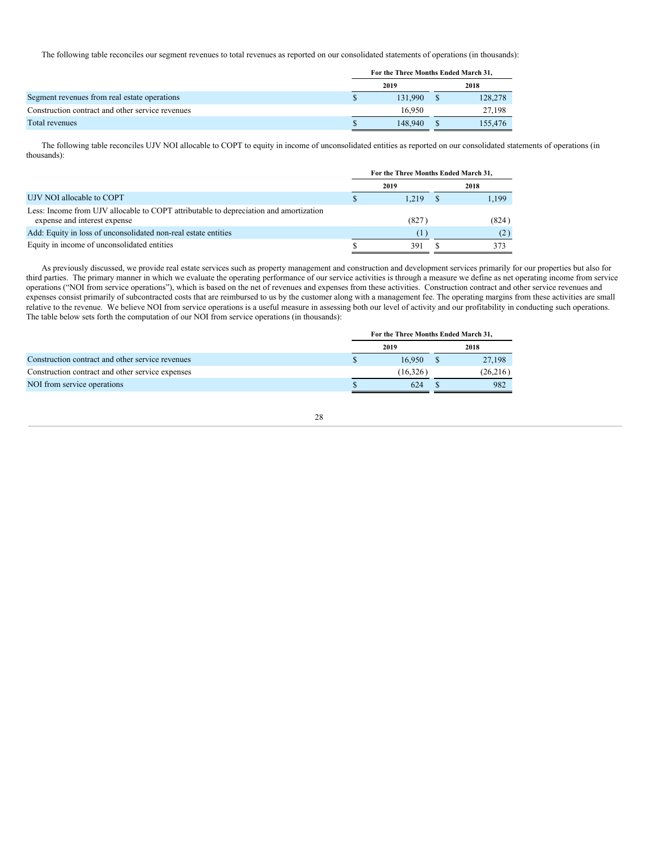The following table reconciles our segment revenues to total revenues as reported on our consolidated statements of operations (in thousands):

|                                                  | For the Three Months Ended March 31, |         |  |         |  |  |
|--------------------------------------------------|--------------------------------------|---------|--|---------|--|--|
|                                                  |                                      | 2019    |  | 2018    |  |  |
| Segment revenues from real estate operations     |                                      | 131.990 |  | 128,278 |  |  |
| Construction contract and other service revenues |                                      | 16.950  |  | 27,198  |  |  |
| Total revenues                                   |                                      | 148.940 |  | 155,476 |  |  |

The following table reconciles UJV NOI allocable to COPT to equity in income of unconsolidated entities as reported on our consolidated statements of operations (in thousands):

|                                                                                                                       | For the Three Months Ended March 31, |       |  |       |  |
|-----------------------------------------------------------------------------------------------------------------------|--------------------------------------|-------|--|-------|--|
|                                                                                                                       |                                      | 2019  |  | 2018  |  |
| UJV NOI allocable to COPT                                                                                             |                                      | 1.219 |  | 1,199 |  |
| Less: Income from UJV allocable to COPT attributable to depreciation and amortization<br>expense and interest expense |                                      | (827) |  | (824) |  |
| Add: Equity in loss of unconsolidated non-real estate entities                                                        |                                      | (1)   |  |       |  |
| Equity in income of unconsolidated entities                                                                           |                                      | 391   |  | 373   |  |

As previously discussed, we provide real estate services such as property management and construction and development services primarily for our properties but also for third parties. The primary manner in which we evaluate the operating performance of our service activities is through a measure we define as net operating income from service operations ("NOI from service operations"), which is based on the net of revenues and expenses from these activities. Construction contract and other service revenues and expenses consist primarily of subcontracted costs that are reimbursed to us by the customer along with a management fee. The operating margins from these activities are small relative to the revenue. We believe NOI from service operations is a useful measure in assessing both our level of activity and our profitability in conducting such operations. The table below sets forth the computation of our NOI from service operations (in thousands):

|                                                  | For the Three Months Ended March 31. |  |          |  |  |  |
|--------------------------------------------------|--------------------------------------|--|----------|--|--|--|
|                                                  | 2019                                 |  | 2018     |  |  |  |
| Construction contract and other service revenues | 16.950                               |  | 27,198   |  |  |  |
| Construction contract and other service expenses | (16.326)                             |  | (26,216) |  |  |  |
| NOI from service operations                      | 624                                  |  | 982      |  |  |  |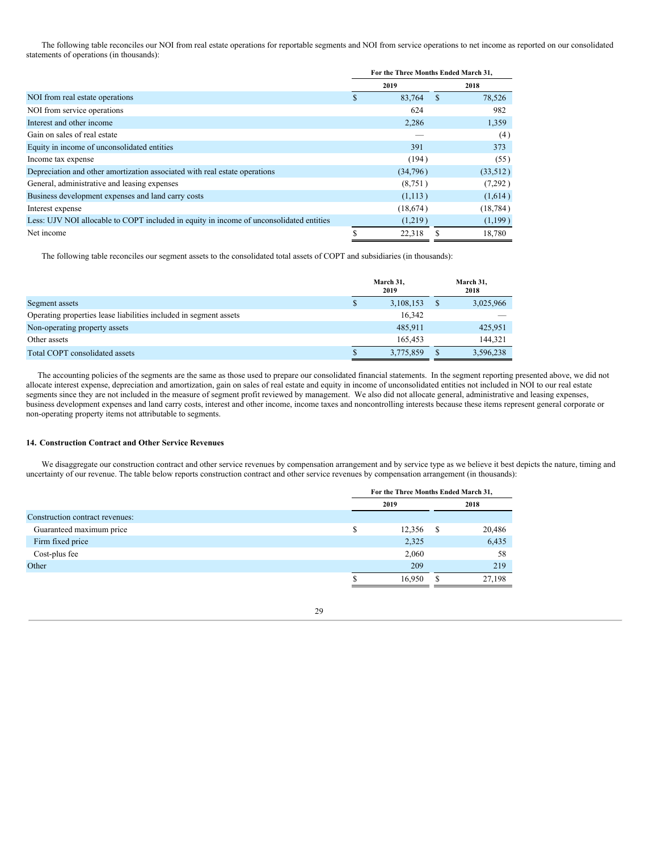The following table reconciles our NOI from real estate operations for reportable segments and NOI from service operations to net income as reported on our consolidated statements of operations (in thousands):

|                                                                                         | For the Three Months Ended March 31, |          |     |           |  |
|-----------------------------------------------------------------------------------------|--------------------------------------|----------|-----|-----------|--|
|                                                                                         |                                      | 2019     |     | 2018      |  |
| NOI from real estate operations                                                         | S                                    | 83,764   | \$. | 78,526    |  |
| NOI from service operations                                                             |                                      | 624      |     | 982       |  |
| Interest and other income                                                               |                                      | 2,286    |     | 1,359     |  |
| Gain on sales of real estate                                                            |                                      |          |     | (4)       |  |
| Equity in income of unconsolidated entities                                             |                                      | 391      |     | 373       |  |
| Income tax expense                                                                      |                                      | (194)    |     | (55)      |  |
| Depreciation and other amortization associated with real estate operations              |                                      | (34,796) |     | (33,512)  |  |
| General, administrative and leasing expenses                                            |                                      | (8,751)  |     | (7,292)   |  |
| Business development expenses and land carry costs                                      |                                      | (1,113)  |     | (1,614)   |  |
| Interest expense                                                                        |                                      | (18,674) |     | (18, 784) |  |
| Less: UJV NOI allocable to COPT included in equity in income of unconsolidated entities |                                      | (1,219)  |     | (1,199)   |  |
| Net income                                                                              | S                                    | 22,318   |     | 18,780    |  |

The following table reconciles our segment assets to the consolidated total assets of COPT and subsidiaries (in thousands):

|                                                                   |   | March 31,<br>2019 | March 31,<br>2018 |
|-------------------------------------------------------------------|---|-------------------|-------------------|
| Segment assets                                                    | S | 3,108,153         | 3,025,966         |
| Operating properties lease liabilities included in segment assets |   | 16,342            |                   |
| Non-operating property assets                                     |   | 485.911           | 425.951           |
| Other assets                                                      |   | 165,453           | 144,321           |
| Total COPT consolidated assets                                    |   | 3,775,859         | 3,596,238         |

The accounting policies of the segments are the same as those used to prepare our consolidated financial statements. In the segment reporting presented above, we did not allocate interest expense, depreciation and amortization, gain on sales of real estate and equity in income of unconsolidated entities not included in NOI to our real estate segments since they are not included in the measure of segment profit reviewed by management. We also did not allocate general, administrative and leasing expenses, business development expenses and land carry costs, interest and other income, income taxes and noncontrolling interests because these items represent general corporate or non-operating property items not attributable to segments.

## **14. Construction Contract and Other Service Revenues**

We disaggregate our construction contract and other service revenues by compensation arrangement and by service type as we believe it best depicts the nature, timing and uncertainty of our revenue. The table below reports construction contract and other service revenues by compensation arrangement (in thousands):

|                                 |   | For the Three Months Ended March 31, |   |        |  |  |  |
|---------------------------------|---|--------------------------------------|---|--------|--|--|--|
|                                 |   | 2019                                 |   | 2018   |  |  |  |
| Construction contract revenues: |   |                                      |   |        |  |  |  |
| Guaranteed maximum price        | Φ | 12,356                               | S | 20,486 |  |  |  |
| Firm fixed price                |   | 2,325                                |   | 6,435  |  |  |  |
| Cost-plus fee                   |   | 2,060                                |   | 58     |  |  |  |
| Other                           |   | 209                                  |   | 219    |  |  |  |
|                                 |   | 16,950                               |   | 27,198 |  |  |  |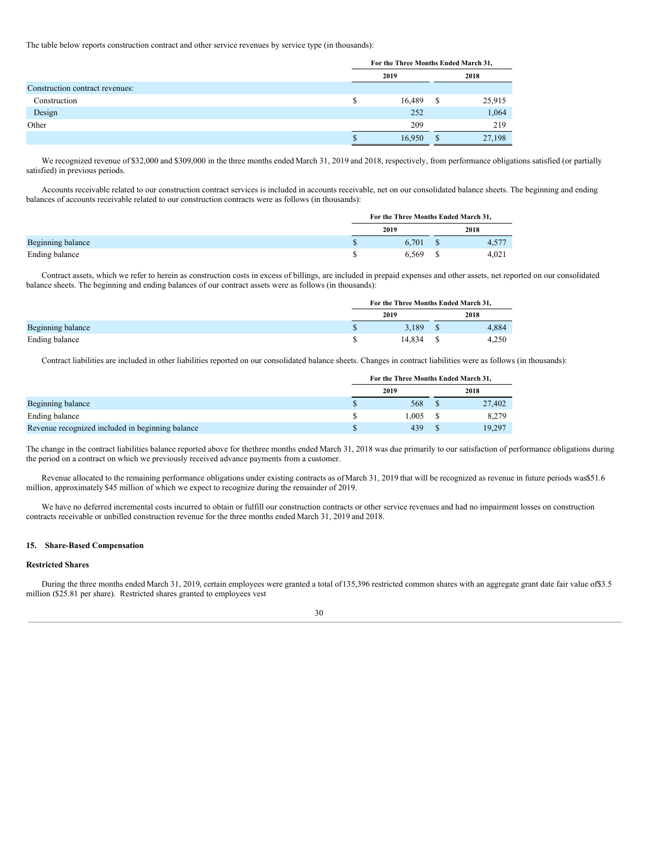The table below reports construction contract and other service revenues by service type (in thousands):

|                                 |   | For the Three Months Ended March 31, |   |        |  |  |  |
|---------------------------------|---|--------------------------------------|---|--------|--|--|--|
|                                 |   | 2019                                 |   | 2018   |  |  |  |
| Construction contract revenues: |   |                                      |   |        |  |  |  |
| Construction                    | Ф | 16,489                               | S | 25,915 |  |  |  |
| Design                          |   | 252                                  |   | 1,064  |  |  |  |
| Other                           |   | 209                                  |   | 219    |  |  |  |
|                                 |   | 16.950                               |   | 27,198 |  |  |  |

We recognized revenue of \$32,000 and \$309,000 in the three months ended March 31, 2019 and 2018, respectively, from performance obligations satisfied (or partially satisfied) in previous periods.

Accounts receivable related to our construction contract services is included in accounts receivable, net on our consolidated balance sheets. The beginning and ending balances of accounts receivable related to our construction contracts were as follows (in thousands):

|                   | For the Three Months Ended March 31, |       |  |  |  |  |
|-------------------|--------------------------------------|-------|--|--|--|--|
|                   | 2019                                 | 2018  |  |  |  |  |
| Beginning balance | 6.701                                | 4,577 |  |  |  |  |
| Ending balance    | 6.569                                | 4.021 |  |  |  |  |

Contract assets, which we refer to herein as construction costs in excess of billings, are included in prepaid expenses and other assets, net reported on our consolidated balance sheets. The beginning and ending balances of our contract assets were as follows (in thousands):

|                   | For the Three Months Ended March 31. |       |
|-------------------|--------------------------------------|-------|
|                   | 2019                                 | 2018  |
| Beginning balance | 3.189                                | 4.884 |
| Ending balance    | 14.834                               | 4,250 |

Contract liabilities are included in other liabilities reported on our consolidated balance sheets. Changes in contract liabilities were as follows (in thousands):

|                                                  | For the Three Months Ended March 31, |  |        |
|--------------------------------------------------|--------------------------------------|--|--------|
|                                                  | 2019                                 |  | 2018   |
| Beginning balance                                | 568                                  |  | 27,402 |
| Ending balance                                   | .005                                 |  | 8,279  |
| Revenue recognized included in beginning balance | 439                                  |  | 19,297 |

The change in the contract liabilities balance reported above for thethree months ended March 31, 2018 was due primarily to our satisfaction of performance obligations during the period on a contract on which we previously received advance payments from a customer.

Revenue allocated to the remaining performance obligations under existing contracts as of March 31, 2019 that will be recognized as revenue in future periods was \$51.6 million, approximately \$45 million of which we expect to recognize during the remainder of 2019.

We have no deferred incremental costs incurred to obtain or fulfill our construction contracts or other service revenues and had no impairment losses on construction contracts receivable or unbilled construction revenue for the three months ended March 31, 2019 and 2018.

## **15. Share-Based Compensation**

## **Restricted Shares**

During the three months ended March 31, 2019, certain employees were granted a total of135,396 restricted common shares with an aggregate grant date fair value of\$3.5 million (\$25.81 per share). Restricted shares granted to employees vest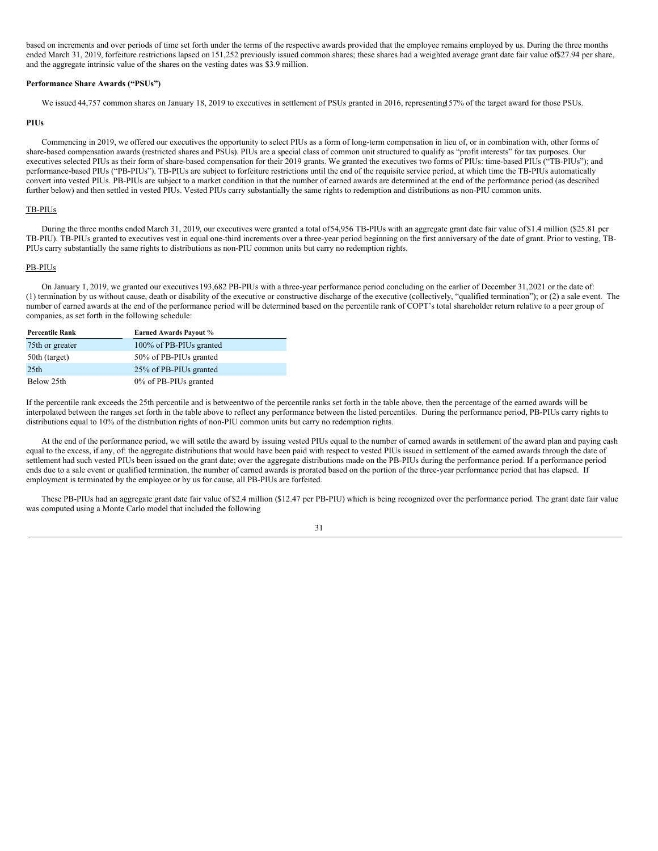based on increments and over periods of time set forth under the terms of the respective awards provided that the employee remains employed by us. During the three months ended March 31, 2019, forfeiture restrictions lapsed on 151,252 previously issued common shares; these shares had a weighted average grant date fair value of\$27.94 per share, and the aggregate intrinsic value of the shares on the vesting dates was \$3.9 million.

#### **Performance Share Awards ("PSUs")**

We issued 44,757 common shares on January 18, 2019 to executives in settlement of PSUs granted in 2016, representing 57% of the target award for those PSUs.

## **PIUs**

Commencing in 2019, we offered our executives the opportunity to select PIUs as a form of long-term compensation in lieu of, or in combination with, other forms of share-based compensation awards (restricted shares and PSUs). PIUs are a special class of common unit structured to qualify as "profit interests" for tax purposes. Our executives selected PIUs as their form of share-based compensation for their 2019 grants. We granted the executives two forms of PIUs: time-based PIUs ("TB-PIUs"); and performance-based PIUs ("PB-PIUs"). TB-PIUs are subject to forfeiture restrictions until the end of the requisite service period, at which time the TB-PIUs automatically convert into vested PIUs. PB-PIUs are subject to a market condition in that the number of earned awards are determined at the end of the performance period (as described further below) and then settled in vested PIUs. Vested PIUs carry substantially the same rights to redemption and distributions as non-PIU common units.

#### TB-PIUs

During the three months ended March 31, 2019, our executives were granted a total of54,956 TB-PIUs with an aggregate grant date fair value of \$1.4 million (\$25.81 per TB-PIU). TB-PIUs granted to executives vest in equal one-third increments over a three-year period beginning on the first anniversary of the date of grant. Prior to vesting, TB-PIUs carry substantially the same rights to distributions as non-PIU common units but carry no redemption rights.

#### PB-PIUs

On January 1, 2019, we granted our executives 193,682 PB-PIUs with a three-year performance period concluding on the earlier of December 31, 2021 or the date of: (1) termination by us without cause, death or disability of the executive or constructive discharge of the executive (collectively, "qualified termination"); or (2) a sale event. The number of earned awards at the end of the performance period will be determined based on the percentile rank of COPT's total shareholder return relative to a peer group of companies, as set forth in the following schedule:

| <b>Percentile Rank</b> | <b>Earned Awards Payout %</b> |  |
|------------------------|-------------------------------|--|
| 75th or greater        | 100% of PB-PIUs granted       |  |
| 50th (target)          | 50% of PB-PIUs granted        |  |
| 25 <sub>th</sub>       | 25% of PB-PIUs granted        |  |
| Below 25th             | 0% of PB-PIUs granted         |  |

If the percentile rank exceeds the 25th percentile and is betweentwo of the percentile ranks set forth in the table above, then the percentage of the earned awards will be interpolated between the ranges set forth in the table above to reflect any performance between the listed percentiles. During the performance period, PB-PIUs carry rights to distributions equal to 10% of the distribution rights of non-PIU common units but carry no redemption rights.

At the end of the performance period, we will settle the award by issuing vested PIUs equal to the number of earned awards in settlement of the award plan and paying cash equal to the excess, if any, of: the aggregate distributions that would have been paid with respect to vested PIUs issued in settlement of the earned awards through the date of settlement had such vested PIUs been issued on the grant date; over the aggregate distributions made on the PB-PIUs during the performance period. If a performance period ends due to a sale event or qualified termination, the number of earned awards is prorated based on the portion of the three-year performance period that has elapsed. If employment is terminated by the employee or by us for cause, all PB-PIUs are forfeited.

These PB-PIUs had an aggregate grant date fair value of \$2.4 million (\$12.47 per PB-PIU) which is being recognized over the performance period. The grant date fair value was computed using a Monte Carlo model that included the following

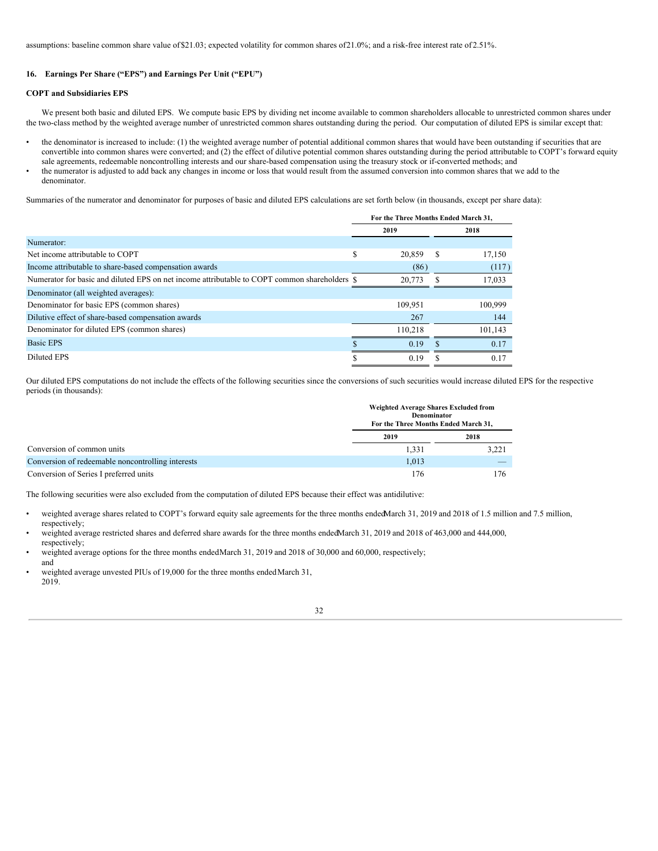assumptions: baseline common share value of\$21.03; expected volatility for common shares of21.0%; and a risk-free interest rate of 2.51%.

## **16. Earnings Per Share ("EPS") and Earnings Per Unit ("EPU")**

## **COPT and Subsidiaries EPS**

We present both basic and diluted EPS. We compute basic EPS by dividing net income available to common shareholders allocable to unrestricted common shares under the two-class method by the weighted average number of unrestricted common shares outstanding during the period. Our computation of diluted EPS is similar except that:

- the denominator is increased to include: (1) the weighted average number of potential additional common shares that would have been outstanding if securities that are convertible into common shares were converted; and (2) the effect of dilutive potential common shares outstanding during the period attributable to COPT's forward equity sale agreements, redeemable noncontrolling interests and our share-based compensation using the treasury stock or if-converted methods; and
- the numerator is adjusted to add back any changes in income or loss that would result from the assumed conversion into common shares that we add to the denominator.

Summaries of the numerator and denominator for purposes of basic and diluted EPS calculations are set forth below (in thousands, except per share data):

|                                                                                               | For the Three Months Ended March 31, |         |    |         |
|-----------------------------------------------------------------------------------------------|--------------------------------------|---------|----|---------|
|                                                                                               |                                      | 2019    |    | 2018    |
| Numerator:                                                                                    |                                      |         |    |         |
| Net income attributable to COPT                                                               | S                                    | 20,859  | -S | 17,150  |
| Income attributable to share-based compensation awards                                        |                                      | (86)    |    | (117)   |
| Numerator for basic and diluted EPS on net income attributable to COPT common shareholders \$ |                                      | 20,773  |    | 17,033  |
| Denominator (all weighted averages):                                                          |                                      |         |    |         |
| Denominator for basic EPS (common shares)                                                     |                                      | 109.951 |    | 100,999 |
| Dilutive effect of share-based compensation awards                                            |                                      | 267     |    | 144     |
| Denominator for diluted EPS (common shares)                                                   |                                      | 110.218 |    | 101,143 |
| <b>Basic EPS</b>                                                                              |                                      | 0.19    |    | 0.17    |
| <b>Diluted EPS</b>                                                                            |                                      | 0.19    |    | 0.17    |

Our diluted EPS computations do not include the effects of the following securities since the conversions of such securities would increase diluted EPS for the respective periods (in thousands):

|                                                   |       | Weighted Average Shares Excluded from<br>Denominator<br>For the Three Months Ended March 31, |  |  |
|---------------------------------------------------|-------|----------------------------------------------------------------------------------------------|--|--|
|                                                   | 2019  | 2018                                                                                         |  |  |
| Conversion of common units                        | 1.331 | 3,221                                                                                        |  |  |
| Conversion of redeemable noncontrolling interests | 1.013 |                                                                                              |  |  |
| Conversion of Series I preferred units            | 176   | 176                                                                                          |  |  |

The following securities were also excluded from the computation of diluted EPS because their effect was antidilutive:

- weighted average shares related to COPT's forward equity sale agreements for the three months endedMarch 31, 2019 and 2018 of 1.5 million and 7.5 million, respectively;
- weighted average restricted shares and deferred share awards for the three months endedMarch 31, 2019 and 2018 of 463,000 and 444,000, respectively;
- weighted average options for the three months endedMarch 31, 2019 and 2018 of 30,000 and 60,000, respectively; and
- weighted average unvested PIUs of 19,000 for the three months ended March 31, 2019.

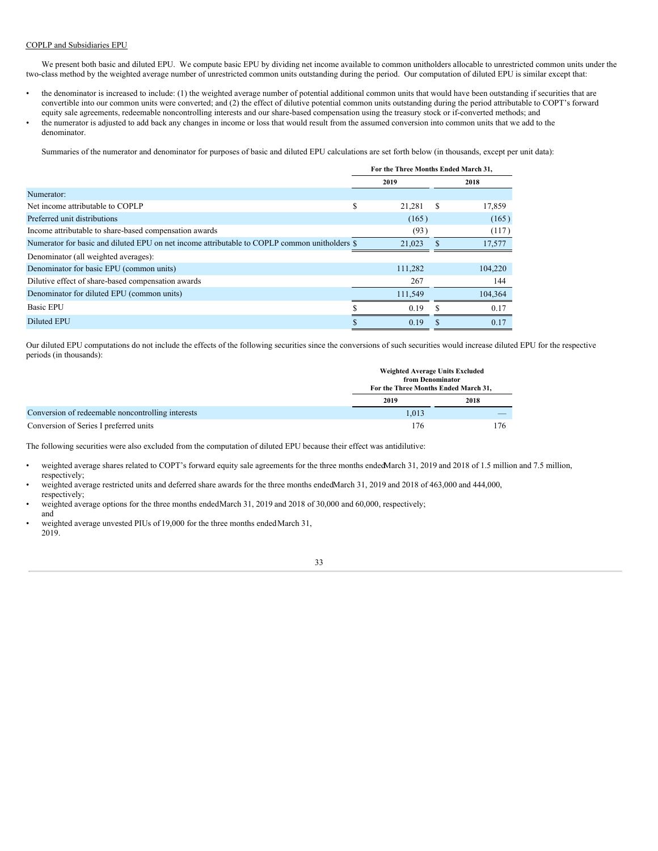## COPLP and Subsidiaries EPU

We present both basic and diluted EPU. We compute basic EPU by dividing net income available to common unitholders allocable to unrestricted common units under the two-class method by the weighted average number of unrestricted common units outstanding during the period. Our computation of diluted EPU is similar except that:

the denominator is increased to include: (1) the weighted average number of potential additional common units that would have been outstanding if securities that are convertible into our common units were converted; and (2) the effect of dilutive potential common units outstanding during the period attributable to COPT's forward equity sale agreements, redeemable noncontrolling interests and our share-based compensation using the treasury stock or if-converted methods; and • the numerator is adjusted to add back any changes in income or loss that would result from the assumed conversion into common units that we add to the denominator.

Summaries of the numerator and denominator for purposes of basic and diluted EPU calculations are set forth below (in thousands, except per unit data):

|                                                                                               |   | For the Three Months Ended March 31, |               |         |
|-----------------------------------------------------------------------------------------------|---|--------------------------------------|---------------|---------|
|                                                                                               |   | 2019                                 |               | 2018    |
| Numerator:                                                                                    |   |                                      |               |         |
| Net income attributable to COPLP                                                              | S | 21.281                               | £.            | 17,859  |
| Preferred unit distributions                                                                  |   | (165)                                |               | (165)   |
| Income attributable to share-based compensation awards                                        |   | (93)                                 |               | (117)   |
| Numerator for basic and diluted EPU on net income attributable to COPLP common unitholders \$ |   | 21,023                               |               | 17,577  |
| Denominator (all weighted averages):                                                          |   |                                      |               |         |
| Denominator for basic EPU (common units)                                                      |   | 111,282                              |               | 104,220 |
| Dilutive effect of share-based compensation awards                                            |   | 267                                  |               | 144     |
| Denominator for diluted EPU (common units)                                                    |   | 111.549                              |               | 104,364 |
| Basic EPU                                                                                     |   | 0.19                                 |               | 0.17    |
| Diluted EPU                                                                                   |   | 0.19                                 | <sup>\$</sup> | 0.17    |

Our diluted EPU computations do not include the effects of the following securities since the conversions of such securities would increase diluted EPU for the respective periods (in thousands):

|                                                   |       | Weighted Average Units Excluded<br>from Denominator<br>For the Three Months Ended March 31, |  |  |
|---------------------------------------------------|-------|---------------------------------------------------------------------------------------------|--|--|
|                                                   | 2019  | 2018                                                                                        |  |  |
| Conversion of redeemable noncontrolling interests | 1.013 |                                                                                             |  |  |
| Conversion of Series I preferred units            | 176   | 176                                                                                         |  |  |

The following securities were also excluded from the computation of diluted EPU because their effect was antidilutive:

- weighted average shares related to COPT's forward equity sale agreements for the three months endedMarch 31, 2019 and 2018 of 1.5 million and 7.5 million, respectively;
- weighted average restricted units and deferred share awards for the three months endedMarch 31, 2019 and 2018 of 463,000 and 444,000, respectively;

• weighted average options for the three months endedMarch 31, 2019 and 2018 of 30,000 and 60,000, respectively; and

weighted average unvested PIUs of 19,000 for the three months ended March 31, 2019.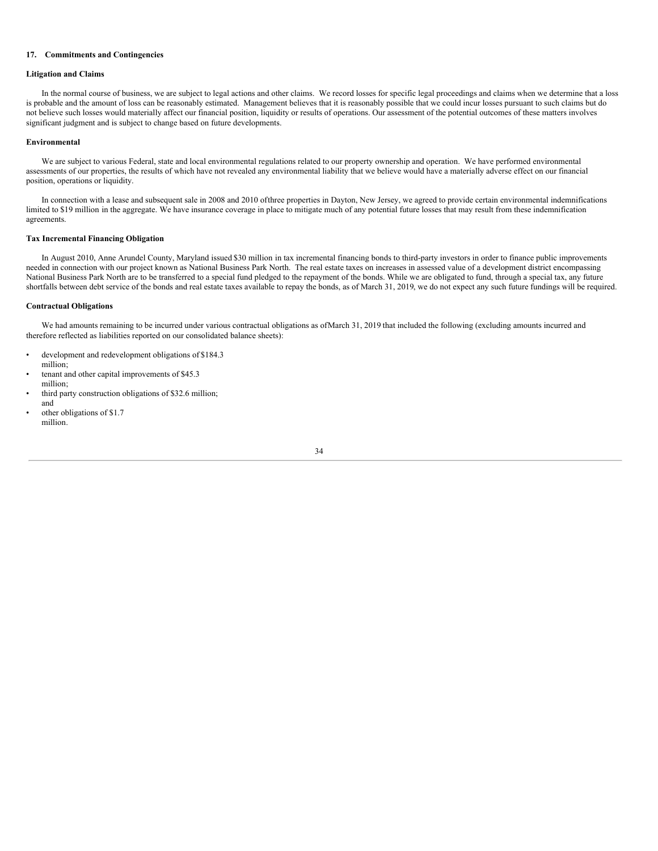#### **17. Commitments and Contingencies**

## **Litigation and Claims**

In the normal course of business, we are subject to legal actions and other claims. We record losses for specific legal proceedings and claims when we determine that a loss is probable and the amount of loss can be reasonably estimated. Management believes that it is reasonably possible that we could incur losses pursuant to such claims but do not believe such losses would materially affect our financial position, liquidity or results of operations. Our assessment of the potential outcomes of these matters involves significant judgment and is subject to change based on future developments.

## **Environmental**

We are subject to various Federal, state and local environmental regulations related to our property ownership and operation. We have performed environmental assessments of our properties, the results of which have not revealed any environmental liability that we believe would have a materially adverse effect on our financial position, operations or liquidity.

In connection with a lease and subsequent sale in 2008 and 2010 ofthree properties in Dayton, New Jersey, we agreed to provide certain environmental indemnifications limited to \$19 million in the aggregate. We have insurance coverage in place to mitigate much of any potential future losses that may result from these indemnification agreements.

## **Tax Incremental Financing Obligation**

In August 2010, Anne Arundel County, Maryland issued \$30 million in tax incremental financing bonds to third-party investors in order to finance public improvements needed in connection with our project known as National Business Park North. The real estate taxes on increases in assessed value of a development district encompassing National Business Park North are to be transferred to a special fund pledged to the repayment of the bonds. While we are obligated to fund, through a special tax, any future shortfalls between debt service of the bonds and real estate taxes available to repay the bonds, as of March 31, 2019, we do not expect any such future fundings will be required.

## **Contractual Obligations**

We had amounts remaining to be incurred under various contractual obligations as ofMarch 31, 2019 that included the following (excluding amounts incurred and therefore reflected as liabilities reported on our consolidated balance sheets):

- development and redevelopment obligations of \$184.3 million;
- tenant and other capital improvements of \$45.3 million;
- third party construction obligations of \$32.6 million; and
- other obligations of \$1.7 million.

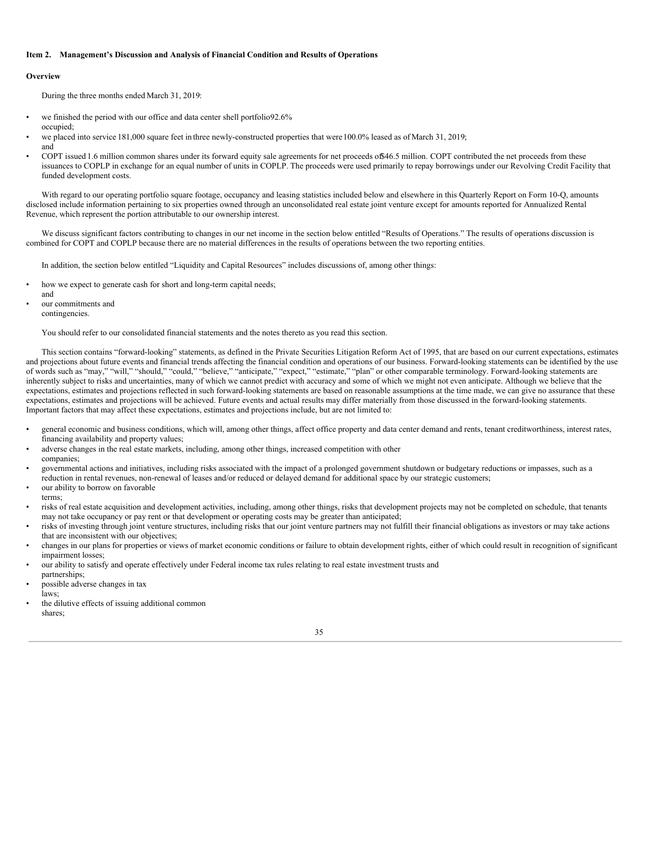### **Item 2. Management's Discussion and Analysis of Financial Condition and Results of Operations**

### **Overview**

During the three months ended March 31, 2019:

- we finished the period with our office and data center shell portfolio92.6% occupied;
- we placed into service 181,000 square feet in three newly-constructed properties that were 100.0% leased as of March 31, 2019; and
- COPT issued 1.6 million common shares under its forward equity sale agreements for net proceeds of\$46.5 million. COPT contributed the net proceeds from these issuances to COPLP in exchange for an equal number of units in COPLP. The proceeds were used primarily to repay borrowings under our Revolving Credit Facility that funded development costs.

With regard to our operating portfolio square footage, occupancy and leasing statistics included below and elsewhere in this Quarterly Report on Form 10-Q, amounts disclosed include information pertaining to six properties owned through an unconsolidated real estate joint venture except for amounts reported for Annualized Rental Revenue, which represent the portion attributable to our ownership interest.

We discuss significant factors contributing to changes in our net income in the section below entitled "Results of Operations." The results of operations discussion is combined for COPT and COPLP because there are no material differences in the results of operations between the two reporting entities.

In addition, the section below entitled "Liquidity and Capital Resources" includes discussions of, among other things:

- how we expect to generate cash for short and long-term capital needs;
- and
- our commitments and contingencies.

You should refer to our consolidated financial statements and the notes thereto as you read this section.

This section contains "forward-looking" statements, as defined in the Private Securities Litigation Reform Act of 1995, that are based on our current expectations, estimates and projections about future events and financial trends affecting the financial condition and operations of our business. Forward-looking statements can be identified by the use of words such as "may," "will," "should," "could," "believe," "anticipate," "expect," "estimate," "plan" or other comparable terminology. Forward-looking statements are inherently subject to risks and uncertainties, many of which we cannot predict with accuracy and some of which we might not even anticipate. Although we believe that the expectations, estimates and projections reflected in such forward-looking statements are based on reasonable assumptions at the time made, we can give no assurance that these expectations, estimates and projections will be achieved. Future events and actual results may differ materially from those discussed in the forward-looking statements. Important factors that may affect these expectations, estimates and projections include, but are not limited to:

- general economic and business conditions, which will, among other things, affect office property and data center demand and rents, tenant creditworthiness, interest rates, financing availability and property values;
- adverse changes in the real estate markets, including, among other things, increased competition with other companies;
- governmental actions and initiatives, including risks associated with the impact of a prolonged government shutdown or budgetary reductions or impasses, such as a reduction in rental revenues, non-renewal of leases and/or reduced or delayed demand for additional space by our strategic customers;
- our ability to borrow on favorable
- terms;
- risks of real estate acquisition and development activities, including, among other things, risks that development projects may not be completed on schedule, that tenants may not take occupancy or pay rent or that development or operating costs may be greater than anticipated;
- risks of investing through joint venture structures, including risks that our joint venture partners may not fulfill their financial obligations as investors or may take actions that are inconsistent with our objectives;
- changes in our plans for properties or views of market economic conditions or failure to obtain development rights, either of which could result in recognition of significant impairment losses;
- our ability to satisfy and operate effectively under Federal income tax rules relating to real estate investment trusts and
- partnerships; • possible adverse changes in tax
- laws;
- the dilutive effects of issuing additional common shares;

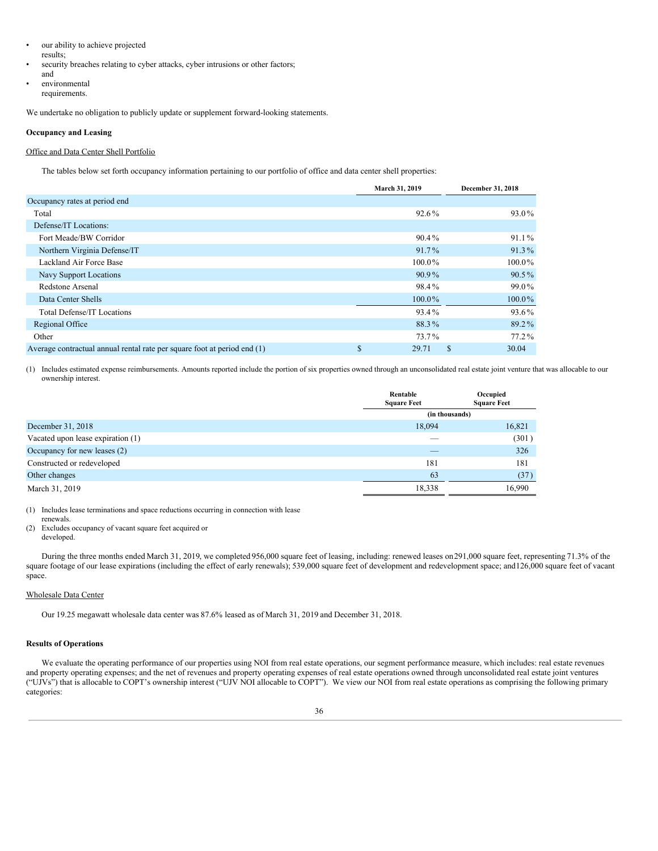- our ability to achieve projected results;
- security breaches relating to cyber attacks, cyber intrusions or other factors;
- and
- environmental requirements.

We undertake no obligation to publicly update or supplement forward-looking statements.

### **Occupancy and Leasing**

### Office and Data Center Shell Portfolio

The tables below set forth occupancy information pertaining to our portfolio of office and data center shell properties:

|                                                                          |   | March 31, 2019 | December 31, 2018 |
|--------------------------------------------------------------------------|---|----------------|-------------------|
| Occupancy rates at period end                                            |   |                |                   |
| Total                                                                    |   | $92.6\%$       | 93.0%             |
| Defense/IT Locations:                                                    |   |                |                   |
| Fort Meade/BW Corridor                                                   |   | $90.4\%$       | $91.1\%$          |
| Northern Virginia Defense/IT                                             |   | $91.7\%$       | $91.3\%$          |
| Lackland Air Force Base                                                  |   | $100.0\%$      | $100.0\%$         |
| Navy Support Locations                                                   |   | $90.9\%$       | $90.5\%$          |
| Redstone Arsenal                                                         |   | 98.4%          | 99.0%             |
| Data Center Shells                                                       |   | $100.0\%$      | 100.0%            |
| <b>Total Defense/IT Locations</b>                                        |   | 93.4%          | 93.6%             |
| Regional Office                                                          |   | 88.3%          | 89.2%             |
| Other                                                                    |   | 73.7%          | $77.2\%$          |
| Average contractual annual rental rate per square foot at period end (1) | S | 29.71          | \$<br>30.04       |

(1) Includes estimated expense reimbursements. Amounts reported include the portion of six properties owned through an unconsolidated real estate joint venture that was allocable to our ownership interest.

|                                   | Rentable<br><b>Square Feet</b> |                | Occupied<br><b>Square Feet</b> |
|-----------------------------------|--------------------------------|----------------|--------------------------------|
|                                   |                                | (in thousands) |                                |
| December 31, 2018                 |                                | 18,094         | 16,821                         |
| Vacated upon lease expiration (1) |                                | __             | (301)                          |
| Occupancy for new leases (2)      |                                |                | 326                            |
| Constructed or redeveloped        |                                | 181            | 181                            |
| Other changes                     |                                | 63             | (37)                           |
| March 31, 2019                    |                                | 18,338         | 16,990                         |

(1) Includes lease terminations and space reductions occurring in connection with lease

renewals. (2) Excludes occupancy of vacant square feet acquired or

During the three months ended March 31, 2019, we completed 956,000 square feet of leasing, including: renewed leases on 291,000 square feet, representing 71.3% of the square footage of our lease expirations (including the effect of early renewals); 539,000 square feet of development and redevelopment space; and126,000 square feet of vacant space.

### Wholesale Data Center

Our 19.25 megawatt wholesale data center was 87.6% leased as of March 31, 2019 and December 31, 2018.

### **Results of Operations**

We evaluate the operating performance of our properties using NOI from real estate operations, our segment performance measure, which includes: real estate revenues and property operating expenses; and the net of revenues and property operating expenses of real estate operations owned through unconsolidated real estate joint ventures ("UJVs") that is allocable to COPT's ownership interest ("UJV NOI allocable to COPT"). We view our NOI from real estate operations as comprising the following primary categories:

developed.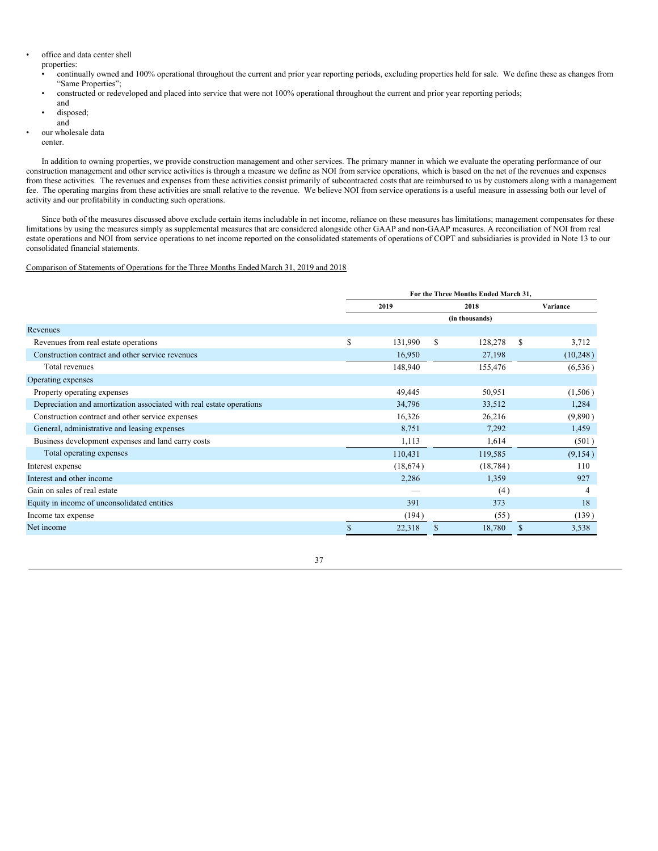office and data center shell

- properties:
	- continually owned and 100% operational throughout the current and prior year reporting periods, excluding properties held for sale. We define these as changes from "Same Properties";
	- constructed or redeveloped and placed into service that were not 100% operational throughout the current and prior year reporting periods;
	- and disposed;
	- and
- our wholesale data

center.

In addition to owning properties, we provide construction management and other services. The primary manner in which we evaluate the operating performance of our construction management and other service activities is through a measure we define as NOI from service operations, which is based on the net of the revenues and expenses from these activities. The revenues and expenses from these activities consist primarily of subcontracted costs that are reimbursed to us by customers along with a management fee. The operating margins from these activities are small relative to the revenue. We believe NOI from service operations is a useful measure in assessing both our level of activity and our profitability in conducting such operations.

Since both of the measures discussed above exclude certain items includable in net income, reliance on these measures has limitations; management compensates for these limitations by using the measures simply as supplemental measures that are considered alongside other GAAP and non-GAAP measures. A reconciliation of NOI from real estate operations and NOI from service operations to net income reported on the consolidated statements of operations of COPT and subsidiaries is provided in Note 13 to our consolidated financial statements.

### Comparison of Statements of Operations for the Three Months Ended March 31, 2019 and 2018

|                                                                      |    | For the Three Months Ended March 31, |                    |   |          |  |  |
|----------------------------------------------------------------------|----|--------------------------------------|--------------------|---|----------|--|--|
|                                                                      |    | 2019                                 | 2018               |   | Variance |  |  |
|                                                                      |    |                                      | (in thousands)     |   |          |  |  |
| Revenues                                                             |    |                                      |                    |   |          |  |  |
| Revenues from real estate operations                                 | \$ | 131,990                              | S<br>128,278       | S | 3,712    |  |  |
| Construction contract and other service revenues                     |    | 16,950                               | 27,198             |   | (10,248) |  |  |
| Total revenues                                                       |    | 148,940                              | 155,476            |   | (6, 536) |  |  |
| Operating expenses                                                   |    |                                      |                    |   |          |  |  |
| Property operating expenses                                          |    | 49,445                               | 50,951             |   | (1,506)  |  |  |
| Depreciation and amortization associated with real estate operations |    | 34,796                               | 33,512             |   | 1,284    |  |  |
| Construction contract and other service expenses                     |    | 16,326                               | 26,216             |   | (9,890)  |  |  |
| General, administrative and leasing expenses                         |    | 8,751                                | 7,292              |   | 1,459    |  |  |
| Business development expenses and land carry costs                   |    | 1,113                                | 1,614              |   | (501)    |  |  |
| Total operating expenses                                             |    | 110,431                              | 119,585            |   | (9,154)  |  |  |
| Interest expense                                                     |    | (18,674)                             | (18, 784)          |   | 110      |  |  |
| Interest and other income                                            |    | 2,286                                | 1,359              |   | 927      |  |  |
| Gain on sales of real estate                                         |    |                                      | (4)                |   | 4        |  |  |
| Equity in income of unconsolidated entities                          |    | 391                                  | 373                |   | 18       |  |  |
| Income tax expense                                                   |    | (194)                                | (55)               |   | (139)    |  |  |
| Net income                                                           | ъ  | 22,318                               | 18,780<br><b>S</b> |   | 3,538    |  |  |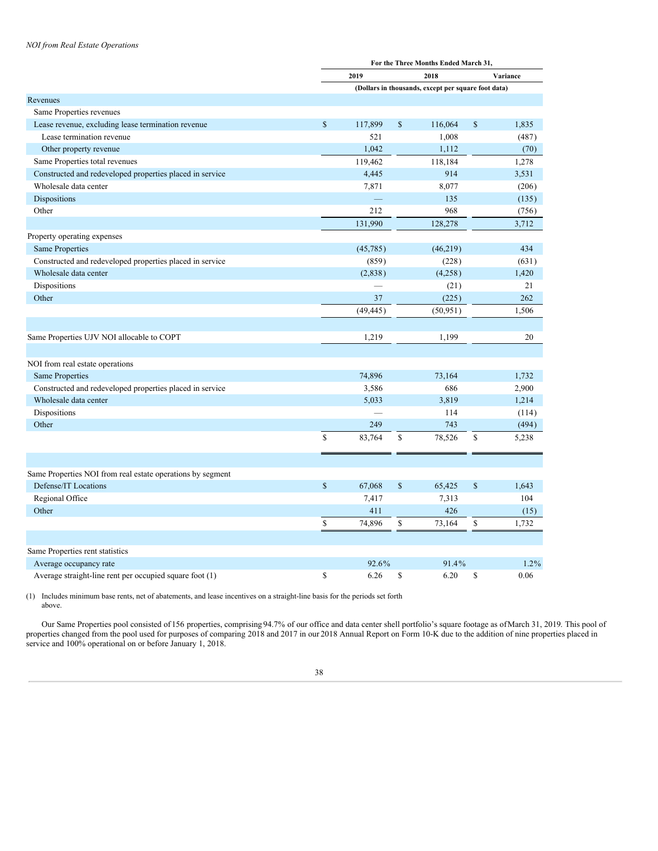### *NOI from Real Estate Operations*

|                                                            |                                             | For the Three Months Ended March 31, |              |                                                     |              |       |  |
|------------------------------------------------------------|---------------------------------------------|--------------------------------------|--------------|-----------------------------------------------------|--------------|-------|--|
|                                                            |                                             | 2019<br>2018<br>Variance             |              |                                                     |              |       |  |
|                                                            |                                             |                                      |              | (Dollars in thousands, except per square foot data) |              |       |  |
| Revenues                                                   |                                             |                                      |              |                                                     |              |       |  |
| Same Properties revenues                                   |                                             |                                      |              |                                                     |              |       |  |
| Lease revenue, excluding lease termination revenue         | $\mathbb{S}$                                | 117,899                              | $\mathbb{S}$ | 116,064                                             | $\mathbb{S}$ | 1,835 |  |
| Lease termination revenue                                  |                                             | 521                                  |              | 1,008                                               |              | (487) |  |
| Other property revenue                                     |                                             | 1.042                                |              | 1,112                                               |              | (70)  |  |
| Same Properties total revenues                             |                                             | 119,462                              |              | 118,184                                             |              | 1,278 |  |
| Constructed and redeveloped properties placed in service   |                                             | 4,445                                |              | 914                                                 |              | 3,531 |  |
| Wholesale data center                                      |                                             | 7,871                                |              | 8,077                                               |              | (206) |  |
| Dispositions                                               |                                             | $\overline{\phantom{0}}$             |              | 135                                                 |              | (135) |  |
| Other                                                      |                                             | 212                                  |              | 968                                                 |              | (756) |  |
|                                                            |                                             | 131,990                              |              | 128,278                                             |              | 3,712 |  |
| Property operating expenses                                |                                             |                                      |              |                                                     |              |       |  |
| Same Properties                                            |                                             | (45, 785)                            |              | (46, 219)                                           |              | 434   |  |
| Constructed and redeveloped properties placed in service   |                                             | (859)                                |              | (228)                                               |              | (631) |  |
| Wholesale data center                                      |                                             | (2,838)                              |              | (4,258)                                             |              | 1,420 |  |
| Dispositions                                               |                                             |                                      |              | (21)                                                |              | 21    |  |
| Other                                                      |                                             | 37                                   |              | (225)                                               |              | 262   |  |
|                                                            |                                             | (49, 445)                            |              | (50, 951)                                           |              | 1,506 |  |
|                                                            |                                             |                                      |              |                                                     |              |       |  |
| Same Properties UJV NOI allocable to COPT                  |                                             | 1,219                                |              | 1,199                                               |              | 20    |  |
|                                                            |                                             |                                      |              |                                                     |              |       |  |
| NOI from real estate operations                            |                                             |                                      |              |                                                     |              |       |  |
| <b>Same Properties</b>                                     |                                             | 74,896                               |              | 73,164                                              |              | 1,732 |  |
| Constructed and redeveloped properties placed in service   |                                             | 3,586                                |              | 686                                                 |              | 2,900 |  |
| Wholesale data center                                      |                                             | 5.033                                |              | 3.819                                               |              | 1,214 |  |
| Dispositions                                               |                                             |                                      |              | 114                                                 |              | (114) |  |
| Other                                                      |                                             | 249                                  |              | 743                                                 |              | (494) |  |
|                                                            | $\mathbb{S}% _{n}^{X\rightarrow\mathbb{R}}$ | 83,764                               | \$           | 78,526                                              | $\mathbb{S}$ | 5,238 |  |
|                                                            |                                             |                                      |              |                                                     |              |       |  |
|                                                            |                                             |                                      |              |                                                     |              |       |  |
| Same Properties NOI from real estate operations by segment |                                             |                                      |              |                                                     |              |       |  |
| Defense/IT Locations                                       | $\mathbb{S}$                                | 67,068                               | \$           | 65,425                                              | $\mathbb{S}$ | 1,643 |  |
| Regional Office                                            |                                             | 7,417                                |              | 7,313                                               |              | 104   |  |
| Other                                                      |                                             | 411                                  |              | 426                                                 |              | (15)  |  |
|                                                            | $\mathbb{S}$                                | 74,896                               | \$           | 73,164                                              | \$           | 1,732 |  |
|                                                            |                                             |                                      |              |                                                     |              |       |  |
| Same Properties rent statistics                            |                                             |                                      |              |                                                     |              |       |  |
| Average occupancy rate                                     |                                             | 92.6%                                |              | 91.4%                                               |              | 1.2%  |  |
| Average straight-line rent per occupied square foot (1)    | \$                                          | 6.26                                 | \$           | 6.20                                                | \$           | 0.06  |  |

(1) Includes minimum base rents, net of abatements, and lease incentives on a straight-line basis for the periods set forth above.

Our Same Properties pool consisted of 156 properties, comprising 94.7% of our office and data center shell portfolio's square footage as ofMarch 31, 2019. This pool of properties changed from the pool used for purposes of comparing 2018 and 2017 in our 2018 Annual Report on Form 10-K due to the addition of nine properties placed in service and 100% operational on or before January 1, 2018.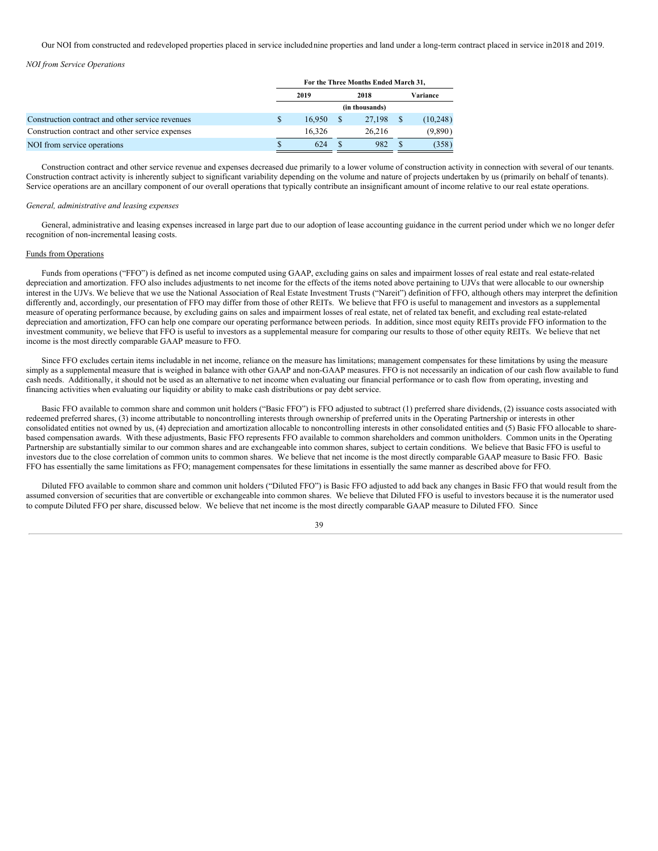Our NOI from constructed and redeveloped properties placed in service includednine properties and land under a long-term contract placed in service in2018 and 2019.

*NOI from Service Operations*

|                                                  |    |        | For the Three Months Ended March 31, |   |          |
|--------------------------------------------------|----|--------|--------------------------------------|---|----------|
|                                                  |    | 2019   | 2018                                 |   | Variance |
|                                                  |    |        | (in thousands)                       |   |          |
| Construction contract and other service revenues | S  | 16.950 | 27.198                               |   | (10,248) |
| Construction contract and other service expenses |    | 16.326 | 26,216                               |   | (9,890)  |
| NOI from service operations                      | \$ | 624    | 982                                  | S | (358)    |

Construction contract and other service revenue and expenses decreased due primarily to a lower volume of construction activity in connection with several of our tenants. Construction contract activity is inherently subject to significant variability depending on the volume and nature of projects undertaken by us (primarily on behalf of tenants). Service operations are an ancillary component of our overall operations that typically contribute an insignificant amount of income relative to our real estate operations.

#### *General, administrative and leasing expenses*

General, administrative and leasing expenses increased in large part due to our adoption of lease accounting guidance in the current period under which we no longer defer recognition of non-incremental leasing costs.

#### Funds from Operations

Funds from operations ("FFO") is defined as net income computed using GAAP, excluding gains on sales and impairment losses of real estate and real estate-related depreciation and amortization. FFO also includes adjustments to net income for the effects of the items noted above pertaining to UJVs that were allocable to our ownership interest in the UJVs. We believe that we use the National Association of Real Estate Investment Trusts ("Nareit") definition of FFO, although others may interpret the definition differently and, accordingly, our presentation of FFO may differ from those of other REITs. We believe that FFO is useful to management and investors as a supplemental measure of operating performance because, by excluding gains on sales and impairment losses of real estate, net of related tax benefit, and excluding real estate-related depreciation and amortization, FFO can help one compare our operating performance between periods. In addition, since most equity REITs provide FFO information to the investment community, we believe that FFO is useful to investors as a supplemental measure for comparing our results to those of other equity REITs. We believe that net income is the most directly comparable GAAP measure to FFO.

Since FFO excludes certain items includable in net income, reliance on the measure has limitations; management compensates for these limitations by using the measure simply as a supplemental measure that is weighed in balance with other GAAP and non-GAAP measures. FFO is not necessarily an indication of our cash flow available to fund cash needs. Additionally, it should not be used as an alternative to net income when evaluating our financial performance or to cash flow from operating, investing and financing activities when evaluating our liquidity or ability to make cash distributions or pay debt service.

Basic FFO available to common share and common unit holders ("Basic FFO") is FFO adjusted to subtract (1) preferred share dividends, (2) issuance costs associated with redeemed preferred shares, (3) income attributable to noncontrolling interests through ownership of preferred units in the Operating Partnership or interests in other consolidated entities not owned by us, (4) depreciation and amortization allocable to noncontrolling interests in other consolidated entities and (5) Basic FFO allocable to sharebased compensation awards. With these adjustments, Basic FFO represents FFO available to common shareholders and common unitholders. Common units in the Operating Partnership are substantially similar to our common shares and are exchangeable into common shares, subject to certain conditions. We believe that Basic FFO is useful to investors due to the close correlation of common units to common shares. We believe that net income is the most directly comparable GAAP measure to Basic FFO. Basic FFO has essentially the same limitations as FFO; management compensates for these limitations in essentially the same manner as described above for FFO.

Diluted FFO available to common share and common unit holders ("Diluted FFO") is Basic FFO adjusted to add back any changes in Basic FFO that would result from the assumed conversion of securities that are convertible or exchangeable into common shares. We believe that Diluted FFO is useful to investors because it is the numerator used to compute Diluted FFO per share, discussed below. We believe that net income is the most directly comparable GAAP measure to Diluted FFO. Since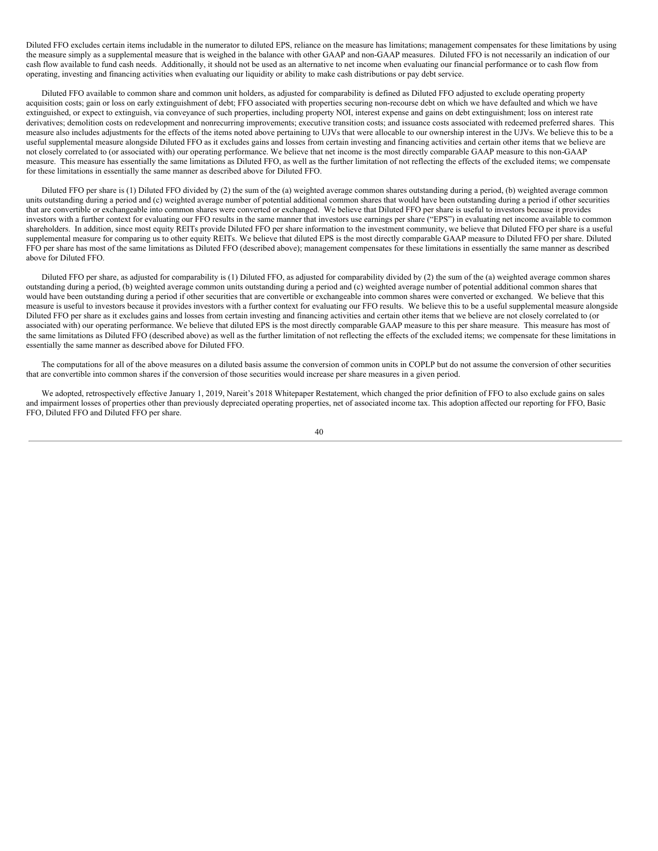Diluted FFO excludes certain items includable in the numerator to diluted EPS, reliance on the measure has limitations; management compensates for these limitations by using the measure simply as a supplemental measure that is weighed in the balance with other GAAP and non-GAAP measures. Diluted FFO is not necessarily an indication of our cash flow available to fund cash needs. Additionally, it should not be used as an alternative to net income when evaluating our financial performance or to cash flow from operating, investing and financing activities when evaluating our liquidity or ability to make cash distributions or pay debt service.

Diluted FFO available to common share and common unit holders, as adjusted for comparability is defined as Diluted FFO adjusted to exclude operating property acquisition costs; gain or loss on early extinguishment of debt; FFO associated with properties securing non-recourse debt on which we have defaulted and which we have extinguished, or expect to extinguish, via conveyance of such properties, including property NOI, interest expense and gains on debt extinguishment; loss on interest rate derivatives; demolition costs on redevelopment and nonrecurring improvements; executive transition costs; and issuance costs associated with redeemed preferred shares. This measure also includes adjustments for the effects of the items noted above pertaining to UJVs that were allocable to our ownership interest in the UJVs. We believe this to be a useful supplemental measure alongside Diluted FFO as it excludes gains and losses from certain investing and financing activities and certain other items that we believe are not closely correlated to (or associated with) our operating performance. We believe that net income is the most directly comparable GAAP measure to this non-GAAP measure. This measure has essentially the same limitations as Diluted FFO, as well as the further limitation of not reflecting the effects of the excluded items; we compensate for these limitations in essentially the same manner as described above for Diluted FFO.

Diluted FFO per share is (1) Diluted FFO divided by (2) the sum of the (a) weighted average common shares outstanding during a period, (b) weighted average common units outstanding during a period and (c) weighted average number of potential additional common shares that would have been outstanding during a period if other securities that are convertible or exchangeable into common shares were converted or exchanged. We believe that Diluted FFO per share is useful to investors because it provides investors with a further context for evaluating our FFO results in the same manner that investors use earnings per share ("EPS") in evaluating net income available to common shareholders. In addition, since most equity REITs provide Diluted FFO per share information to the investment community, we believe that Diluted FFO per share is a useful supplemental measure for comparing us to other equity REITs. We believe that diluted EPS is the most directly comparable GAAP measure to Diluted FFO per share. Diluted FFO per share has most of the same limitations as Diluted FFO (described above); management compensates for these limitations in essentially the same manner as described above for Diluted FFO.

Diluted FFO per share, as adjusted for comparability is (1) Diluted FFO, as adjusted for comparability divided by (2) the sum of the (a) weighted average common shares outstanding during a period, (b) weighted average common units outstanding during a period and (c) weighted average number of potential additional common shares that would have been outstanding during a period if other securities that are convertible or exchangeable into common shares were converted or exchanged. We believe that this measure is useful to investors because it provides investors with a further context for evaluating our FFO results. We believe this to be a useful supplemental measure alongside Diluted FFO per share as it excludes gains and losses from certain investing and financing activities and certain other items that we believe are not closely correlated to (or associated with) our operating performance. We believe that diluted EPS is the most directly comparable GAAP measure to this per share measure. This measure has most of the same limitations as Diluted FFO (described above) as well as the further limitation of not reflecting the effects of the excluded items; we compensate for these limitations in essentially the same manner as described above for Diluted FFO.

The computations for all of the above measures on a diluted basis assume the conversion of common units in COPLP but do not assume the conversion of other securities that are convertible into common shares if the conversion of those securities would increase per share measures in a given period.

We adopted, retrospectively effective January 1, 2019, Nareit's 2018 Whitepaper Restatement, which changed the prior definition of FFO to also exclude gains on sales and impairment losses of properties other than previously depreciated operating properties, net of associated income tax. This adoption affected our reporting for FFO, Basic FFO, Diluted FFO and Diluted FFO per share.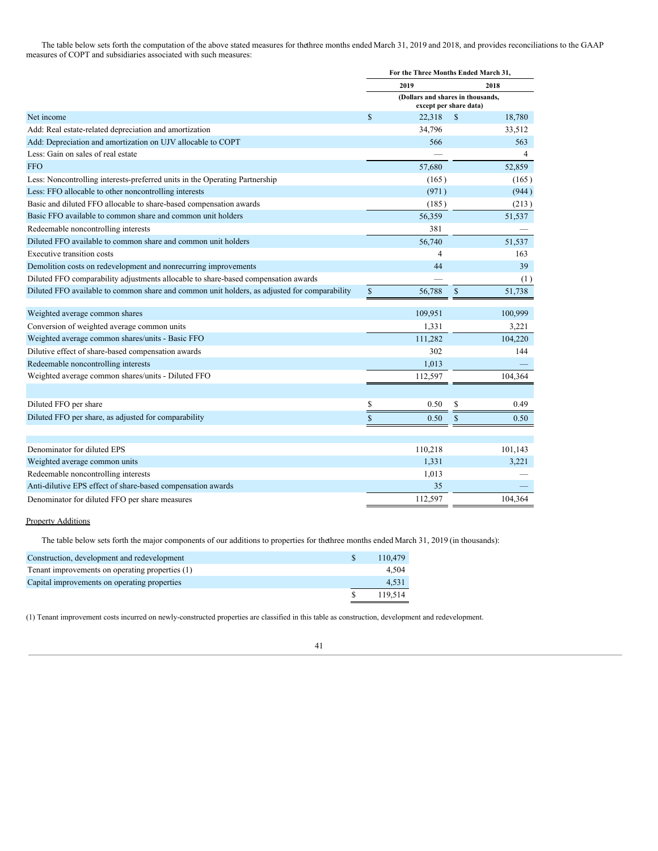The table below sets forth the computation of the above stated measures for thethree months ended March 31, 2019 and 2018, and provides reconciliations to the GAAP measures of COPT and subsidiaries associated with such measures:

|                                                                                              |               | For the Three Months Ended March 31,                        |              |                |  |
|----------------------------------------------------------------------------------------------|---------------|-------------------------------------------------------------|--------------|----------------|--|
|                                                                                              |               | 2019                                                        |              | 2018           |  |
|                                                                                              |               | (Dollars and shares in thousands,<br>except per share data) |              |                |  |
| Net income                                                                                   | \$            | 22,318                                                      | \$           | 18,780         |  |
| Add: Real estate-related depreciation and amortization                                       |               | 34,796                                                      |              | 33,512         |  |
| Add: Depreciation and amortization on UJV allocable to COPT                                  |               | 566                                                         |              | 563            |  |
| Less: Gain on sales of real estate                                                           |               |                                                             |              | $\overline{4}$ |  |
| <b>FFO</b>                                                                                   |               | 57,680                                                      |              | 52,859         |  |
| Less: Noncontrolling interests-preferred units in the Operating Partnership                  |               | (165)                                                       |              | (165)          |  |
| Less: FFO allocable to other noncontrolling interests                                        |               | (971)                                                       |              | (944)          |  |
| Basic and diluted FFO allocable to share-based compensation awards                           |               | (185)                                                       |              | (213)          |  |
| Basic FFO available to common share and common unit holders                                  |               | 56,359                                                      |              | 51,537         |  |
| Redeemable noncontrolling interests                                                          |               | 381                                                         |              |                |  |
| Diluted FFO available to common share and common unit holders                                |               | 56,740                                                      |              | 51,537         |  |
| Executive transition costs                                                                   |               | 4                                                           |              | 163            |  |
| Demolition costs on redevelopment and nonrecurring improvements                              |               | 44                                                          |              | 39             |  |
| Diluted FFO comparability adjustments allocable to share-based compensation awards           |               |                                                             |              | (1)            |  |
| Diluted FFO available to common share and common unit holders, as adjusted for comparability | $\mathbb{S}$  | 56,788                                                      | $\mathbb{S}$ | 51,738         |  |
| Weighted average common shares                                                               |               | 109,951                                                     |              | 100,999        |  |
| Conversion of weighted average common units                                                  |               | 1,331                                                       |              | 3,221          |  |
| Weighted average common shares/units - Basic FFO                                             |               | 111,282                                                     |              | 104,220        |  |
| Dilutive effect of share-based compensation awards                                           |               | 302                                                         |              | 144            |  |
| Redeemable noncontrolling interests                                                          |               | 1,013                                                       |              |                |  |
| Weighted average common shares/units - Diluted FFO                                           |               | 112,597                                                     |              | 104,364        |  |
| Diluted FFO per share                                                                        | \$            | 0.50                                                        | \$           | 0.49           |  |
| Diluted FFO per share, as adjusted for comparability                                         |               |                                                             |              |                |  |
|                                                                                              | $\mathcal{S}$ | 0.50                                                        | \$           | 0.50           |  |
| Denominator for diluted EPS                                                                  |               | 110,218                                                     |              | 101,143        |  |
| Weighted average common units                                                                |               | 1,331                                                       |              | 3,221          |  |
| Redeemable noncontrolling interests                                                          |               | 1,013                                                       |              |                |  |
| Anti-dilutive EPS effect of share-based compensation awards                                  |               | 35                                                          |              |                |  |
| Denominator for diluted FFO per share measures                                               |               | 112,597                                                     |              | 104,364        |  |

### **Property Additions**

The table below sets forth the major components of our additions to properties for thethree months ended March 31, 2019 (in thousands):

| Construction, development and redevelopment     | 110,479 |
|-------------------------------------------------|---------|
| Tenant improvements on operating properties (1) | 4.504   |
| Capital improvements on operating properties    | 4.531   |
|                                                 | 119.514 |

(1) Tenant improvement costs incurred on newly-constructed properties are classified in this table as construction, development and redevelopment.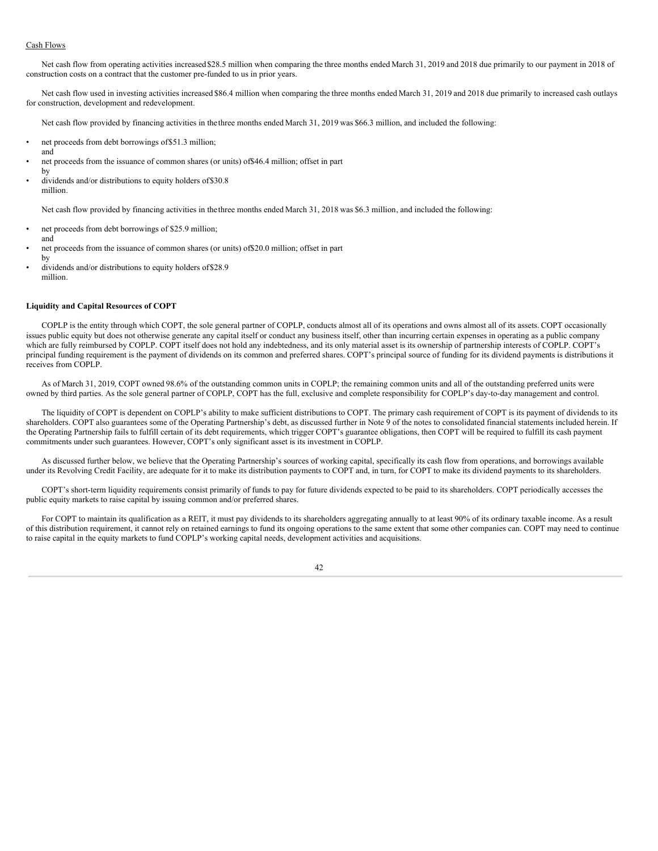### Cash Flows

and

by

Net cash flow from operating activities increased \$28.5 million when comparing the three months ended March 31, 2019 and 2018 due primarily to our payment in 2018 of construction costs on a contract that the customer pre-funded to us in prior years.

Net cash flow used in investing activities increased \$86.4 million when comparing the three months ended March 31, 2019 and 2018 due primarily to increased cash outlays for construction, development and redevelopment.

Net cash flow provided by financing activities in thethree months ended March 31, 2019 was \$66.3 million, and included the following:

- net proceeds from debt borrowings of \$51.3 million;
- net proceeds from the issuance of common shares (or units) of\$46.4 million; offset in part
- dividends and/or distributions to equity holders of\$30.8 million.

Net cash flow provided by financing activities in thethree months ended March 31, 2018 was \$6.3 million, and included the following:

- net proceeds from debt borrowings of \$25.9 million; and
- net proceeds from the issuance of common shares (or units) of\$20.0 million; offset in part by
- dividends and/or distributions to equity holders of\$28.9 million.

#### **Liquidity and Capital Resources of COPT**

COPLP is the entity through which COPT, the sole general partner of COPLP, conducts almost all of its operations and owns almost all of its assets. COPT occasionally issues public equity but does not otherwise generate any capital itself or conduct any business itself, other than incurring certain expenses in operating as a public company which are fully reimbursed by COPLP. COPT itself does not hold any indebtedness, and its only material asset is its ownership of partnership interests of COPLP. COPT's principal funding requirement is the payment of dividends on its common and preferred shares. COPT's principal source of funding for its dividend payments is distributions it receives from COPLP.

As of March 31, 2019, COPT owned 98.6% of the outstanding common units in COPLP; the remaining common units and all of the outstanding preferred units were owned by third parties. As the sole general partner of COPLP, COPT has the full, exclusive and complete responsibility for COPLP's day-to-day management and control.

The liquidity of COPT is dependent on COPLP's ability to make sufficient distributions to COPT. The primary cash requirement of COPT is its payment of dividends to its shareholders. COPT also guarantees some of the Operating Partnership's debt, as discussed further in Note 9 of the notes to consolidated financial statements included herein. If the Operating Partnership fails to fulfill certain of its debt requirements, which trigger COPT's guarantee obligations, then COPT will be required to fulfill its cash payment commitments under such guarantees. However, COPT's only significant asset is its investment in COPLP.

As discussed further below, we believe that the Operating Partnership's sources of working capital, specifically its cash flow from operations, and borrowings available under its Revolving Credit Facility, are adequate for it to make its distribution payments to COPT and, in turn, for COPT to make its dividend payments to its shareholders.

COPT's short-term liquidity requirements consist primarily of funds to pay for future dividends expected to be paid to its shareholders. COPT periodically accesses the public equity markets to raise capital by issuing common and/or preferred shares.

For COPT to maintain its qualification as a REIT, it must pay dividends to its shareholders aggregating annually to at least 90% of its ordinary taxable income. As a result of this distribution requirement, it cannot rely on retained earnings to fund its ongoing operations to the same extent that some other companies can. COPT may need to continue to raise capital in the equity markets to fund COPLP's working capital needs, development activities and acquisitions.

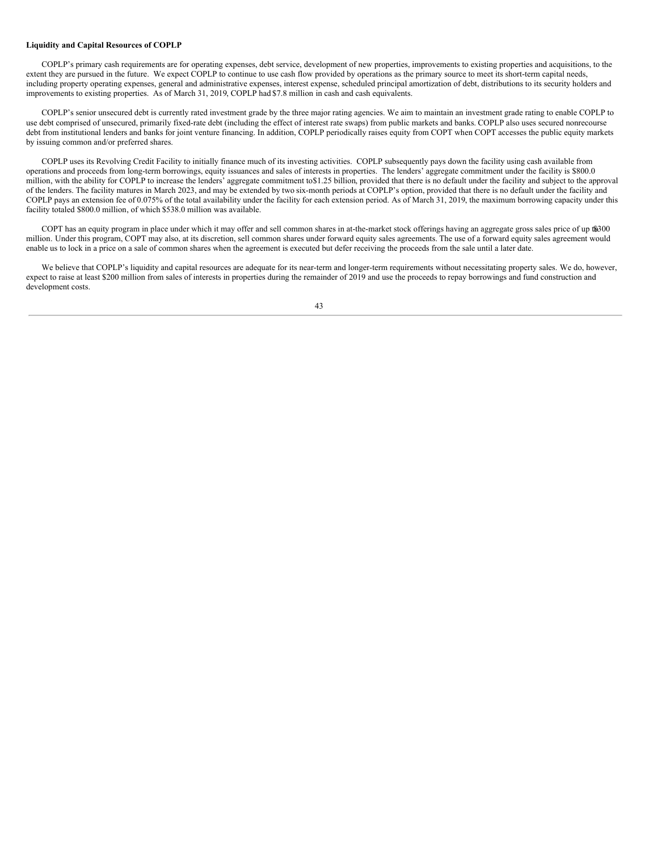### **Liquidity and Capital Resources of COPLP**

COPLP's primary cash requirements are for operating expenses, debt service, development of new properties, improvements to existing properties and acquisitions, to the extent they are pursued in the future. We expect COPLP to continue to use cash flow provided by operations as the primary source to meet its short-term capital needs, including property operating expenses, general and administrative expenses, interest expense, scheduled principal amortization of debt, distributions to its security holders and improvements to existing properties. As of March 31, 2019, COPLP had \$7.8 million in cash and cash equivalents.

COPLP's senior unsecured debt is currently rated investment grade by the three major rating agencies. We aim to maintain an investment grade rating to enable COPLP to use debt comprised of unsecured, primarily fixed-rate debt (including the effect of interest rate swaps) from public markets and banks. COPLP also uses secured nonrecourse debt from institutional lenders and banks for joint venture financing. In addition, COPLP periodically raises equity from COPT when COPT accesses the public equity markets by issuing common and/or preferred shares.

COPLP uses its Revolving Credit Facility to initially finance much of its investing activities. COPLP subsequently pays down the facility using cash available from operations and proceeds from long-term borrowings, equity issuances and sales of interests in properties. The lenders' aggregate commitment under the facility is \$800.0 million, with the ability for COPLP to increase the lenders' aggregate commitment to\$1.25 billion, provided that there is no default under the facility and subject to the approval of the lenders. The facility matures in March 2023, and may be extended by two six-month periods at COPLP's option, provided that there is no default under the facility and COPLP pays an extension fee of 0.075% of the total availability under the facility for each extension period. As of March 31, 2019, the maximum borrowing capacity under this facility totaled \$800.0 million, of which \$538.0 million was available.

COPT has an equity program in place under which it may offer and sell common shares in at-the-market stock offerings having an aggregate gross sales price of up t\$300 million. Under this program, COPT may also, at its discretion, sell common shares under forward equity sales agreements. The use of a forward equity sales agreement would enable us to lock in a price on a sale of common shares when the agreement is executed but defer receiving the proceeds from the sale until a later date.

We believe that COPLP's liquidity and capital resources are adequate for its near-term and longer-term requirements without necessitating property sales. We do, however, expect to raise at least \$200 million from sales of interests in properties during the remainder of 2019 and use the proceeds to repay borrowings and fund construction and development costs.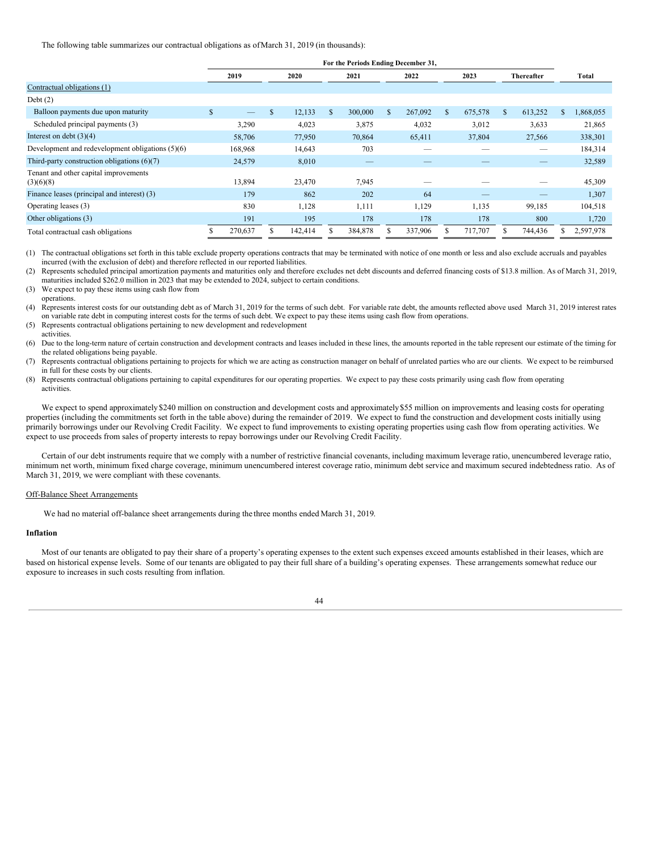The following table summarizes our contractual obligations as ofMarch 31, 2019 (in thousands):

|                                                    |         |              |    | For the Periods Ending December 31, |              |         |               |         |               |                |
|----------------------------------------------------|---------|--------------|----|-------------------------------------|--------------|---------|---------------|---------|---------------|----------------|
|                                                    | 2019    | 2020         |    | 2021                                |              | 2022    |               | 2023    | Thereafter    | Total          |
| Contractual obligations (1)                        |         |              |    |                                     |              |         |               |         |               |                |
| Debt $(2)$                                         |         |              |    |                                     |              |         |               |         |               |                |
| Balloon payments due upon maturity                 | \$      | \$<br>12,133 | S. | 300,000                             | $\mathbb{S}$ | 267,092 | $\mathcal{S}$ | 675,578 | \$<br>613,252 | \$<br>,868,055 |
| Scheduled principal payments (3)                   | 3,290   | 4,023        |    | 3,875                               |              | 4,032   |               | 3,012   | 3,633         | 21,865         |
| Interest on debt $(3)(4)$                          | 58,706  | 77,950       |    | 70,864                              |              | 65,411  |               | 37,804  | 27,566        | 338,301        |
| Development and redevelopment obligations (5)(6)   | 168,968 | 14,643       |    | 703                                 |              |         |               |         |               | 184,314        |
| Third-party construction obligations $(6)(7)$      | 24,579  | 8,010        |    |                                     |              |         |               |         |               | 32,589         |
| Tenant and other capital improvements<br>(3)(6)(8) | 13,894  | 23,470       |    | 7,945                               |              |         |               |         |               | 45,309         |
| Finance leases (principal and interest) (3)        | 179     | 862          |    | 202                                 |              | 64      |               |         |               | 1,307          |
| Operating leases (3)                               | 830     | 1,128        |    | 1,111                               |              | 1,129   |               | 1,135   | 99,185        | 104,518        |
| Other obligations (3)                              | 191     | 195          |    | 178                                 |              | 178     |               | 178     | 800           | 1,720          |
| Total contractual cash obligations                 | 270,637 | 142,414      |    | 384,878                             |              | 337,906 |               | 717,707 | 744,436       | 2,597,978      |

(1) The contractual obligations set forth in this table exclude property operations contracts that may be terminated with notice of one month or less and also exclude accruals and payables incurred (with the exclusion of debt) and therefore reflected in our reported liabilities.

(2) Represents scheduled principal amortization payments and maturities only and therefore excludes net debt discounts and deferred financing costs of \$13.8 million. As of March 31, 2019, maturities included \$262.0 million in 2023 that may be extended to 2024, subject to certain conditions.

(3) We expect to pay these items using cash flow from operations.

(4) Represents interest costs for our outstanding debt as of March 31, 2019 for the terms of such debt. For variable rate debt, the amounts reflected above used March 31, 2019 interest rates on variable rate debt in computing interest costs for the terms of such debt. We expect to pay these items using cash flow from operations.

(5) Represents contractual obligations pertaining to new development and redevelopment activities.

(6) Due to the long-term nature of certain construction and development contracts and leases included in these lines, the amounts reported in the table represent our estimate of the timing for the related obligations being payable.

(7) Represents contractual obligations pertaining to projects for which we are acting as construction manager on behalf of unrelated parties who are our clients. We expect to be reimbursed in full for these costs by our clients.

(8) Represents contractual obligations pertaining to capital expenditures for our operating properties. We expect to pay these costs primarily using cash flow from operating activities.

We expect to spend approximately \$240 million on construction and development costs and approximately \$55 million on improvements and leasing costs for operating properties (including the commitments set forth in the table above) during the remainder of 2019. We expect to fund the construction and development costs initially using primarily borrowings under our Revolving Credit Facility. We expect to fund improvements to existing operating properties using cash flow from operating activities. We expect to use proceeds from sales of property interests to repay borrowings under our Revolving Credit Facility.

Certain of our debt instruments require that we comply with a number of restrictive financial covenants, including maximum leverage ratio, unencumbered leverage ratio, minimum net worth, minimum fixed charge coverage, minimum unencumbered interest coverage ratio, minimum debt service and maximum secured indebtedness ratio. As of March 31, 2019, we were compliant with these covenants.

### Off-Balance Sheet Arrangements

We had no material off-balance sheet arrangements during the three months ended March 31, 2019.

### **Inflation**

Most of our tenants are obligated to pay their share of a property's operating expenses to the extent such expenses exceed amounts established in their leases, which are based on historical expense levels. Some of our tenants are obligated to pay their full share of a building's operating expenses. These arrangements somewhat reduce our exposure to increases in such costs resulting from inflation.

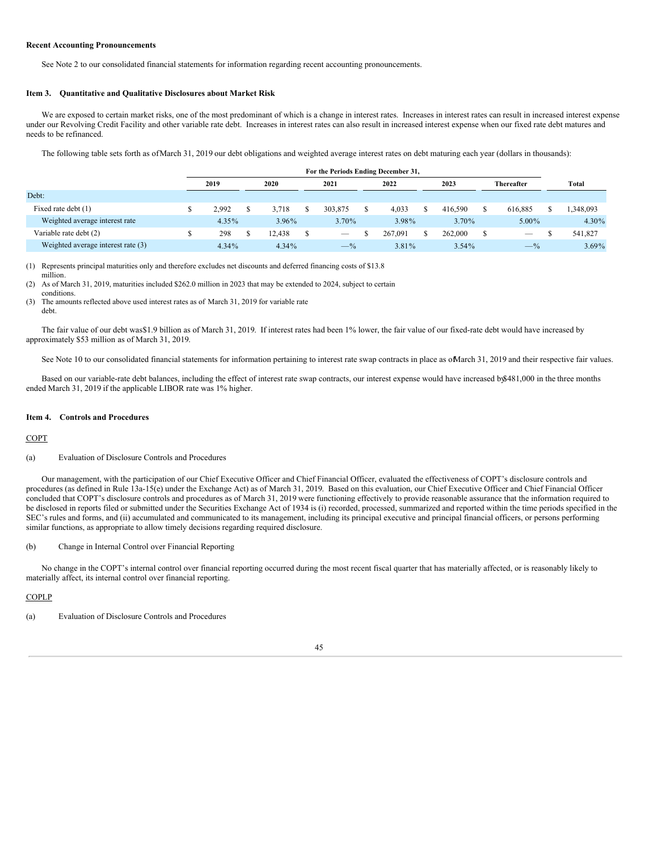### **Recent Accounting Pronouncements**

See Note 2 to our consolidated financial statements for information regarding recent accounting pronouncements.

### **Item 3. Quantitative and Qualitative Disclosures about Market Risk**

We are exposed to certain market risks, one of the most predominant of which is a change in interest rates. Increases in interest rates can result in increased interest expense under our Revolving Credit Facility and other variable rate debt. Increases in interest rates can also result in increased interest expense when our fixed rate debt matures and needs to be refinanced.

The following table sets forth as ofMarch 31, 2019 our debt obligations and weighted average interest rates on debt maturing each year (dollars in thousands):

|                                    |          |        | For the Periods Ending December 31, |         |          |                   |          |
|------------------------------------|----------|--------|-------------------------------------|---------|----------|-------------------|----------|
|                                    | 2019     | 2020   | 2021                                | 2022    | 2023     | <b>Thereafter</b> | Total    |
| Debt:                              |          |        |                                     |         |          |                   |          |
| Fixed rate debt (1)                | 2.992    | 3.718  | 303,875                             | 4.033   | 416.590  | 616,885           | ,348,093 |
| Weighted average interest rate     | $4.35\%$ | 3.96%  | 3.70%                               | 3.98%   | 3.70%    | $5.00\%$          | 4.30%    |
| Variable rate debt (2)             | 298      | 12.438 | $\overline{\phantom{m}}$            | 267.091 | 262,000  | $-$               | 541,827  |
| Weighted average interest rate (3) | 4.34%    | 4.34%  | $- \frac{9}{6}$                     | 3.81%   | $3.54\%$ | $-$ %             | 3.69%    |

(1) Represents principal maturities only and therefore excludes net discounts and deferred financing costs of \$13.8 million.

(2) As of March 31, 2019, maturities included \$262.0 million in 2023 that may be extended to 2024, subject to certain

conditions.

(3) The amounts reflected above used interest rates as of March 31, 2019 for variable rate debt.

The fair value of our debt was\$1.9 billion as of March 31, 2019. If interest rates had been 1% lower, the fair value of our fixed-rate debt would have increased by approximately \$53 million as of March 31, 2019.

See Note 10 to our consolidated financial statements for information pertaining to interest rate swap contracts in place as ofMarch 31, 2019 and their respective fair values.

Based on our variable-rate debt balances, including the effect of interest rate swap contracts, our interest expense would have increased by\$481,000 in the three months ended March 31, 2019 if the applicable LIBOR rate was 1% higher.

#### **Item 4. Controls and Procedures**

#### **COPT**

### (a) Evaluation of Disclosure Controls and Procedures

Our management, with the participation of our Chief Executive Officer and Chief Financial Officer, evaluated the effectiveness of COPT's disclosure controls and procedures (as defined in Rule 13a-15(e) under the Exchange Act) as of March 31, 2019. Based on this evaluation, our Chief Executive Officer and Chief Financial Officer concluded that COPT's disclosure controls and procedures as of March 31, 2019 were functioning effectively to provide reasonable assurance that the information required to be disclosed in reports filed or submitted under the Securities Exchange Act of 1934 is (i) recorded, processed, summarized and reported within the time periods specified in the SEC's rules and forms, and (ii) accumulated and communicated to its management, including its principal executive and principal financial officers, or persons performing similar functions, as appropriate to allow timely decisions regarding required disclosure.

(b) Change in Internal Control over Financial Reporting

No change in the COPT's internal control over financial reporting occurred during the most recent fiscal quarter that has materially affected, or is reasonably likely to materially affect, its internal control over financial reporting.

### **COPLP**

(a) Evaluation of Disclosure Controls and Procedures

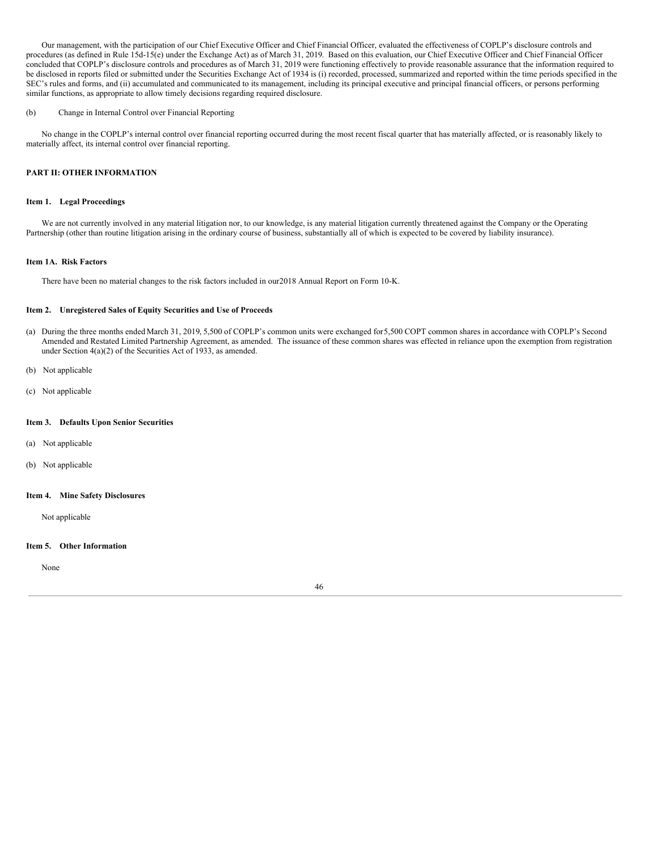Our management, with the participation of our Chief Executive Officer and Chief Financial Officer, evaluated the effectiveness of COPLP's disclosure controls and procedures (as defined in Rule 15d-15(e) under the Exchange Act) as of March 31, 2019. Based on this evaluation, our Chief Executive Officer and Chief Financial Officer concluded that COPLP's disclosure controls and procedures as of March 31, 2019 were functioning effectively to provide reasonable assurance that the information required to be disclosed in reports filed or submitted under the Securities Exchange Act of 1934 is (i) recorded, processed, summarized and reported within the time periods specified in the SEC's rules and forms, and (ii) accumulated and communicated to its management, including its principal executive and principal financial officers, or persons performing similar functions, as appropriate to allow timely decisions regarding required disclosure.

### (b) Change in Internal Control over Financial Reporting

No change in the COPLP's internal control over financial reporting occurred during the most recent fiscal quarter that has materially affected, or is reasonably likely to materially affect, its internal control over financial reporting.

### **PART II: OTHER INFORMATION**

### **Item 1. Legal Proceedings**

We are not currently involved in any material litigation nor, to our knowledge, is any material litigation currently threatened against the Company or the Operating Partnership (other than routine litigation arising in the ordinary course of business, substantially all of which is expected to be covered by liability insurance).

### **Item 1A. Risk Factors**

There have been no material changes to the risk factors included in our2018 Annual Report on Form 10-K.

### **Item 2. Unregistered Sales of Equity Securities and Use of Proceeds**

- (a) During the three months ended March 31, 2019, 5,500 of COPLP's common units were exchanged for5,500 COPT common shares in accordance with COPLP's Second Amended and Restated Limited Partnership Agreement, as amended. The issuance of these common shares was effected in reliance upon the exemption from registration under Section 4(a)(2) of the Securities Act of 1933, as amended.
- (b) Not applicable
- (c) Not applicable

### **Item 3. Defaults Upon Senior Securities**

- (a) Not applicable
- (b) Not applicable

### **Item 4. Mine Safety Disclosures**

Not applicable

#### **Item 5. Other Information**

None

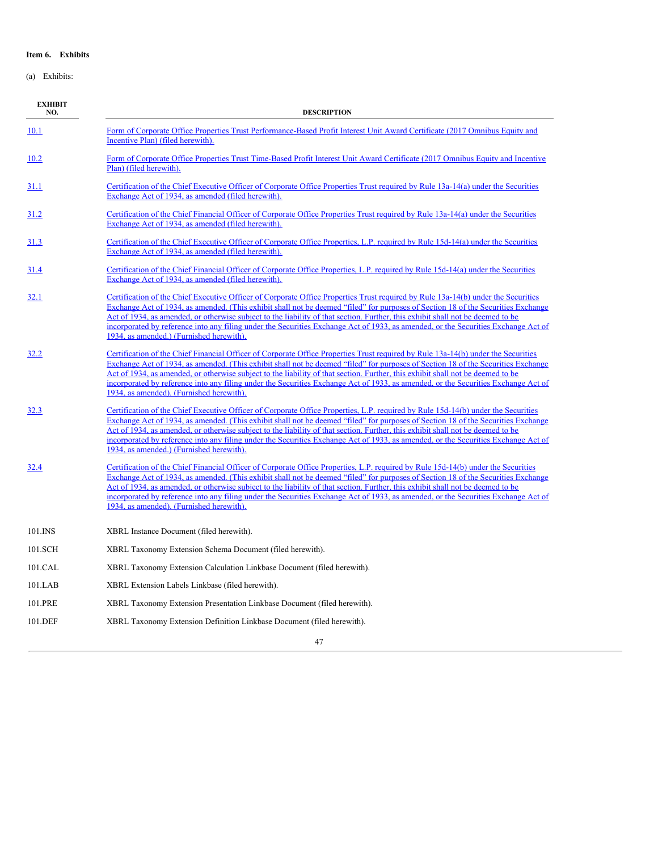### **Item 6. Exhibits**

(a) Exhibits:

| <b>EXHIBIT</b><br>NO. | <b>DESCRIPTION</b>                                                                                                                                                                                                                                                                                                                                                                                                                                                                                                                                                                          |
|-----------------------|---------------------------------------------------------------------------------------------------------------------------------------------------------------------------------------------------------------------------------------------------------------------------------------------------------------------------------------------------------------------------------------------------------------------------------------------------------------------------------------------------------------------------------------------------------------------------------------------|
| 10.1                  | Form of Corporate Office Properties Trust Performance-Based Profit Interest Unit Award Certificate (2017 Omnibus Equity and<br>Incentive Plan) (filed herewith).                                                                                                                                                                                                                                                                                                                                                                                                                            |
| 10.2                  | Form of Corporate Office Properties Trust Time-Based Profit Interest Unit Award Certificate (2017 Omnibus Equity and Incentive<br>Plan) (filed herewith).                                                                                                                                                                                                                                                                                                                                                                                                                                   |
| <u>31.1</u>           | Certification of the Chief Executive Officer of Corporate Office Properties Trust required by Rule 13a-14(a) under the Securities<br>Exchange Act of 1934, as amended (filed herewith).                                                                                                                                                                                                                                                                                                                                                                                                     |
| 31.2                  | Certification of the Chief Financial Officer of Corporate Office Properties Trust required by Rule 13a-14(a) under the Securities<br>Exchange Act of 1934, as amended (filed herewith).                                                                                                                                                                                                                                                                                                                                                                                                     |
| 31.3                  | Certification of the Chief Executive Officer of Corporate Office Properties, L.P. required by Rule 15d-14(a) under the Securities<br>Exchange Act of 1934, as amended (filed herewith).                                                                                                                                                                                                                                                                                                                                                                                                     |
| <u>31.4</u>           | Certification of the Chief Financial Officer of Corporate Office Properties, L.P. required by Rule 15d-14(a) under the Securities<br>Exchange Act of 1934, as amended (filed herewith).                                                                                                                                                                                                                                                                                                                                                                                                     |
| 32.1                  | Certification of the Chief Executive Officer of Corporate Office Properties Trust required by Rule 13a-14(b) under the Securities<br>Exchange Act of 1934, as amended. (This exhibit shall not be deemed "filed" for purposes of Section 18 of the Securities Exchange<br>Act of 1934, as amended, or otherwise subject to the liability of that section. Further, this exhibit shall not be deemed to be<br>incorporated by reference into any filing under the Securities Exchange Act of 1933, as amended, or the Securities Exchange Act of<br>1934, as amended.) (Furnished herewith). |
| 32.2                  | Certification of the Chief Financial Officer of Corporate Office Properties Trust required by Rule 13a-14(b) under the Securities<br>Exchange Act of 1934, as amended. (This exhibit shall not be deemed "filed" for purposes of Section 18 of the Securities Exchange<br>Act of 1934, as amended, or otherwise subject to the liability of that section. Further, this exhibit shall not be deemed to be<br>incorporated by reference into any filing under the Securities Exchange Act of 1933, as amended, or the Securities Exchange Act of<br>1934, as amended). (Furnished herewith). |
| 32.3                  | Certification of the Chief Executive Officer of Corporate Office Properties, L.P. required by Rule 15d-14(b) under the Securities<br>Exchange Act of 1934, as amended. (This exhibit shall not be deemed "filed" for purposes of Section 18 of the Securities Exchange<br>Act of 1934, as amended, or otherwise subject to the liability of that section. Further, this exhibit shall not be deemed to be<br>incorporated by reference into any filing under the Securities Exchange Act of 1933, as amended, or the Securities Exchange Act of<br>1934, as amended.) (Furnished herewith). |
| 32.4                  | Certification of the Chief Financial Officer of Corporate Office Properties, L.P. required by Rule 15d-14(b) under the Securities<br>Exchange Act of 1934, as amended. (This exhibit shall not be deemed "filed" for purposes of Section 18 of the Securities Exchange<br>Act of 1934, as amended, or otherwise subject to the liability of that section. Further, this exhibit shall not be deemed to be<br>incorporated by reference into any filing under the Securities Exchange Act of 1933, as amended, or the Securities Exchange Act of<br>1934, as amended). (Furnished herewith). |
| 101.INS               | XBRL Instance Document (filed herewith).                                                                                                                                                                                                                                                                                                                                                                                                                                                                                                                                                    |
| 101.SCH               | XBRL Taxonomy Extension Schema Document (filed herewith).                                                                                                                                                                                                                                                                                                                                                                                                                                                                                                                                   |
| 101.CAL               | XBRL Taxonomy Extension Calculation Linkbase Document (filed herewith).                                                                                                                                                                                                                                                                                                                                                                                                                                                                                                                     |
| 101.LAB               | XBRL Extension Labels Linkbase (filed herewith).                                                                                                                                                                                                                                                                                                                                                                                                                                                                                                                                            |
| 101.PRE               | XBRL Taxonomy Extension Presentation Linkbase Document (filed herewith).                                                                                                                                                                                                                                                                                                                                                                                                                                                                                                                    |
| 101.DEF               | XBRL Taxonomy Extension Definition Linkbase Document (filed herewith).                                                                                                                                                                                                                                                                                                                                                                                                                                                                                                                      |
|                       | 47                                                                                                                                                                                                                                                                                                                                                                                                                                                                                                                                                                                          |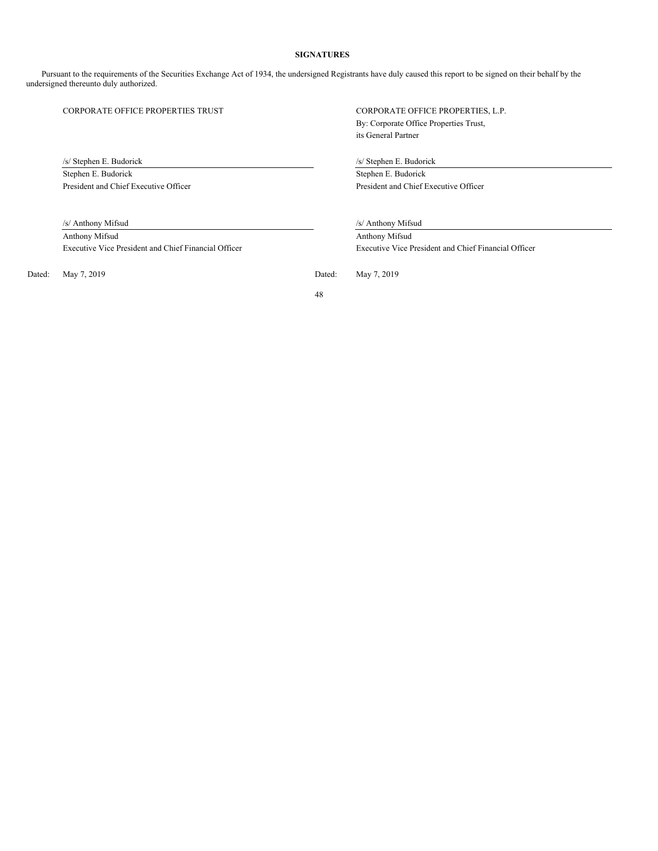### **SIGNATURES**

Pursuant to the requirements of the Securities Exchange Act of 1934, the undersigned Registrants have duly caused this report to be signed on their behalf by the undersigned thereunto duly authorized.

CORPORATE OFFICE PROPERTIES TRUST CORPORATE OFFICE PROPERTIES, L.P.

/s/ Stephen E. Budorick /s/ Stephen E. Budorick Stephen E. Budorick Stephen E. Budorick

/s/ Anthony Mifsud /s/ Anthony Mifsud

Anthony Mifsud Anthony Mifsud Executive Vice President and Chief Financial Officer Executive Vice President and Chief Financial Officer

Dated: May 7, 2019 Dated: May 7, 2019

By: Corporate Office Properties Trust, its General Partner

President and Chief Executive Officer President and Chief Executive Officer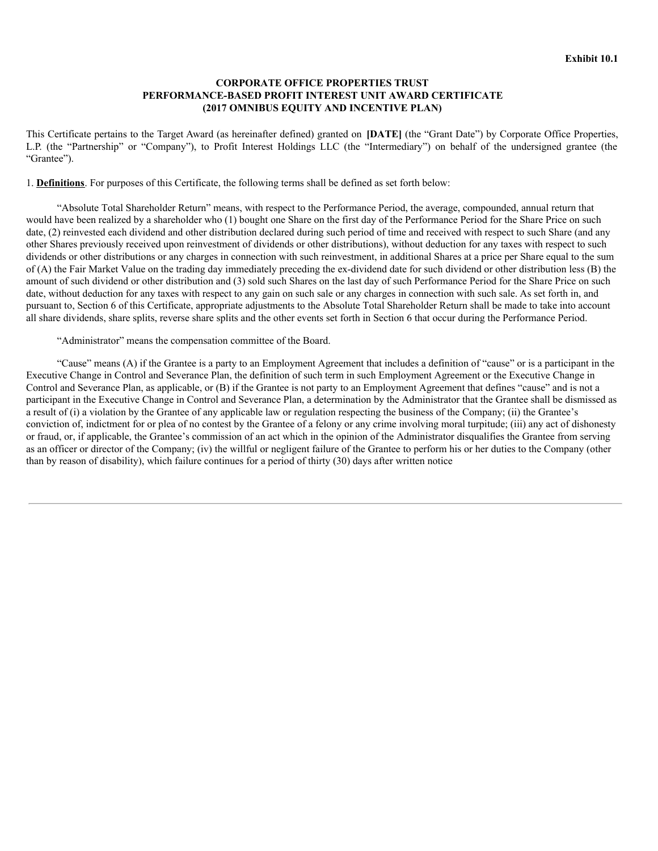### **CORPORATE OFFICE PROPERTIES TRUST PERFORMANCE-BASED PROFIT INTEREST UNIT AWARD CERTIFICATE (2017 OMNIBUS EQUITY AND INCENTIVE PLAN)**

This Certificate pertains to the Target Award (as hereinafter defined) granted on **[DATE]** (the "Grant Date") by Corporate Office Properties, L.P. (the "Partnership" or "Company"), to Profit Interest Holdings LLC (the "Intermediary") on behalf of the undersigned grantee (the "Grantee").

### 1. **Definitions**. For purposes of this Certificate, the following terms shall be defined as set forth below:

"Absolute Total Shareholder Return" means, with respect to the Performance Period, the average, compounded, annual return that would have been realized by a shareholder who (1) bought one Share on the first day of the Performance Period for the Share Price on such date, (2) reinvested each dividend and other distribution declared during such period of time and received with respect to such Share (and any other Shares previously received upon reinvestment of dividends or other distributions), without deduction for any taxes with respect to such dividends or other distributions or any charges in connection with such reinvestment, in additional Shares at a price per Share equal to the sum of (A) the Fair Market Value on the trading day immediately preceding the ex-dividend date for such dividend or other distribution less (B) the amount of such dividend or other distribution and (3) sold such Shares on the last day of such Performance Period for the Share Price on such date, without deduction for any taxes with respect to any gain on such sale or any charges in connection with such sale. As set forth in, and pursuant to, Section 6 of this Certificate, appropriate adjustments to the Absolute Total Shareholder Return shall be made to take into account all share dividends, share splits, reverse share splits and the other events set forth in Section 6 that occur during the Performance Period.

"Administrator" means the compensation committee of the Board.

"Cause" means (A) if the Grantee is a party to an Employment Agreement that includes a definition of "cause" or is a participant in the Executive Change in Control and Severance Plan, the definition of such term in such Employment Agreement or the Executive Change in Control and Severance Plan, as applicable, or (B) if the Grantee is not party to an Employment Agreement that defines "cause" and is not a participant in the Executive Change in Control and Severance Plan, a determination by the Administrator that the Grantee shall be dismissed as a result of (i) a violation by the Grantee of any applicable law or regulation respecting the business of the Company; (ii) the Grantee's conviction of, indictment for or plea of no contest by the Grantee of a felony or any crime involving moral turpitude; (iii) any act of dishonesty or fraud, or, if applicable, the Grantee's commission of an act which in the opinion of the Administrator disqualifies the Grantee from serving as an officer or director of the Company; (iv) the willful or negligent failure of the Grantee to perform his or her duties to the Company (other than by reason of disability), which failure continues for a period of thirty (30) days after written notice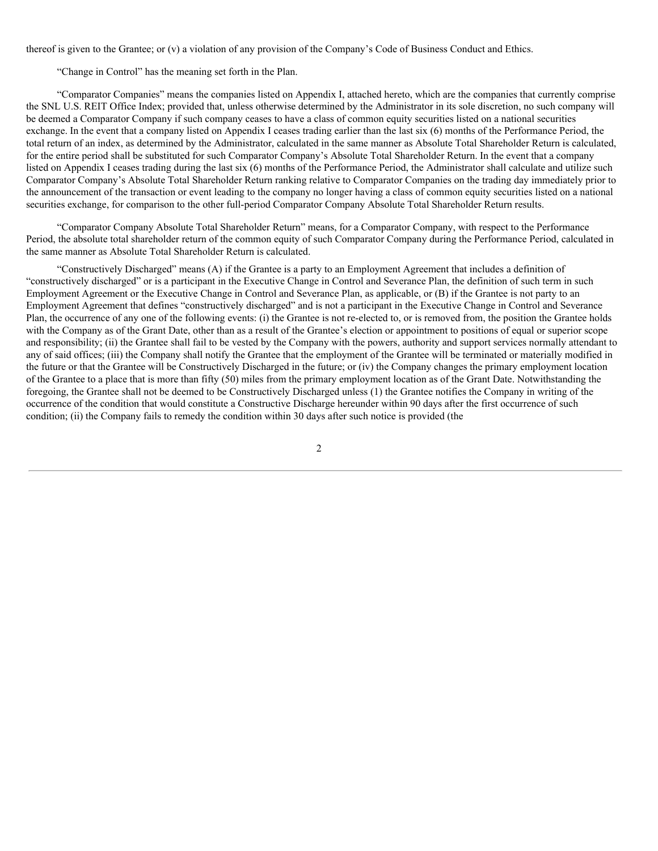thereof is given to the Grantee; or (v) a violation of any provision of the Company's Code of Business Conduct and Ethics.

"Change in Control" has the meaning set forth in the Plan.

"Comparator Companies" means the companies listed on Appendix I, attached hereto, which are the companies that currently comprise the SNL U.S. REIT Office Index; provided that, unless otherwise determined by the Administrator in its sole discretion, no such company will be deemed a Comparator Company if such company ceases to have a class of common equity securities listed on a national securities exchange. In the event that a company listed on Appendix I ceases trading earlier than the last six (6) months of the Performance Period, the total return of an index, as determined by the Administrator, calculated in the same manner as Absolute Total Shareholder Return is calculated, for the entire period shall be substituted for such Comparator Company's Absolute Total Shareholder Return. In the event that a company listed on Appendix I ceases trading during the last six (6) months of the Performance Period, the Administrator shall calculate and utilize such Comparator Company's Absolute Total Shareholder Return ranking relative to Comparator Companies on the trading day immediately prior to the announcement of the transaction or event leading to the company no longer having a class of common equity securities listed on a national securities exchange, for comparison to the other full-period Comparator Company Absolute Total Shareholder Return results.

"Comparator Company Absolute Total Shareholder Return" means, for a Comparator Company, with respect to the Performance Period, the absolute total shareholder return of the common equity of such Comparator Company during the Performance Period, calculated in the same manner as Absolute Total Shareholder Return is calculated.

"Constructively Discharged" means (A) if the Grantee is a party to an Employment Agreement that includes a definition of "constructively discharged" or is a participant in the Executive Change in Control and Severance Plan, the definition of such term in such Employment Agreement or the Executive Change in Control and Severance Plan, as applicable, or (B) if the Grantee is not party to an Employment Agreement that defines "constructively discharged" and is not a participant in the Executive Change in Control and Severance Plan, the occurrence of any one of the following events: (i) the Grantee is not re-elected to, or is removed from, the position the Grantee holds with the Company as of the Grant Date, other than as a result of the Grantee's election or appointment to positions of equal or superior scope and responsibility; (ii) the Grantee shall fail to be vested by the Company with the powers, authority and support services normally attendant to any of said offices; (iii) the Company shall notify the Grantee that the employment of the Grantee will be terminated or materially modified in the future or that the Grantee will be Constructively Discharged in the future; or (iv) the Company changes the primary employment location of the Grantee to a place that is more than fifty (50) miles from the primary employment location as of the Grant Date. Notwithstanding the foregoing, the Grantee shall not be deemed to be Constructively Discharged unless (1) the Grantee notifies the Company in writing of the occurrence of the condition that would constitute a Constructive Discharge hereunder within 90 days after the first occurrence of such condition; (ii) the Company fails to remedy the condition within 30 days after such notice is provided (the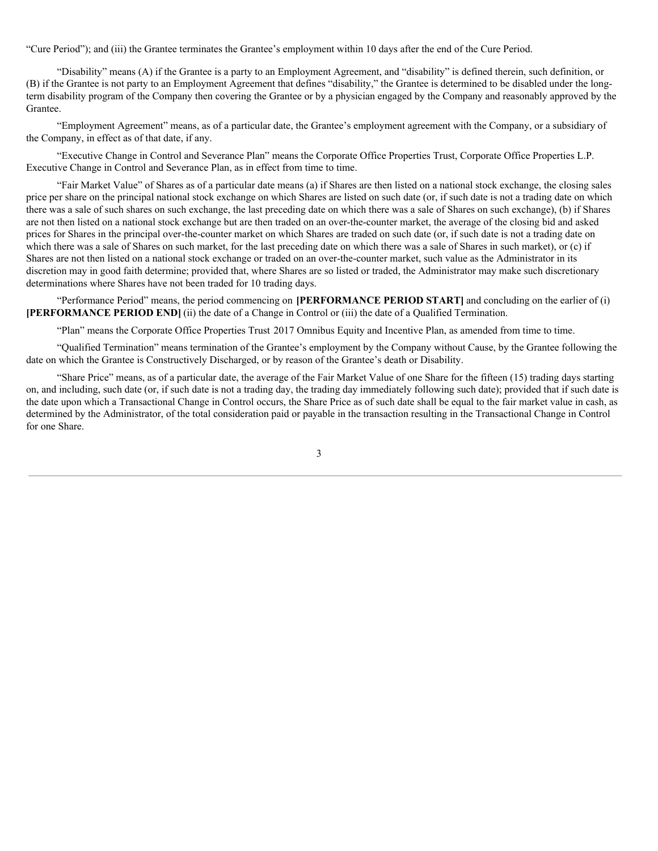"Cure Period"); and (iii) the Grantee terminates the Grantee's employment within 10 days after the end of the Cure Period.

"Disability" means (A) if the Grantee is a party to an Employment Agreement, and "disability" is defined therein, such definition, or (B) if the Grantee is not party to an Employment Agreement that defines "disability," the Grantee is determined to be disabled under the longterm disability program of the Company then covering the Grantee or by a physician engaged by the Company and reasonably approved by the Grantee.

"Employment Agreement" means, as of a particular date, the Grantee's employment agreement with the Company, or a subsidiary of the Company, in effect as of that date, if any.

"Executive Change in Control and Severance Plan" means the Corporate Office Properties Trust, Corporate Office Properties L.P. Executive Change in Control and Severance Plan, as in effect from time to time.

"Fair Market Value" of Shares as of a particular date means (a) if Shares are then listed on a national stock exchange, the closing sales price per share on the principal national stock exchange on which Shares are listed on such date (or, if such date is not a trading date on which there was a sale of such shares on such exchange, the last preceding date on which there was a sale of Shares on such exchange), (b) if Shares are not then listed on a national stock exchange but are then traded on an over-the-counter market, the average of the closing bid and asked prices for Shares in the principal over-the-counter market on which Shares are traded on such date (or, if such date is not a trading date on which there was a sale of Shares on such market, for the last preceding date on which there was a sale of Shares in such market), or (c) if Shares are not then listed on a national stock exchange or traded on an over-the-counter market, such value as the Administrator in its discretion may in good faith determine; provided that, where Shares are so listed or traded, the Administrator may make such discretionary determinations where Shares have not been traded for 10 trading days.

"Performance Period" means, the period commencing on **[PERFORMANCE PERIOD START]** and concluding on the earlier of (i) **[PERFORMANCE PERIOD END]** (ii) the date of a Change in Control or (iii) the date of a Qualified Termination.

"Plan" means the Corporate Office Properties Trust 2017 Omnibus Equity and Incentive Plan, as amended from time to time.

"Qualified Termination" means termination of the Grantee's employment by the Company without Cause, by the Grantee following the date on which the Grantee is Constructively Discharged, or by reason of the Grantee's death or Disability.

"Share Price" means, as of a particular date, the average of the Fair Market Value of one Share for the fifteen (15) trading days starting on, and including, such date (or, if such date is not a trading day, the trading day immediately following such date); provided that if such date is the date upon which a Transactional Change in Control occurs, the Share Price as of such date shall be equal to the fair market value in cash, as determined by the Administrator, of the total consideration paid or payable in the transaction resulting in the Transactional Change in Control for one Share.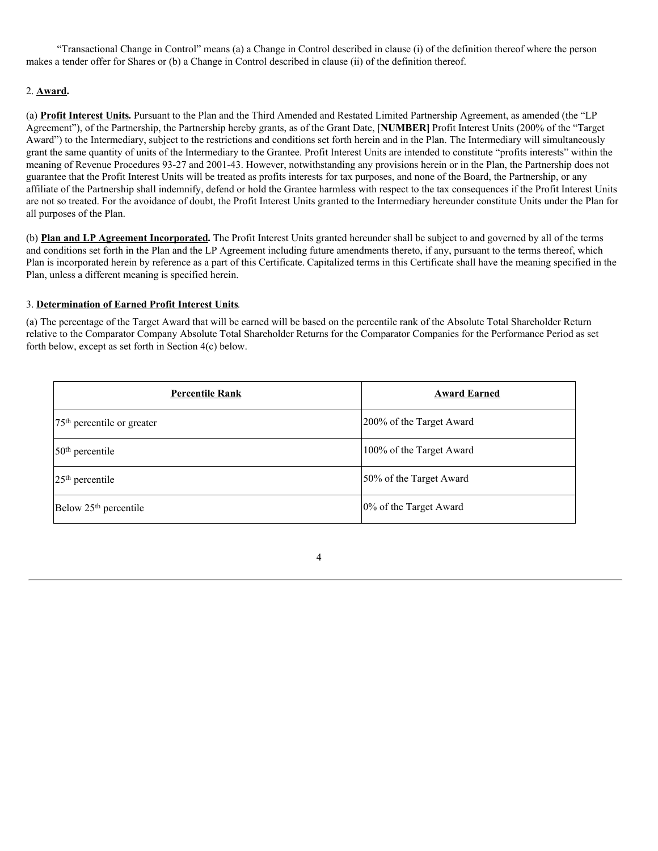"Transactional Change in Control" means (a) a Change in Control described in clause (i) of the definition thereof where the person makes a tender offer for Shares or (b) a Change in Control described in clause (ii) of the definition thereof.

# 2. **Award.**

(a) **Profit Interest Units.** Pursuant to the Plan and the Third Amended and Restated Limited Partnership Agreement, as amended (the "LP Agreement"), of the Partnership, the Partnership hereby grants, as of the Grant Date, [**NUMBER]** Profit Interest Units (200% of the "Target Award") to the Intermediary, subject to the restrictions and conditions set forth herein and in the Plan. The Intermediary will simultaneously grant the same quantity of units of the Intermediary to the Grantee. Profit Interest Units are intended to constitute "profits interests" within the meaning of Revenue Procedures 93-27 and 2001-43. However, notwithstanding any provisions herein or in the Plan, the Partnership does not guarantee that the Profit Interest Units will be treated as profits interests for tax purposes, and none of the Board, the Partnership, or any affiliate of the Partnership shall indemnify, defend or hold the Grantee harmless with respect to the tax consequences if the Profit Interest Units are not so treated. For the avoidance of doubt, the Profit Interest Units granted to the Intermediary hereunder constitute Units under the Plan for all purposes of the Plan.

(b) **Plan and LP Agreement Incorporated.** The Profit Interest Units granted hereunder shall be subject to and governed by all of the terms and conditions set forth in the Plan and the LP Agreement including future amendments thereto, if any, pursuant to the terms thereof, which Plan is incorporated herein by reference as a part of this Certificate. Capitalized terms in this Certificate shall have the meaning specified in the Plan, unless a different meaning is specified herein.

# 3. **Determination of Earned Profit Interest Units**.

(a) The percentage of the Target Award that will be earned will be based on the percentile rank of the Absolute Total Shareholder Return relative to the Comparator Company Absolute Total Shareholder Returns for the Comparator Companies for the Performance Period as set forth below, except as set forth in Section 4(c) below.

| <b>Percentile Rank</b>            | <b>Award Earned</b>      |
|-----------------------------------|--------------------------|
| $75th$ percentile or greater      | 200% of the Target Award |
| $50th$ percentile                 | 100% of the Target Award |
| $25th$ percentile                 | 50% of the Target Award  |
| Below 25 <sup>th</sup> percentile | 0% of the Target Award   |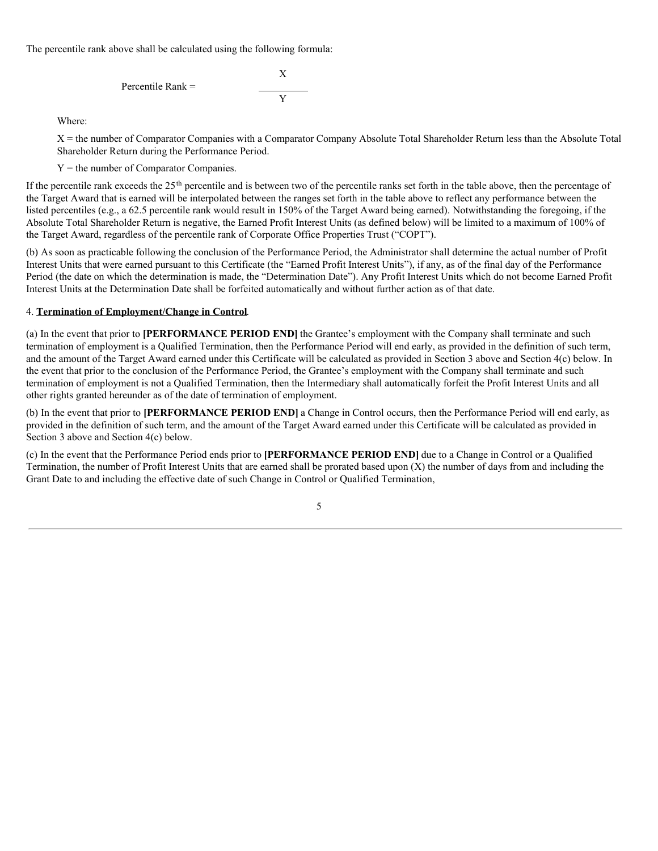The percentile rank above shall be calculated using the following formula:

$$
Percentile Rank = \frac{X}{Y}
$$

Where:

X = the number of Comparator Companies with a Comparator Company Absolute Total Shareholder Return less than the Absolute Total Shareholder Return during the Performance Period.

Y = the number of Comparator Companies.

If the percentile rank exceeds the  $25<sup>th</sup>$  percentile and is between two of the percentile ranks set forth in the table above, then the percentage of the Target Award that is earned will be interpolated between the ranges set forth in the table above to reflect any performance between the listed percentiles (e.g., a 62.5 percentile rank would result in 150% of the Target Award being earned). Notwithstanding the foregoing, if the Absolute Total Shareholder Return is negative, the Earned Profit Interest Units (as defined below) will be limited to a maximum of 100% of the Target Award, regardless of the percentile rank of Corporate Office Properties Trust ("COPT").

(b) As soon as practicable following the conclusion of the Performance Period, the Administrator shall determine the actual number of Profit Interest Units that were earned pursuant to this Certificate (the "Earned Profit Interest Units"), if any, as of the final day of the Performance Period (the date on which the determination is made, the "Determination Date"). Any Profit Interest Units which do not become Earned Profit Interest Units at the Determination Date shall be forfeited automatically and without further action as of that date.

### 4. **Termination of Employment/Change in Control**.

(a) In the event that prior to **[PERFORMANCE PERIOD END]** the Grantee's employment with the Company shall terminate and such termination of employment is a Qualified Termination, then the Performance Period will end early, as provided in the definition of such term, and the amount of the Target Award earned under this Certificate will be calculated as provided in Section 3 above and Section 4(c) below. In the event that prior to the conclusion of the Performance Period, the Grantee's employment with the Company shall terminate and such termination of employment is not a Qualified Termination, then the Intermediary shall automatically forfeit the Profit Interest Units and all other rights granted hereunder as of the date of termination of employment.

(b) In the event that prior to **[PERFORMANCE PERIOD END]** a Change in Control occurs, then the Performance Period will end early, as provided in the definition of such term, and the amount of the Target Award earned under this Certificate will be calculated as provided in Section 3 above and Section 4(c) below.

(c) In the event that the Performance Period ends prior to **[PERFORMANCE PERIOD END]** due to a Change in Control or a Qualified Termination, the number of Profit Interest Units that are earned shall be prorated based upon (X) the number of days from and including the Grant Date to and including the effective date of such Change in Control or Qualified Termination,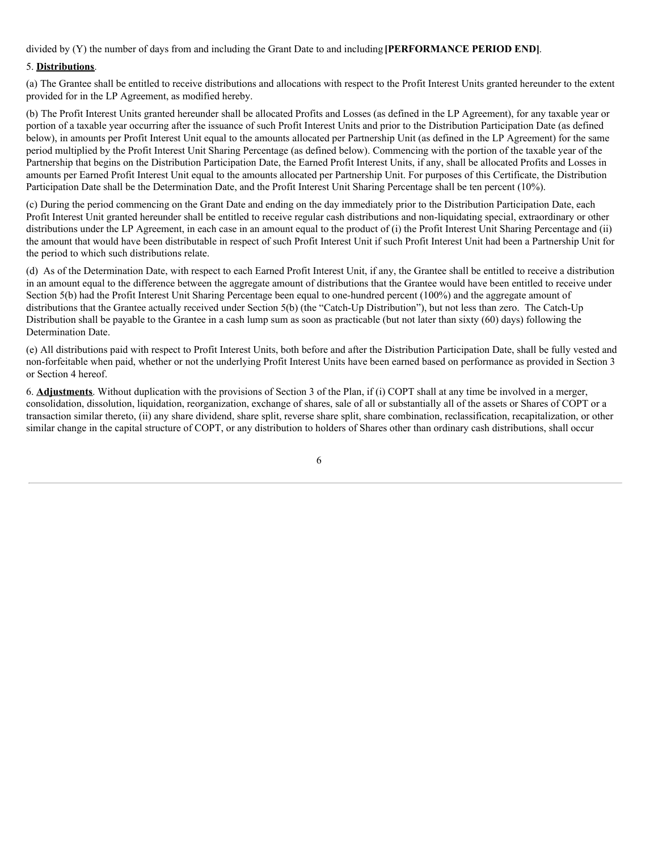<span id="page-55-0"></span>divided by (Y) the number of days from and including the Grant Date to and including **[PERFORMANCE PERIOD END]**.

### 5. **Distributions**.

(a) The Grantee shall be entitled to receive distributions and allocations with respect to the Profit Interest Units granted hereunder to the extent provided for in the LP Agreement, as modified hereby.

(b) The Profit Interest Units granted hereunder shall be allocated Profits and Losses (as defined in the LP Agreement), for any taxable year or portion of a taxable year occurring after the issuance of such Profit Interest Units and prior to the Distribution Participation Date (as defined below), in amounts per Profit Interest Unit equal to the amounts allocated per Partnership Unit (as defined in the LP Agreement) for the same period multiplied by the Profit Interest Unit Sharing Percentage (as defined below). Commencing with the portion of the taxable year of the Partnership that begins on the Distribution Participation Date, the Earned Profit Interest Units, if any, shall be allocated Profits and Losses in amounts per Earned Profit Interest Unit equal to the amounts allocated per Partnership Unit. For purposes of this Certificate, the Distribution Participation Date shall be the Determination Date, and the Profit Interest Unit Sharing Percentage shall be ten percent (10%).

(c) During the period commencing on the Grant Date and ending on the day immediately prior to the Distribution Participation Date, each Profit Interest Unit granted hereunder shall be entitled to receive regular cash distributions and non-liquidating special, extraordinary or other distributions under the LP Agreement, in each case in an amount equal to the product of (i) the Profit Interest Unit Sharing Percentage and (ii) the amount that would have been distributable in respect of such Profit Interest Unit if such Profit Interest Unit had been a Partnership Unit for the period to which such distributions relate.

(d) As of the Determination Date, with respect to each Earned Profit Interest Unit, if any, the Grantee shall be entitled to receive a distribution in an amount equal to the difference between the aggregate amount of distributions that the Grantee would have been entitled to receive under Section 5(b) had the Profit Interest Unit Sharing Percentage been equal to one-hundred percent (100%) and the aggregate amount of distributions that the Grantee actually received under Section 5(b) (the "Catch-Up Distribution"), but not less than zero. The Catch-Up Distribution shall be payable to the Grantee in a cash lump sum as soon as practicable (but not later than sixty (60) days) following the Determination Date.

(e) All distributions paid with respect to Profit Interest Units, both before and after the Distribution Participation Date, shall be fully vested and non-forfeitable when paid, whether or not the underlying Profit Interest Units have been earned based on performance as provided in Section 3 or Section 4 hereof.

6. **Adjustments**. Without duplication with the provisions of Section 3 of the Plan, if (i) COPT shall at any time be involved in a merger, consolidation, dissolution, liquidation, reorganization, exchange of shares, sale of all or substantially all of the assets or Shares of COPT or a transaction similar thereto, (ii) any share dividend, share split, reverse share split, share combination, reclassification, recapitalization, or other similar change in the capital structure of COPT, or any distribution to holders of Shares other than ordinary cash distributions, shall occur

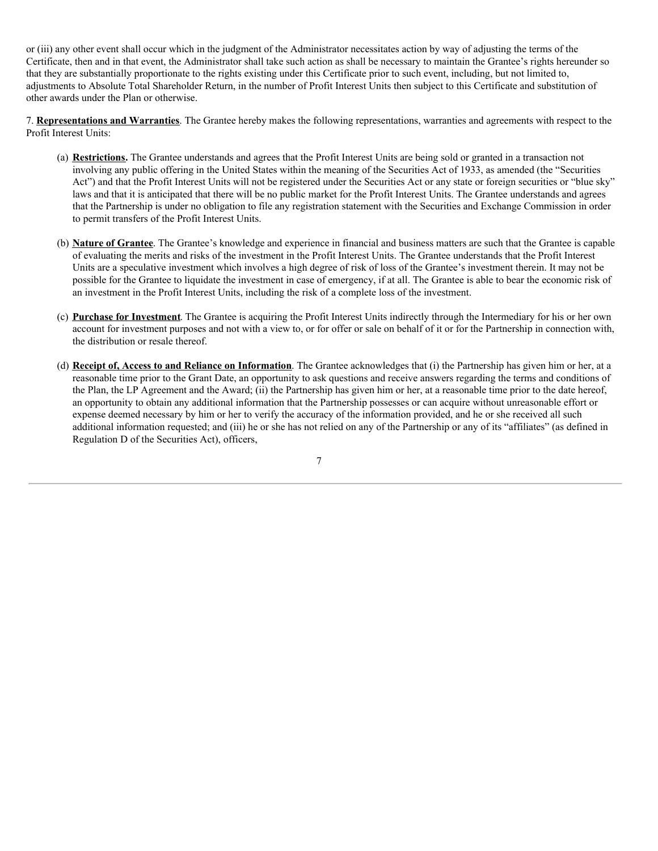or (iii) any other event shall occur which in the judgment of the Administrator necessitates action by way of adjusting the terms of the Certificate, then and in that event, the Administrator shall take such action as shall be necessary to maintain the Grantee's rights hereunder so that they are substantially proportionate to the rights existing under this Certificate prior to such event, including, but not limited to, adjustments to Absolute Total Shareholder Return, in the number of Profit Interest Units then subject to this Certificate and substitution of other awards under the Plan or otherwise.

7. **Representations and Warranties**. The Grantee hereby makes the following representations, warranties and agreements with respect to the Profit Interest Units:

- (a) **Restrictions.** The Grantee understands and agrees that the Profit Interest Units are being sold or granted in a transaction not involving any public offering in the United States within the meaning of the Securities Act of 1933, as amended (the "Securities Act") and that the Profit Interest Units will not be registered under the Securities Act or any state or foreign securities or "blue sky" laws and that it is anticipated that there will be no public market for the Profit Interest Units. The Grantee understands and agrees that the Partnership is under no obligation to file any registration statement with the Securities and Exchange Commission in order to permit transfers of the Profit Interest Units.
- (b) **Nature of Grantee**. The Grantee's knowledge and experience in financial and business matters are such that the Grantee is capable of evaluating the merits and risks of the investment in the Profit Interest Units. The Grantee understands that the Profit Interest Units are a speculative investment which involves a high degree of risk of loss of the Grantee's investment therein. It may not be possible for the Grantee to liquidate the investment in case of emergency, if at all. The Grantee is able to bear the economic risk of an investment in the Profit Interest Units, including the risk of a complete loss of the investment.
- (c) **Purchase for Investment**. The Grantee is acquiring the Profit Interest Units indirectly through the Intermediary for his or her own account for investment purposes and not with a view to, or for offer or sale on behalf of it or for the Partnership in connection with, the distribution or resale thereof.
- (d) **Receipt of, Access to and Reliance on Information**. The Grantee acknowledges that (i) the Partnership has given him or her, at a reasonable time prior to the Grant Date, an opportunity to ask questions and receive answers regarding the terms and conditions of the Plan, the LP Agreement and the Award; (ii) the Partnership has given him or her, at a reasonable time prior to the date hereof, an opportunity to obtain any additional information that the Partnership possesses or can acquire without unreasonable effort or expense deemed necessary by him or her to verify the accuracy of the information provided, and he or she received all such additional information requested; and (iii) he or she has not relied on any of the Partnership or any of its "affiliates" (as defined in Regulation D of the Securities Act), officers,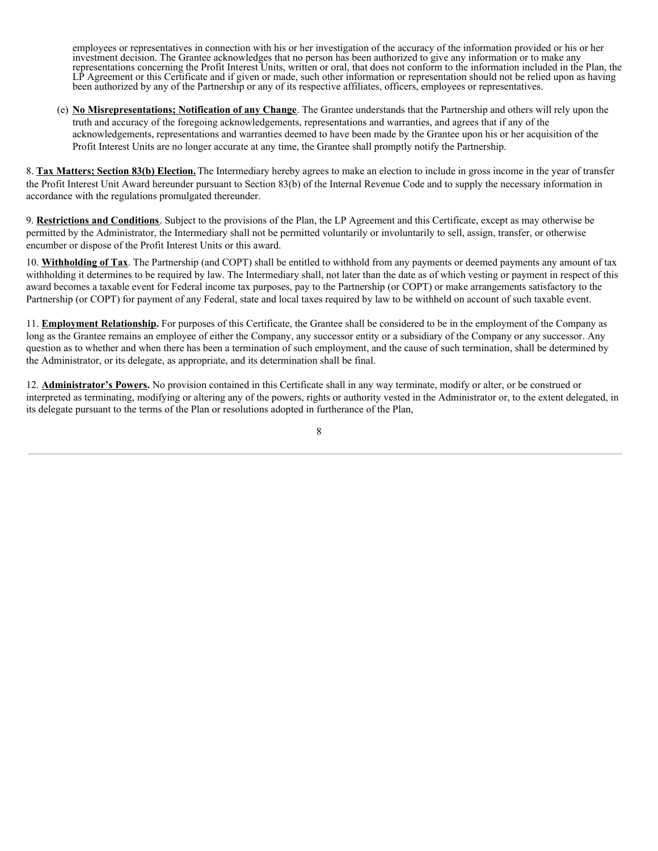employees or representatives in connection with his or her investigation of the accuracy of the information provided or his or her investment decision. The Grantee acknowledges that no person has been authorized to give any information or to make any representations concerning the Profit Interest Units, written or oral, that does not conform to the information included in the Plan, the LP Agreement or this Certificate and if given or made, such other information or representation should not be relied upon as having been authorized by any of the Partnership or any of its respective affiliates, officers, employees or representatives.

(e) **No Misrepresentations; Notification of any Change**. The Grantee understands that the Partnership and others will rely upon the truth and accuracy of the foregoing acknowledgements, representations and warranties, and agrees that if any of the acknowledgements, representations and warranties deemed to have been made by the Grantee upon his or her acquisition of the Profit Interest Units are no longer accurate at any time, the Grantee shall promptly notify the Partnership.

8. **Tax Matters; Section 83(b) Election.** The Intermediary hereby agrees to make an election to include in gross income in the year of transfer the Profit Interest Unit Award hereunder pursuant to Section 83(b) of the Internal Revenue Code and to supply the necessary information in accordance with the regulations promulgated thereunder.

9. **Restrictions and Conditions**. Subject to the provisions of the Plan, the LP Agreement and this Certificate, except as may otherwise be permitted by the Administrator, the Intermediary shall not be permitted voluntarily or involuntarily to sell, assign, transfer, or otherwise encumber or dispose of the Profit Interest Units or this award.

10. **Withholding of Tax**. The Partnership (and COPT) shall be entitled to withhold from any payments or deemed payments any amount of tax withholding it determines to be required by law. The Intermediary shall, not later than the date as of which vesting or payment in respect of this award becomes a taxable event for Federal income tax purposes, pay to the Partnership (or COPT) or make arrangements satisfactory to the Partnership (or COPT) for payment of any Federal, state and local taxes required by law to be withheld on account of such taxable event.

11. **Employment Relationship.** For purposes of this Certificate, the Grantee shall be considered to be in the employment of the Company as long as the Grantee remains an employee of either the Company, any successor entity or a subsidiary of the Company or any successor. Any question as to whether and when there has been a termination of such employment, and the cause of such termination, shall be determined by the Administrator, or its delegate, as appropriate, and its determination shall be final.

12. **Administrator's Powers.** No provision contained in this Certificate shall in any way terminate, modify or alter, or be construed or interpreted as terminating, modifying or altering any of the powers, rights or authority vested in the Administrator or, to the extent delegated, in its delegate pursuant to the terms of the Plan or resolutions adopted in furtherance of the Plan,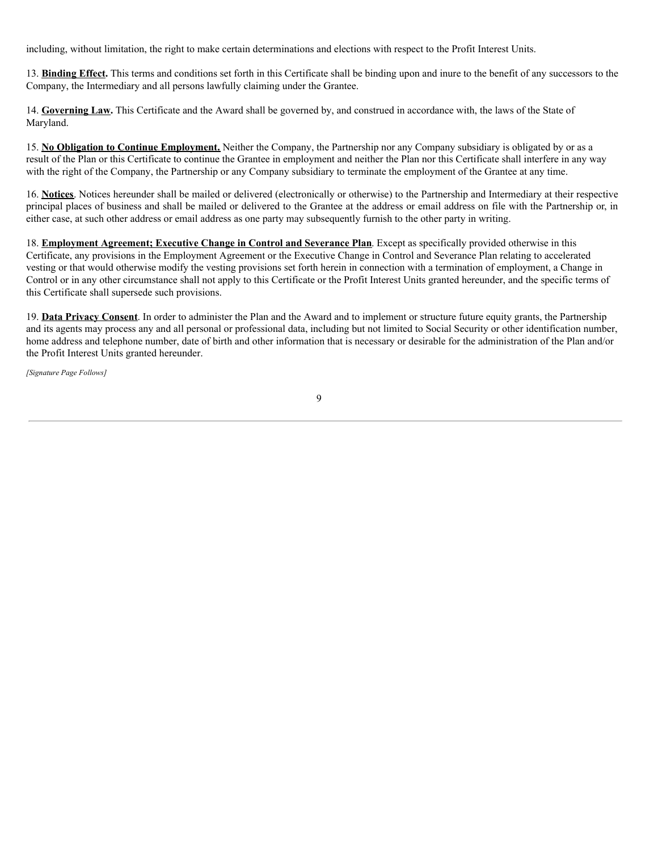including, without limitation, the right to make certain determinations and elections with respect to the Profit Interest Units.

13. **Binding Effect.** This terms and conditions set forth in this Certificate shall be binding upon and inure to the benefit of any successors to the Company, the Intermediary and all persons lawfully claiming under the Grantee.

14. **Governing Law.** This Certificate and the Award shall be governed by, and construed in accordance with, the laws of the State of Maryland.

15. **No Obligation to Continue Employment.** Neither the Company, the Partnership nor any Company subsidiary is obligated by or as a result of the Plan or this Certificate to continue the Grantee in employment and neither the Plan nor this Certificate shall interfere in any way with the right of the Company, the Partnership or any Company subsidiary to terminate the employment of the Grantee at any time.

16. **Notices**. Notices hereunder shall be mailed or delivered (electronically or otherwise) to the Partnership and Intermediary at their respective principal places of business and shall be mailed or delivered to the Grantee at the address or email address on file with the Partnership or, in either case, at such other address or email address as one party may subsequently furnish to the other party in writing.

18. **Employment Agreement; Executive Change in Control and Severance Plan**. Except as specifically provided otherwise in this Certificate, any provisions in the Employment Agreement or the Executive Change in Control and Severance Plan relating to accelerated vesting or that would otherwise modify the vesting provisions set forth herein in connection with a termination of employment, a Change in Control or in any other circumstance shall not apply to this Certificate or the Profit Interest Units granted hereunder, and the specific terms of this Certificate shall supersede such provisions.

19. **Data Privacy Consent**. In order to administer the Plan and the Award and to implement or structure future equity grants, the Partnership and its agents may process any and all personal or professional data, including but not limited to Social Security or other identification number, home address and telephone number, date of birth and other information that is necessary or desirable for the administration of the Plan and/or the Profit Interest Units granted hereunder.

*[Signature Page Follows]*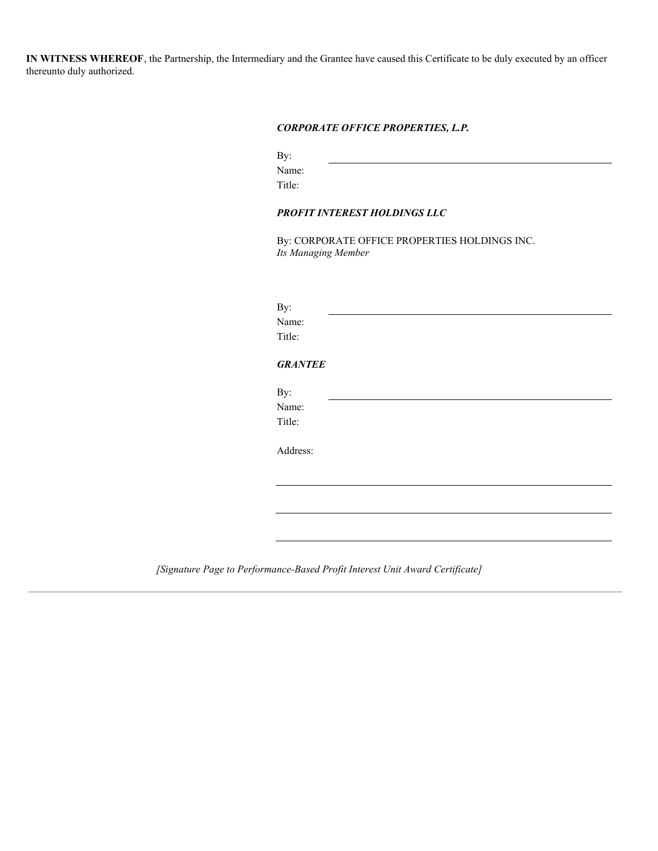**IN WITNESS WHEREOF**, the Partnership, the Intermediary and the Grantee have caused this Certificate to be duly executed by an officer thereunto duly authorized.

| By:            |                                                                      |
|----------------|----------------------------------------------------------------------|
| Name:          |                                                                      |
| Title:         |                                                                      |
|                | <b>PROFIT INTEREST HOLDINGS LLC</b>                                  |
|                | By: CORPORATE OFFICE PROPERTIES HOLDINGS INC.<br>Its Managing Member |
|                |                                                                      |
| By:            |                                                                      |
| Name:          |                                                                      |
| Title:         |                                                                      |
| <b>GRANTEE</b> |                                                                      |
| By:            |                                                                      |
| Name:          |                                                                      |
| Title:         |                                                                      |
| Address:       |                                                                      |
|                |                                                                      |
|                |                                                                      |
|                |                                                                      |
|                |                                                                      |
|                |                                                                      |

*CORPORATE OFFICE PROPERTIES, L.P.*

*[Signature Page to Performance-Based Profit Interest Unit Award Certificate]*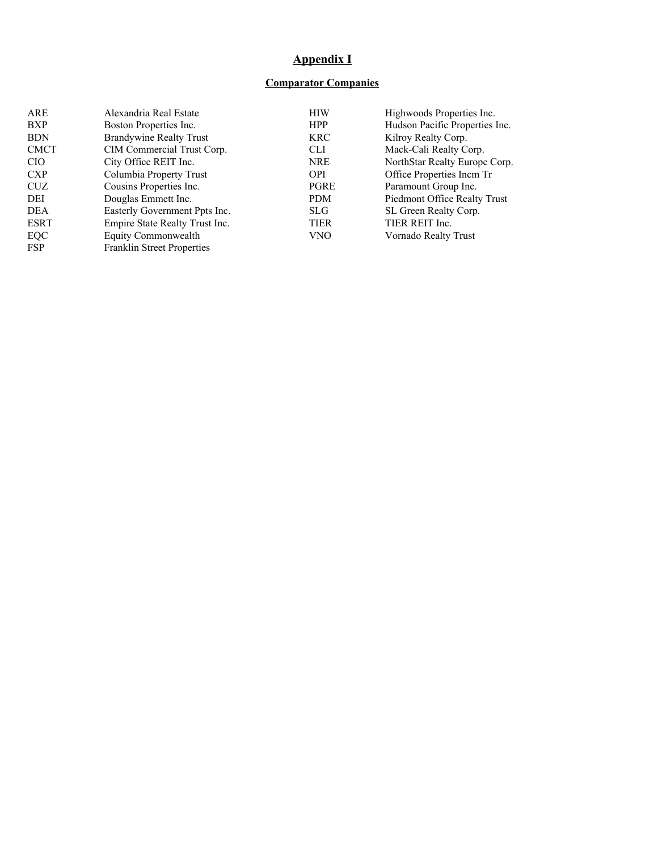# **Appendix I**

# **Comparator Companies**

| ARE         | Alexandria Real Estate            | <b>HIW</b>  | Highwoods Properties Inc.      |
|-------------|-----------------------------------|-------------|--------------------------------|
| BXP         | Boston Properties Inc.            | <b>HPP</b>  | Hudson Pacific Properties Inc. |
| <b>BDN</b>  | <b>Brandywine Realty Trust</b>    | <b>KRC</b>  | Kilroy Realty Corp.            |
| <b>CMCT</b> | CIM Commercial Trust Corp.        | <b>CLI</b>  | Mack-Cali Realty Corp.         |
| CIO         | City Office REIT Inc.             | <b>NRE</b>  | NorthStar Realty Europe Corp.  |
| <b>CXP</b>  | Columbia Property Trust           | <b>OPI</b>  | Office Properties Incm Tr      |
| <b>CUZ</b>  | Cousins Properties Inc.           | PGRE        | Paramount Group Inc.           |
| DEI         | Douglas Emmett Inc.               | <b>PDM</b>  | Piedmont Office Realty Trust   |
| <b>DEA</b>  | Easterly Government Ppts Inc.     | <b>SLG</b>  | SL Green Realty Corp.          |
| ESRT        | Empire State Realty Trust Inc.    | <b>TIER</b> | TIER REIT Inc.                 |
| EQC         | Equity Commonwealth               | <b>VNO</b>  | Vornado Realty Trust           |
| <b>FSP</b>  | <b>Franklin Street Properties</b> |             |                                |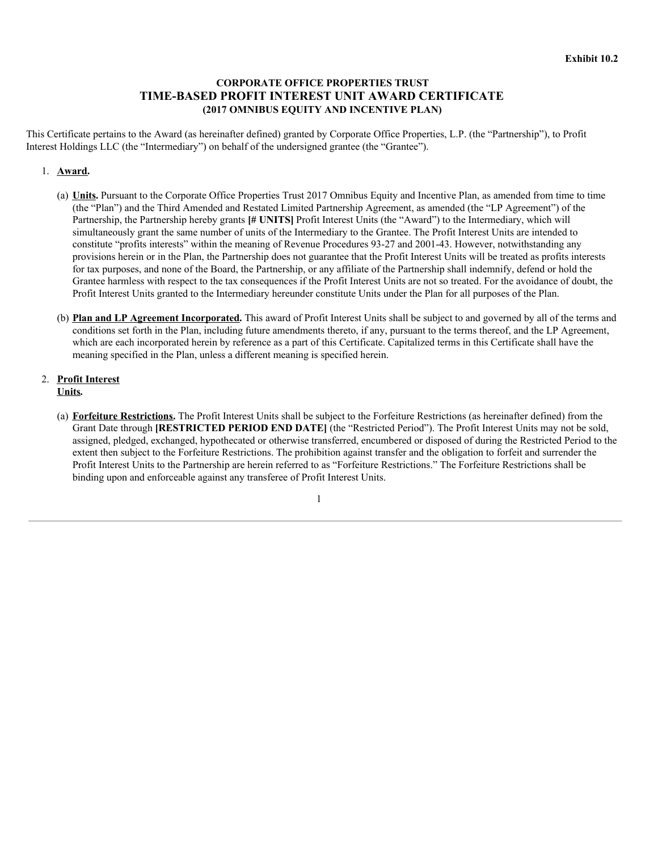# **CORPORATE OFFICE PROPERTIES TRUST TIME-BASED PROFIT INTEREST UNIT AWARD CERTIFICATE (2017 OMNIBUS EQUITY AND INCENTIVE PLAN)**

This Certificate pertains to the Award (as hereinafter defined) granted by Corporate Office Properties, L.P. (the "Partnership"), to Profit Interest Holdings LLC (the "Intermediary") on behalf of the undersigned grantee (the "Grantee").

# 1. **Award.**

- (a) **Units.** Pursuant to the Corporate Office Properties Trust 2017 Omnibus Equity and Incentive Plan, as amended from time to time (the "Plan") and the Third Amended and Restated Limited Partnership Agreement, as amended (the "LP Agreement") of the Partnership, the Partnership hereby grants **[# UNITS]** Profit Interest Units (the "Award") to the Intermediary, which will simultaneously grant the same number of units of the Intermediary to the Grantee. The Profit Interest Units are intended to constitute "profits interests" within the meaning of Revenue Procedures 93-27 and 2001-43. However, notwithstanding any provisions herein or in the Plan, the Partnership does not guarantee that the Profit Interest Units will be treated as profits interests for tax purposes, and none of the Board, the Partnership, or any affiliate of the Partnership shall indemnify, defend or hold the Grantee harmless with respect to the tax consequences if the Profit Interest Units are not so treated. For the avoidance of doubt, the Profit Interest Units granted to the Intermediary hereunder constitute Units under the Plan for all purposes of the Plan.
- (b) **Plan and LP Agreement Incorporated.** This award of Profit Interest Units shall be subject to and governed by all of the terms and conditions set forth in the Plan, including future amendments thereto, if any, pursuant to the terms thereof, and the LP Agreement, which are each incorporated herein by reference as a part of this Certificate. Capitalized terms in this Certificate shall have the meaning specified in the Plan, unless a different meaning is specified herein.

### 2. **Profit Interest Units.**

(a) **Forfeiture Restrictions.** The Profit Interest Units shall be subject to the Forfeiture Restrictions (as hereinafter defined) from the Grant Date through **[RESTRICTED PERIOD END DATE]** (the "Restricted Period"). The Profit Interest Units may not be sold, assigned, pledged, exchanged, hypothecated or otherwise transferred, encumbered or disposed of during the Restricted Period to the extent then subject to the Forfeiture Restrictions. The prohibition against transfer and the obligation to forfeit and surrender the Profit Interest Units to the Partnership are herein referred to as "Forfeiture Restrictions." The Forfeiture Restrictions shall be binding upon and enforceable against any transferee of Profit Interest Units.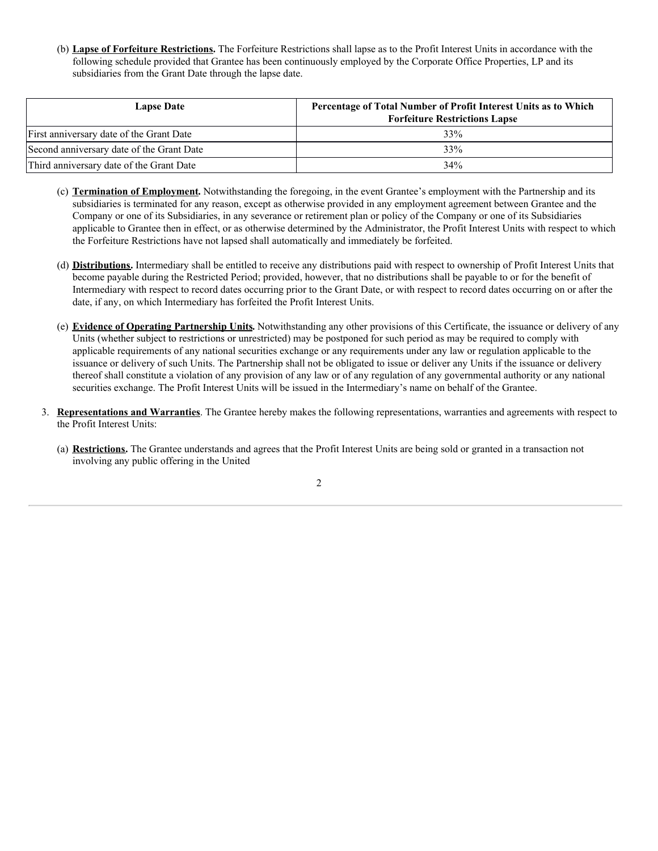(b) **Lapse of Forfeiture Restrictions.** The Forfeiture Restrictions shall lapse as to the Profit Interest Units in accordance with the following schedule provided that Grantee has been continuously employed by the Corporate Office Properties, LP and its subsidiaries from the Grant Date through the lapse date.

| <b>Lapse Date</b>                         | Percentage of Total Number of Profit Interest Units as to Which<br><b>Forfeiture Restrictions Lapse</b> |  |
|-------------------------------------------|---------------------------------------------------------------------------------------------------------|--|
| First anniversary date of the Grant Date  | 33%                                                                                                     |  |
| Second anniversary date of the Grant Date | 33%                                                                                                     |  |
| Third anniversary date of the Grant Date  | 34%                                                                                                     |  |

- (c) **Termination of Employment.** Notwithstanding the foregoing, in the event Grantee's employment with the Partnership and its subsidiaries is terminated for any reason, except as otherwise provided in any employment agreement between Grantee and the Company or one of its Subsidiaries, in any severance or retirement plan or policy of the Company or one of its Subsidiaries applicable to Grantee then in effect, or as otherwise determined by the Administrator, the Profit Interest Units with respect to which the Forfeiture Restrictions have not lapsed shall automatically and immediately be forfeited.
- (d) **Distributions.** Intermediary shall be entitled to receive any distributions paid with respect to ownership of Profit Interest Units that become payable during the Restricted Period; provided, however, that no distributions shall be payable to or for the benefit of Intermediary with respect to record dates occurring prior to the Grant Date, or with respect to record dates occurring on or after the date, if any, on which Intermediary has forfeited the Profit Interest Units.
- (e) **Evidence of Operating Partnership Units.** Notwithstanding any other provisions of this Certificate, the issuance or delivery of any Units (whether subject to restrictions or unrestricted) may be postponed for such period as may be required to comply with applicable requirements of any national securities exchange or any requirements under any law or regulation applicable to the issuance or delivery of such Units. The Partnership shall not be obligated to issue or deliver any Units if the issuance or delivery thereof shall constitute a violation of any provision of any law or of any regulation of any governmental authority or any national securities exchange. The Profit Interest Units will be issued in the Intermediary's name on behalf of the Grantee.
- 3. **Representations and Warranties**. The Grantee hereby makes the following representations, warranties and agreements with respect to the Profit Interest Units:
	- (a) **Restrictions.** The Grantee understands and agrees that the Profit Interest Units are being sold or granted in a transaction not involving any public offering in the United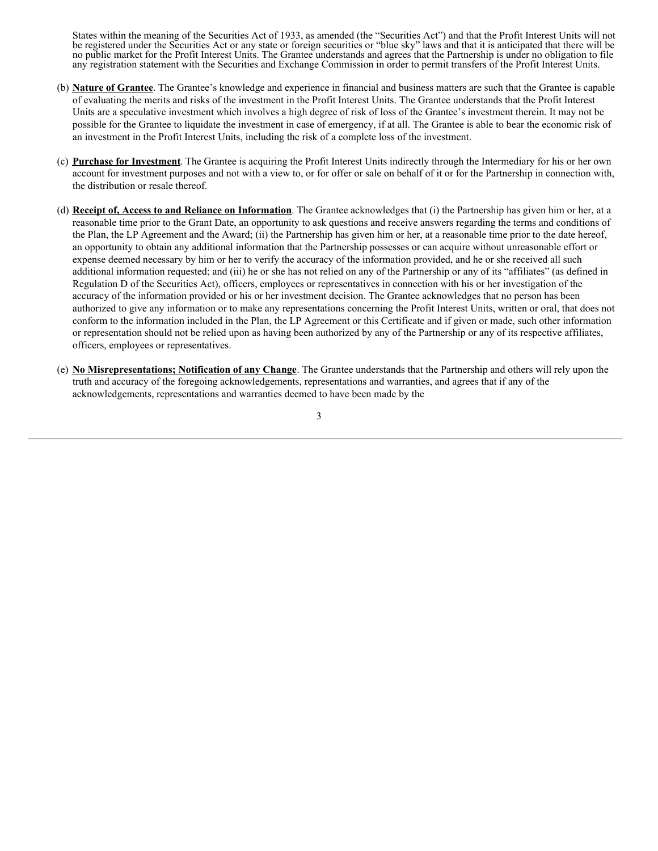<span id="page-63-0"></span>States within the meaning of the Securities Act of 1933, as amended (the "Securities Act") and that the Profit Interest Units will not be registered under the Securities Act or any state or foreign securities or "blue sky" laws and that it is anticipated that there will be no public market for the Profit Interest Units. The Grantee understands and agrees that the Partnership is under no obligation to file any registration statement with the Securities and Exchange Commission in order to permit transfers of the Profit Interest Units.

- (b) **Nature of Grantee**. The Grantee's knowledge and experience in financial and business matters are such that the Grantee is capable of evaluating the merits and risks of the investment in the Profit Interest Units. The Grantee understands that the Profit Interest Units are a speculative investment which involves a high degree of risk of loss of the Grantee's investment therein. It may not be possible for the Grantee to liquidate the investment in case of emergency, if at all. The Grantee is able to bear the economic risk of an investment in the Profit Interest Units, including the risk of a complete loss of the investment.
- (c) **Purchase for Investment**. The Grantee is acquiring the Profit Interest Units indirectly through the Intermediary for his or her own account for investment purposes and not with a view to, or for offer or sale on behalf of it or for the Partnership in connection with, the distribution or resale thereof.
- (d) **Receipt of, Access to and Reliance on Information**. The Grantee acknowledges that (i) the Partnership has given him or her, at a reasonable time prior to the Grant Date, an opportunity to ask questions and receive answers regarding the terms and conditions of the Plan, the LP Agreement and the Award; (ii) the Partnership has given him or her, at a reasonable time prior to the date hereof, an opportunity to obtain any additional information that the Partnership possesses or can acquire without unreasonable effort or expense deemed necessary by him or her to verify the accuracy of the information provided, and he or she received all such additional information requested; and (iii) he or she has not relied on any of the Partnership or any of its "affiliates" (as defined in Regulation D of the Securities Act), officers, employees or representatives in connection with his or her investigation of the accuracy of the information provided or his or her investment decision. The Grantee acknowledges that no person has been authorized to give any information or to make any representations concerning the Profit Interest Units, written or oral, that does not conform to the information included in the Plan, the LP Agreement or this Certificate and if given or made, such other information or representation should not be relied upon as having been authorized by any of the Partnership or any of its respective affiliates, officers, employees or representatives.
- (e) **No Misrepresentations; Notification of any Change**. The Grantee understands that the Partnership and others will rely upon the truth and accuracy of the foregoing acknowledgements, representations and warranties, and agrees that if any of the acknowledgements, representations and warranties deemed to have been made by the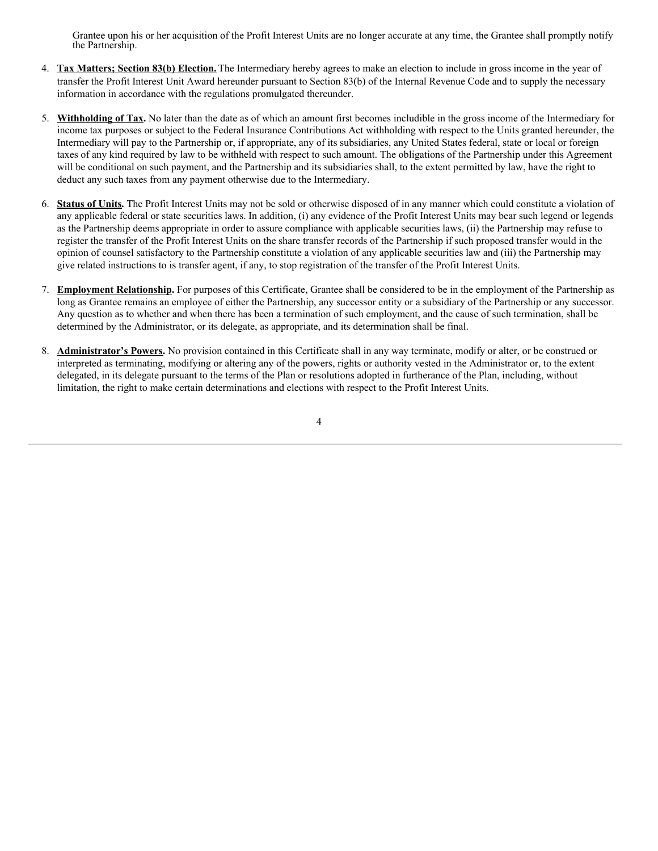Grantee upon his or her acquisition of the Profit Interest Units are no longer accurate at any time, the Grantee shall promptly notify the Partnership.

- 4. **Tax Matters; Section 83(b) Election.** The Intermediary hereby agrees to make an election to include in gross income in the year of transfer the Profit Interest Unit Award hereunder pursuant to Section 83(b) of the Internal Revenue Code and to supply the necessary information in accordance with the regulations promulgated thereunder.
- 5. **Withholding of Tax.** No later than the date as of which an amount first becomes includible in the gross income of the Intermediary for income tax purposes or subject to the Federal Insurance Contributions Act withholding with respect to the Units granted hereunder, the Intermediary will pay to the Partnership or, if appropriate, any of its subsidiaries, any United States federal, state or local or foreign taxes of any kind required by law to be withheld with respect to such amount. The obligations of the Partnership under this Agreement will be conditional on such payment, and the Partnership and its subsidiaries shall, to the extent permitted by law, have the right to deduct any such taxes from any payment otherwise due to the Intermediary.
- 6. **Status of Units.** The Profit Interest Units may not be sold or otherwise disposed of in any manner which could constitute a violation of any applicable federal or state securities laws. In addition, (i) any evidence of the Profit Interest Units may bear such legend or legends as the Partnership deems appropriate in order to assure compliance with applicable securities laws, (ii) the Partnership may refuse to register the transfer of the Profit Interest Units on the share transfer records of the Partnership if such proposed transfer would in the opinion of counsel satisfactory to the Partnership constitute a violation of any applicable securities law and (iii) the Partnership may give related instructions to is transfer agent, if any, to stop registration of the transfer of the Profit Interest Units.
- 7. **Employment Relationship.** For purposes of this Certificate, Grantee shall be considered to be in the employment of the Partnership as long as Grantee remains an employee of either the Partnership, any successor entity or a subsidiary of the Partnership or any successor. Any question as to whether and when there has been a termination of such employment, and the cause of such termination, shall be determined by the Administrator, or its delegate, as appropriate, and its determination shall be final.
- 8. **Administrator's Powers.** No provision contained in this Certificate shall in any way terminate, modify or alter, or be construed or interpreted as terminating, modifying or altering any of the powers, rights or authority vested in the Administrator or, to the extent delegated, in its delegate pursuant to the terms of the Plan or resolutions adopted in furtherance of the Plan, including, without limitation, the right to make certain determinations and elections with respect to the Profit Interest Units.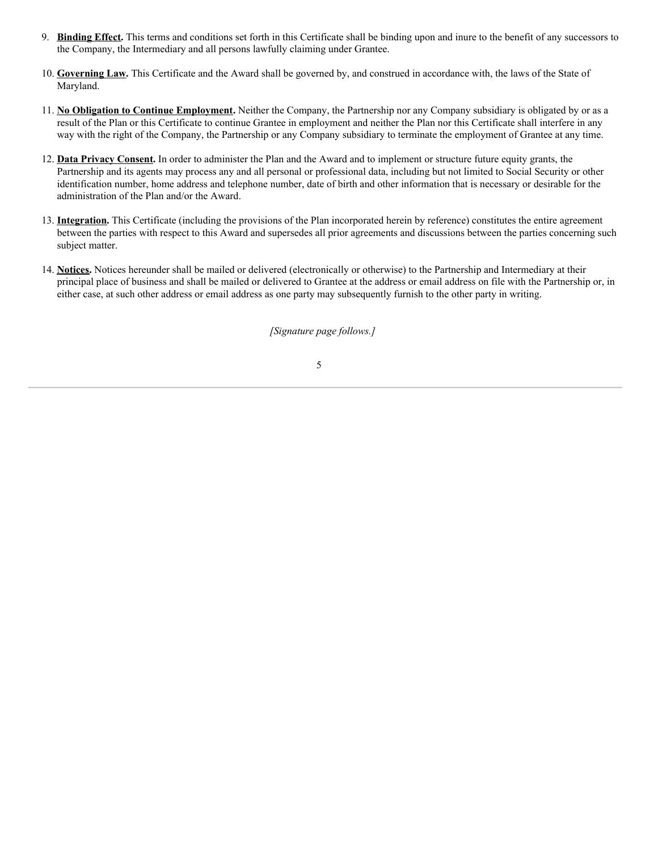- 9. **Binding Effect.** This terms and conditions set forth in this Certificate shall be binding upon and inure to the benefit of any successors to the Company, the Intermediary and all persons lawfully claiming under Grantee.
- 10. **Governing Law.** This Certificate and the Award shall be governed by, and construed in accordance with, the laws of the State of Maryland.
- 11. **No Obligation to Continue Employment.** Neither the Company, the Partnership nor any Company subsidiary is obligated by or as a result of the Plan or this Certificate to continue Grantee in employment and neither the Plan nor this Certificate shall interfere in any way with the right of the Company, the Partnership or any Company subsidiary to terminate the employment of Grantee at any time.
- 12. **Data Privacy Consent.** In order to administer the Plan and the Award and to implement or structure future equity grants, the Partnership and its agents may process any and all personal or professional data, including but not limited to Social Security or other identification number, home address and telephone number, date of birth and other information that is necessary or desirable for the administration of the Plan and/or the Award.
- 13. **Integration.** This Certificate (including the provisions of the Plan incorporated herein by reference) constitutes the entire agreement between the parties with respect to this Award and supersedes all prior agreements and discussions between the parties concerning such subject matter.
- 14. **Notices.** Notices hereunder shall be mailed or delivered (electronically or otherwise) to the Partnership and Intermediary at their principal place of business and shall be mailed or delivered to Grantee at the address or email address on file with the Partnership or, in either case, at such other address or email address as one party may subsequently furnish to the other party in writing.

*[Signature page follows.]*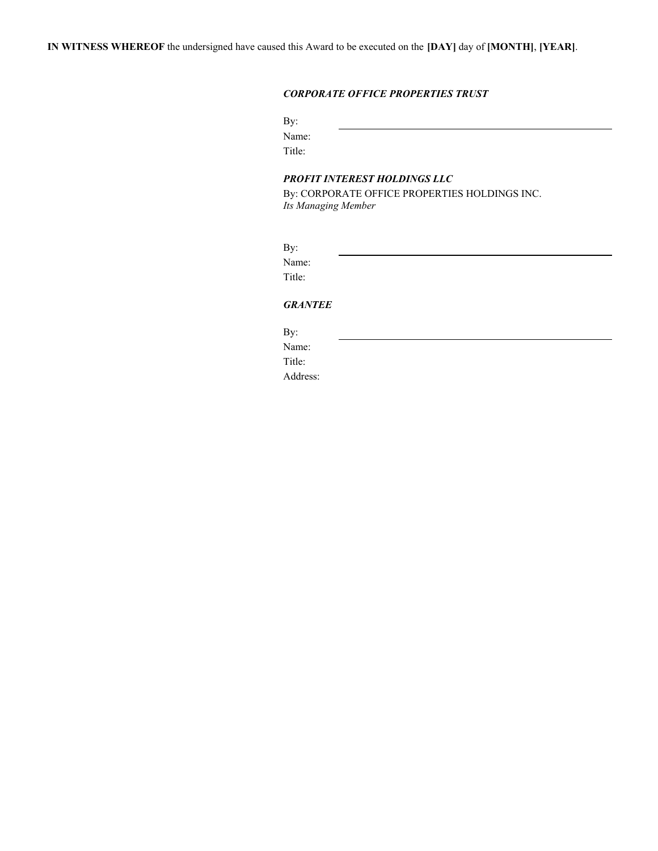**IN WITNESS WHEREOF** the undersigned have caused this Award to be executed on the **[DAY]** day of **[MONTH]**, **[YEAR]**.

# *CORPORATE OFFICE PROPERTIES TRUST*

| By:    |  |  |
|--------|--|--|
| Name:  |  |  |
| Title: |  |  |

# *PROFIT INTEREST HOLDINGS LLC*

By: CORPORATE OFFICE PROPERTIES HOLDINGS INC. *Its Managing Member*

By: Name:

Title:

# *GRANTEE*

By: Name: Title: Address: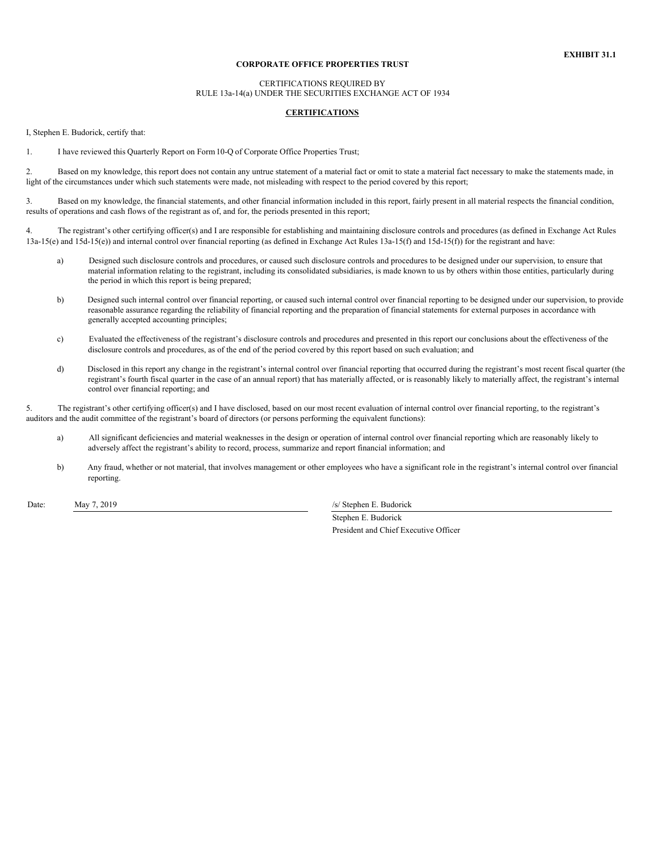#### **CORPORATE OFFICE PROPERTIES TRUST**

### CERTIFICATIONS REQUIRED BY RULE 13a-14(a) UNDER THE SECURITIES EXCHANGE ACT OF 1934

### **CERTIFICATIONS**

<span id="page-67-0"></span>I, Stephen E. Budorick, certify that:

1. I have reviewed this Quarterly Report on Form10-Q of Corporate Office Properties Trust;

2. Based on my knowledge, this report does not contain any untrue statement of a material fact or omit to state a material fact necessary to make the statements made, in light of the circumstances under which such statements were made, not misleading with respect to the period covered by this report;

3. Based on my knowledge, the financial statements, and other financial information included in this report, fairly present in all material respects the financial condition, results of operations and cash flows of the registrant as of, and for, the periods presented in this report;

4. The registrant's other certifying officer(s) and I are responsible for establishing and maintaining disclosure controls and procedures (as defined in Exchange Act Rules  $13a-15(e)$  and  $15d-15(e)$ ) and internal control over financial reporting (as defined in Exchange Act Rules  $13a-15(f)$  and  $15d-15(f)$ ) for the registrant and have:

- a) Designed such disclosure controls and procedures, or caused such disclosure controls and procedures to be designed under our supervision, to ensure that material information relating to the registrant, including its consolidated subsidiaries, is made known to us by others within those entities, particularly during the period in which this report is being prepared;
- b) Designed such internal control over financial reporting, or caused such internal control over financial reporting to be designed under our supervision, to provide reasonable assurance regarding the reliability of financial reporting and the preparation of financial statements for external purposes in accordance with generally accepted accounting principles;
- c) Evaluated the effectiveness of the registrant's disclosure controls and procedures and presented in this report our conclusions about the effectiveness of the disclosure controls and procedures, as of the end of the period covered by this report based on such evaluation; and
- d) Disclosed in this report any change in the registrant's internal control over financial reporting that occurred during the registrant's most recent fiscal quarter (the registrant's fourth fiscal quarter in the case of an annual report) that has materially affected, or is reasonably likely to materially affect, the registrant's internal control over financial reporting; and

5. The registrant's other certifying officer(s) and I have disclosed, based on our most recent evaluation of internal control over financial reporting, to the registrant's auditors and the audit committee of the registrant's board of directors (or persons performing the equivalent functions):

- a) All significant deficiencies and material weaknesses in the design or operation of internal control over financial reporting which are reasonably likely to adversely affect the registrant's ability to record, process, summarize and report financial information; and
- b) Any fraud, whether or not material, that involves management or other employees who have a significant role in the registrant's internal control over financial reporting.

Date: May 7, 2019 *Internal Company S/Stephen E. Budorick S/Stephen E. Budorick* 

Stephen E. Budorick President and Chief Executive Officer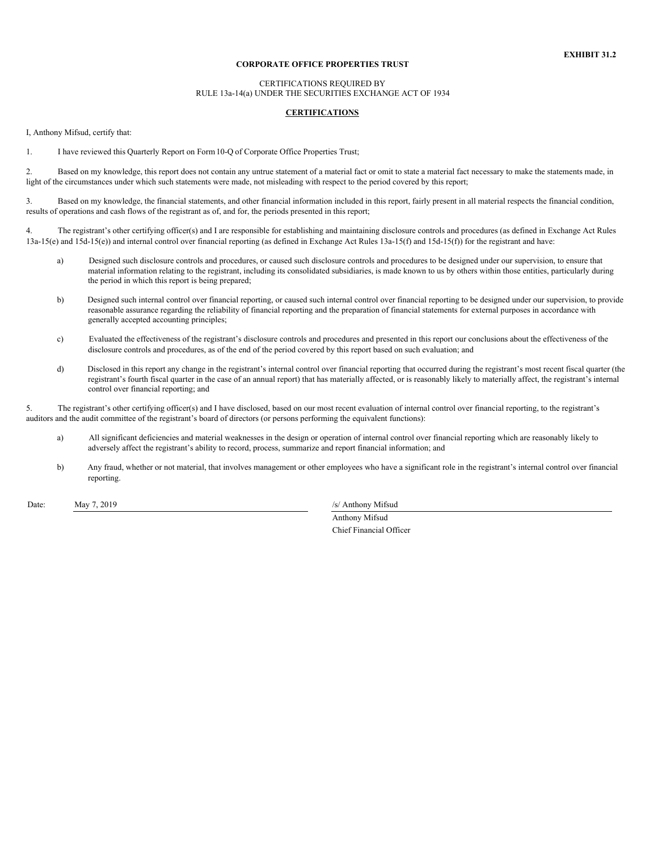### **CORPORATE OFFICE PROPERTIES TRUST**

### CERTIFICATIONS REQUIRED BY RULE 13a-14(a) UNDER THE SECURITIES EXCHANGE ACT OF 1934

### **CERTIFICATIONS**

<span id="page-68-0"></span>I, Anthony Mifsud, certify that:

1. I have reviewed this Quarterly Report on Form10-Q of Corporate Office Properties Trust;

2. Based on my knowledge, this report does not contain any untrue statement of a material fact or omit to state a material fact necessary to make the statements made, in light of the circumstances under which such statements were made, not misleading with respect to the period covered by this report;

3. Based on my knowledge, the financial statements, and other financial information included in this report, fairly present in all material respects the financial condition, results of operations and cash flows of the registrant as of, and for, the periods presented in this report;

4. The registrant's other certifying officer(s) and I are responsible for establishing and maintaining disclosure controls and procedures (as defined in Exchange Act Rules  $13a-15(e)$  and  $15d-15(e)$ ) and internal control over financial reporting (as defined in Exchange Act Rules  $13a-15(f)$  and  $15d-15(f)$ ) for the registrant and have:

- a) Designed such disclosure controls and procedures, or caused such disclosure controls and procedures to be designed under our supervision, to ensure that material information relating to the registrant, including its consolidated subsidiaries, is made known to us by others within those entities, particularly during the period in which this report is being prepared;
- b) Designed such internal control over financial reporting, or caused such internal control over financial reporting to be designed under our supervision, to provide reasonable assurance regarding the reliability of financial reporting and the preparation of financial statements for external purposes in accordance with generally accepted accounting principles;
- c) Evaluated the effectiveness of the registrant's disclosure controls and procedures and presented in this report our conclusions about the effectiveness of the disclosure controls and procedures, as of the end of the period covered by this report based on such evaluation; and
- d) Disclosed in this report any change in the registrant's internal control over financial reporting that occurred during the registrant's most recent fiscal quarter (the registrant's fourth fiscal quarter in the case of an annual report) that has materially affected, or is reasonably likely to materially affect, the registrant's internal control over financial reporting; and

5. The registrant's other certifying officer(s) and I have disclosed, based on our most recent evaluation of internal control over financial reporting, to the registrant's auditors and the audit committee of the registrant's board of directors (or persons performing the equivalent functions):

- a) All significant deficiencies and material weaknesses in the design or operation of internal control over financial reporting which are reasonably likely to adversely affect the registrant's ability to record, process, summarize and report financial information; and
- b) Any fraud, whether or not material, that involves management or other employees who have a significant role in the registrant's internal control over financial reporting.

Date: May 7, 2019 /s/ Anthony Mifsud

Anthony Mifsud Chief Financial Officer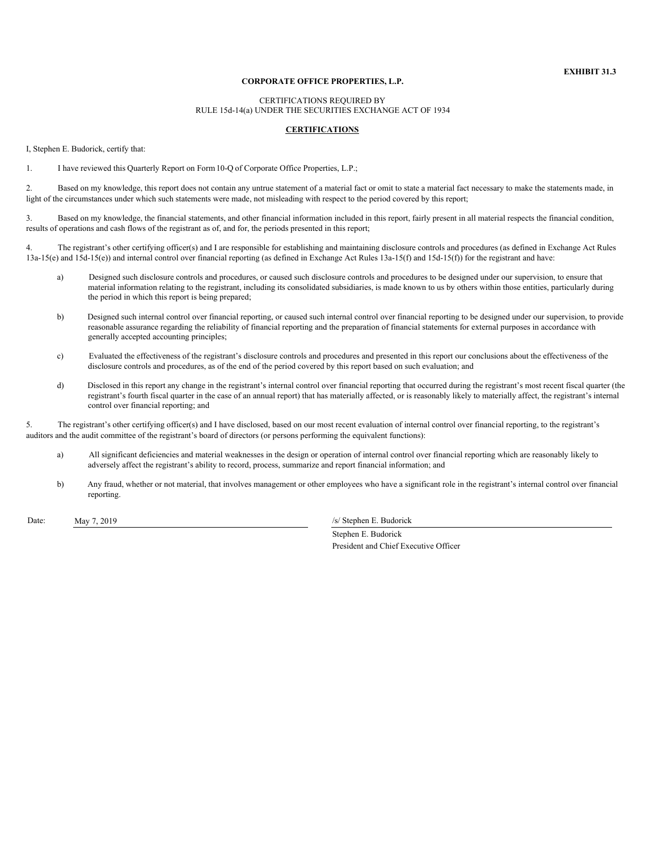### **CORPORATE OFFICE PROPERTIES, L.P.**

CERTIFICATIONS REQUIRED BY RULE 15d-14(a) UNDER THE SECURITIES EXCHANGE ACT OF 1934

#### **CERTIFICATIONS**

<span id="page-69-0"></span>I, Stephen E. Budorick, certify that:

1. I have reviewed this Quarterly Report on Form10-Q of Corporate Office Properties, L.P.;

2. Based on my knowledge, this report does not contain any untrue statement of a material fact or omit to state a material fact necessary to make the statements made, in light of the circumstances under which such statements were made, not misleading with respect to the period covered by this report;

3. Based on my knowledge, the financial statements, and other financial information included in this report, fairly present in all material respects the financial condition, results of operations and cash flows of the registrant as of, and for, the periods presented in this report;

4. The registrant's other certifying officer(s) and I are responsible for establishing and maintaining disclosure controls and procedures (as defined in Exchange Act Rules 13a-15(e) and 15d-15(e)) and internal control over financial reporting (as defined in Exchange Act Rules 13a-15(f) and 15d-15(f)) for the registrant and have:

- a) Designed such disclosure controls and procedures, or caused such disclosure controls and procedures to be designed under our supervision, to ensure that material information relating to the registrant, including its consolidated subsidiaries, is made known to us by others within those entities, particularly during the period in which this report is being prepared;
- b) Designed such internal control over financial reporting, or caused such internal control over financial reporting to be designed under our supervision, to provide reasonable assurance regarding the reliability of financial reporting and the preparation of financial statements for external purposes in accordance with generally accepted accounting principles;
- c) Evaluated the effectiveness of the registrant's disclosure controls and procedures and presented in this report our conclusions about the effectiveness of the disclosure controls and procedures, as of the end of the period covered by this report based on such evaluation; and
- d) Disclosed in this report any change in the registrant's internal control over financial reporting that occurred during the registrant's most recent fiscal quarter (the registrant's fourth fiscal quarter in the case of an annual report) that has materially affected, or is reasonably likely to materially affect, the registrant's internal control over financial reporting; and

5. The registrant's other certifying officer(s) and I have disclosed, based on our most recent evaluation of internal control over financial reporting, to the registrant's auditors and the audit committee of the registrant's board of directors (or persons performing the equivalent functions):

- a) All significant deficiencies and material weaknesses in the design or operation of internal control over financial reporting which are reasonably likely to adversely affect the registrant's ability to record, process, summarize and report financial information; and
- b) Any fraud, whether or not material, that involves management or other employees who have a significant role in the registrant's internal control over financial reporting.

Date: May 7, 2019 /s/ Stephen E. Budorick

Stephen E. Budorick President and Chief Executive Officer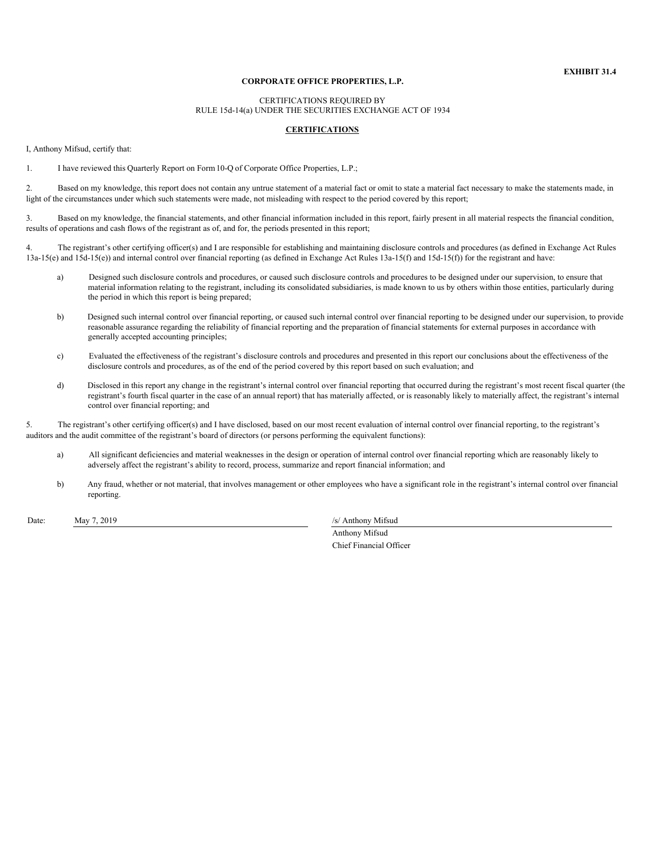### **CORPORATE OFFICE PROPERTIES, L.P.**

CERTIFICATIONS REQUIRED BY RULE 15d-14(a) UNDER THE SECURITIES EXCHANGE ACT OF 1934

#### **CERTIFICATIONS**

<span id="page-70-0"></span>I, Anthony Mifsud, certify that:

1. I have reviewed this Quarterly Report on Form10-Q of Corporate Office Properties, L.P.;

2. Based on my knowledge, this report does not contain any untrue statement of a material fact or omit to state a material fact necessary to make the statements made, in light of the circumstances under which such statements were made, not misleading with respect to the period covered by this report;

3. Based on my knowledge, the financial statements, and other financial information included in this report, fairly present in all material respects the financial condition, results of operations and cash flows of the registrant as of, and for, the periods presented in this report;

4. The registrant's other certifying officer(s) and I are responsible for establishing and maintaining disclosure controls and procedures (as defined in Exchange Act Rules 13a-15(e) and 15d-15(e)) and internal control over financial reporting (as defined in Exchange Act Rules 13a-15(f) and 15d-15(f)) for the registrant and have:

- a) Designed such disclosure controls and procedures, or caused such disclosure controls and procedures to be designed under our supervision, to ensure that material information relating to the registrant, including its consolidated subsidiaries, is made known to us by others within those entities, particularly during the period in which this report is being prepared;
- b) Designed such internal control over financial reporting, or caused such internal control over financial reporting to be designed under our supervision, to provide reasonable assurance regarding the reliability of financial reporting and the preparation of financial statements for external purposes in accordance with generally accepted accounting principles;
- c) Evaluated the effectiveness of the registrant's disclosure controls and procedures and presented in this report our conclusions about the effectiveness of the disclosure controls and procedures, as of the end of the period covered by this report based on such evaluation; and
- d) Disclosed in this report any change in the registrant's internal control over financial reporting that occurred during the registrant's most recent fiscal quarter (the registrant's fourth fiscal quarter in the case of an annual report) that has materially affected, or is reasonably likely to materially affect, the registrant's internal control over financial reporting; and

5. The registrant's other certifying officer(s) and I have disclosed, based on our most recent evaluation of internal control over financial reporting, to the registrant's auditors and the audit committee of the registrant's board of directors (or persons performing the equivalent functions):

- a) All significant deficiencies and material weaknesses in the design or operation of internal control over financial reporting which are reasonably likely to adversely affect the registrant's ability to record, process, summarize and report financial information; and
- b) Any fraud, whether or not material, that involves management or other employees who have a significant role in the registrant's internal control over financial reporting.

Date: May 7, 2019 /s/ Anthony Mifsud

Anthony Mifsud Chief Financial Officer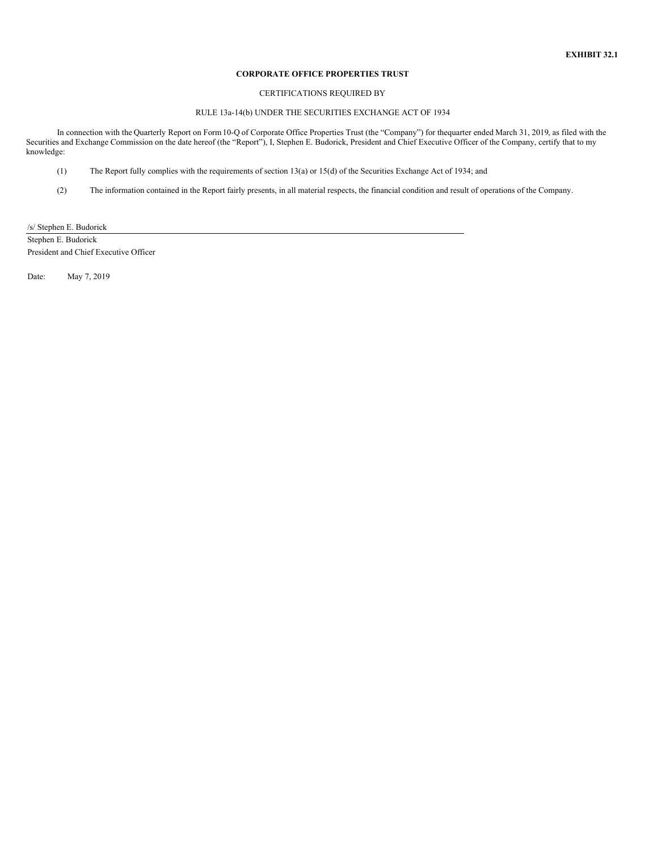### **CORPORATE OFFICE PROPERTIES TRUST**

### CERTIFICATIONS REQUIRED BY

### RULE 13a-14(b) UNDER THE SECURITIES EXCHANGE ACT OF 1934

<span id="page-71-0"></span>In connection with the Quarterly Report on Form10-Q of Corporate Office Properties Trust (the "Company") for thequarter ended March 31, 2019, as filed with the Securities and Exchange Commission on the date hereof (the "Report"), I, Stephen E. Budorick, President and Chief Executive Officer of the Company, certify that to my knowledge:

- (1) The Report fully complies with the requirements of section 13(a) or 15(d) of the Securities Exchange Act of 1934; and
- (2) The information contained in the Report fairly presents, in all material respects, the financial condition and result of operations of the Company.

/s/ Stephen E. Budorick

Stephen E. Budorick President and Chief Executive Officer

Date: May 7, 2019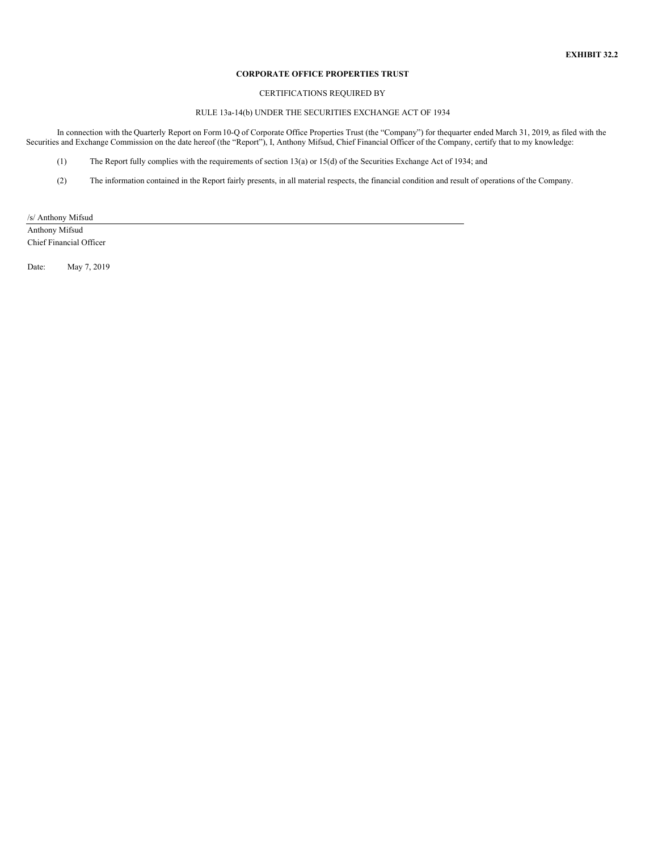## **CORPORATE OFFICE PROPERTIES TRUST**

## CERTIFICATIONS REQUIRED BY

## RULE 13a-14(b) UNDER THE SECURITIES EXCHANGE ACT OF 1934

In connection with the Quarterly Report on Form10-Q of Corporate Office Properties Trust (the "Company") for thequarter ended March 31, 2019, as filed with the Securities and Exchange Commission on the date hereof (the "Report"), I, Anthony Mifsud, Chief Financial Officer of the Company, certify that to my knowledge:

- (1) The Report fully complies with the requirements of section 13(a) or 15(d) of the Securities Exchange Act of 1934; and
- (2) The information contained in the Report fairly presents, in all material respects, the financial condition and result of operations of the Company.

/s/ Anthony Mifsud

Anthony Mifsud Chief Financial Officer

Date: May 7, 2019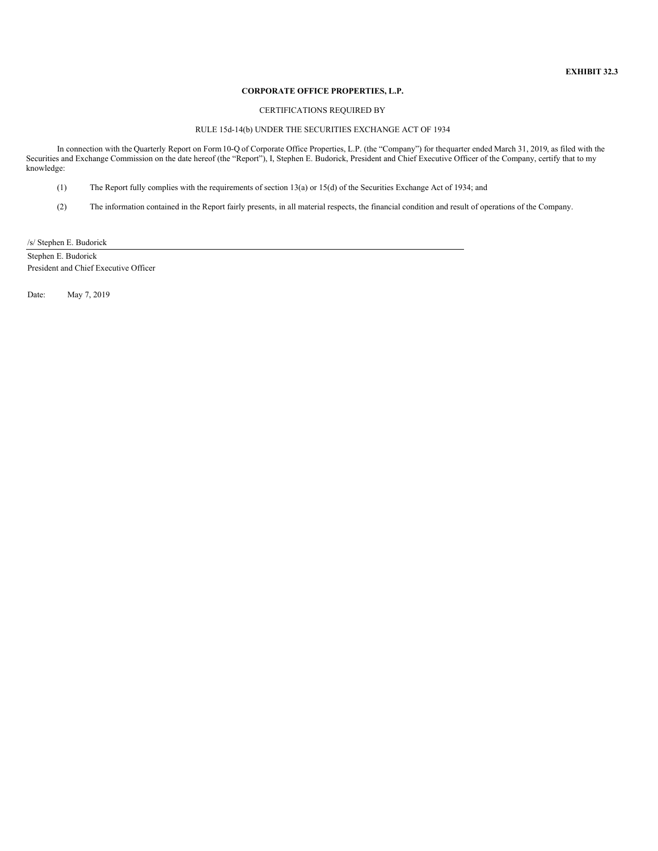## **CORPORATE OFFICE PROPERTIES, L.P.**

#### CERTIFICATIONS REQUIRED BY

# RULE 15d-14(b) UNDER THE SECURITIES EXCHANGE ACT OF 1934

In connection with the Quarterly Report on Form10-Q of Corporate Office Properties, L.P. (the "Company") for thequarter ended March 31, 2019, as filed with the Securities and Exchange Commission on the date hereof (the "Report"), I, Stephen E. Budorick, President and Chief Executive Officer of the Company, certify that to my knowledge:

- (1) The Report fully complies with the requirements of section 13(a) or 15(d) of the Securities Exchange Act of 1934; and
- (2) The information contained in the Report fairly presents, in all material respects, the financial condition and result of operations of the Company.

/s/ Stephen E. Budorick

Stephen E. Budorick President and Chief Executive Officer

Date: May 7, 2019